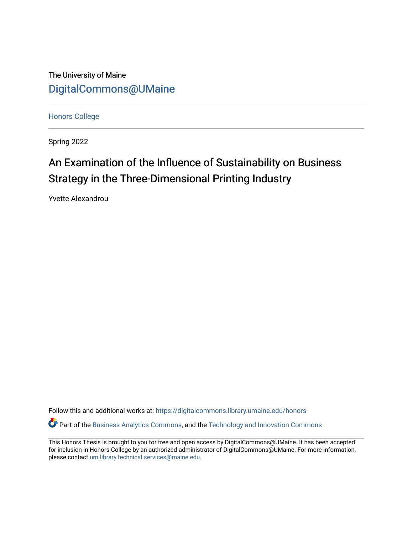The University of Maine [DigitalCommons@UMaine](https://digitalcommons.library.umaine.edu/)

[Honors College](https://digitalcommons.library.umaine.edu/honors)

Spring 2022

# An Examination of the Influence of Sustainability on Business Strategy in the Three-Dimensional Printing Industry

Yvette Alexandrou

Follow this and additional works at: [https://digitalcommons.library.umaine.edu/honors](https://digitalcommons.library.umaine.edu/honors?utm_source=digitalcommons.library.umaine.edu%2Fhonors%2F716&utm_medium=PDF&utm_campaign=PDFCoverPages)  **P** Part of the [Business Analytics Commons](http://network.bepress.com/hgg/discipline/1398?utm_source=digitalcommons.library.umaine.edu%2Fhonors%2F716&utm_medium=PDF&utm_campaign=PDFCoverPages), and the [Technology and Innovation Commons](http://network.bepress.com/hgg/discipline/644?utm_source=digitalcommons.library.umaine.edu%2Fhonors%2F716&utm_medium=PDF&utm_campaign=PDFCoverPages)

This Honors Thesis is brought to you for free and open access by DigitalCommons@UMaine. It has been accepted for inclusion in Honors College by an authorized administrator of DigitalCommons@UMaine. For more information, please contact [um.library.technical.services@maine.edu.](mailto:um.library.technical.services@maine.edu)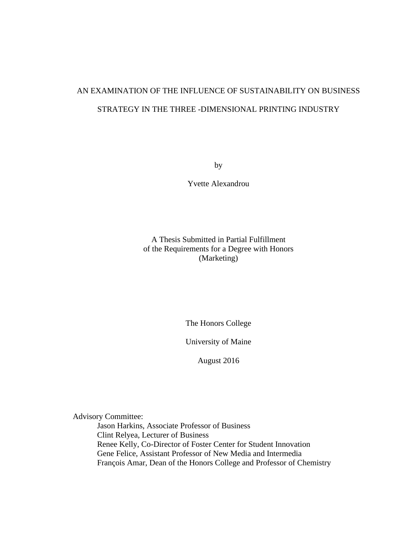## AN EXAMINATION OF THE INFLUENCE OF SUSTAINABILITY ON BUSINESS STRATEGY IN THE THREE -DIMENSIONAL PRINTING INDUSTRY

by

Yvette Alexandrou

### A Thesis Submitted in Partial Fulfillment of the Requirements for a Degree with Honors (Marketing)

The Honors College

University of Maine

August 2016

Advisory Committee:

Jason Harkins, Associate Professor of Business Clint Relyea, Lecturer of Business Renee Kelly, Co-Director of Foster Center for Student Innovation Gene Felice, Assistant Professor of New Media and Intermedia François Amar, Dean of the Honors College and Professor of Chemistry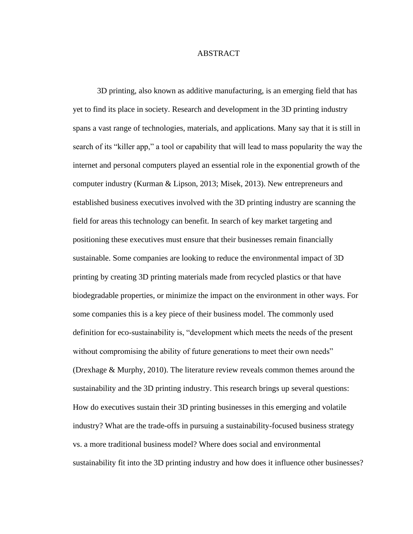#### ABSTRACT

3D printing, also known as additive manufacturing, is an emerging field that has yet to find its place in society. Research and development in the 3D printing industry spans a vast range of technologies, materials, and applications. Many say that it is still in search of its "killer app," a tool or capability that will lead to mass popularity the way the internet and personal computers played an essential role in the exponential growth of the computer industry (Kurman & Lipson, 2013; Misek, 2013). New entrepreneurs and established business executives involved with the 3D printing industry are scanning the field for areas this technology can benefit. In search of key market targeting and positioning these executives must ensure that their businesses remain financially sustainable. Some companies are looking to reduce the environmental impact of 3D printing by creating 3D printing materials made from recycled plastics or that have biodegradable properties, or minimize the impact on the environment in other ways. For some companies this is a key piece of their business model. The commonly used definition for eco-sustainability is, "development which meets the needs of the present without compromising the ability of future generations to meet their own needs" (Drexhage & Murphy, 2010). The literature review reveals common themes around the sustainability and the 3D printing industry. This research brings up several questions: How do executives sustain their 3D printing businesses in this emerging and volatile industry? What are the trade-offs in pursuing a sustainability-focused business strategy vs. a more traditional business model? Where does social and environmental sustainability fit into the 3D printing industry and how does it influence other businesses?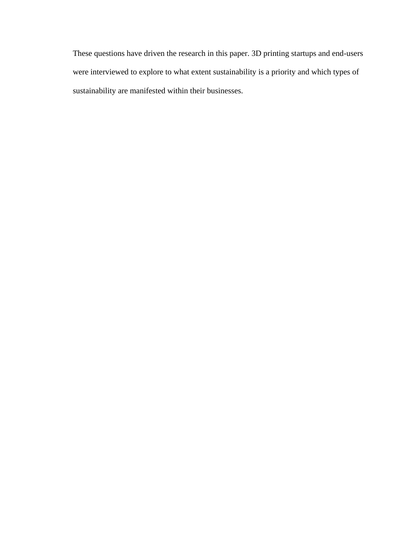These questions have driven the research in this paper. 3D printing startups and end-users were interviewed to explore to what extent sustainability is a priority and which types of sustainability are manifested within their businesses.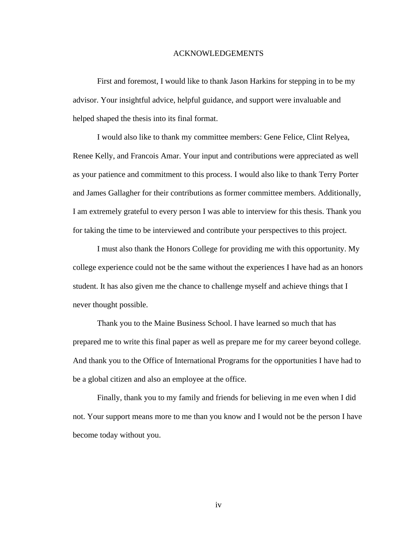#### ACKNOWLEDGEMENTS

First and foremost, I would like to thank Jason Harkins for stepping in to be my advisor. Your insightful advice, helpful guidance, and support were invaluable and helped shaped the thesis into its final format.

I would also like to thank my committee members: Gene Felice, Clint Relyea, Renee Kelly, and Francois Amar. Your input and contributions were appreciated as well as your patience and commitment to this process. I would also like to thank Terry Porter and James Gallagher for their contributions as former committee members. Additionally, I am extremely grateful to every person I was able to interview for this thesis. Thank you for taking the time to be interviewed and contribute your perspectives to this project.

I must also thank the Honors College for providing me with this opportunity. My college experience could not be the same without the experiences I have had as an honors student. It has also given me the chance to challenge myself and achieve things that I never thought possible.

Thank you to the Maine Business School. I have learned so much that has prepared me to write this final paper as well as prepare me for my career beyond college. And thank you to the Office of International Programs for the opportunities I have had to be a global citizen and also an employee at the office.

Finally, thank you to my family and friends for believing in me even when I did not. Your support means more to me than you know and I would not be the person I have become today without you.

iv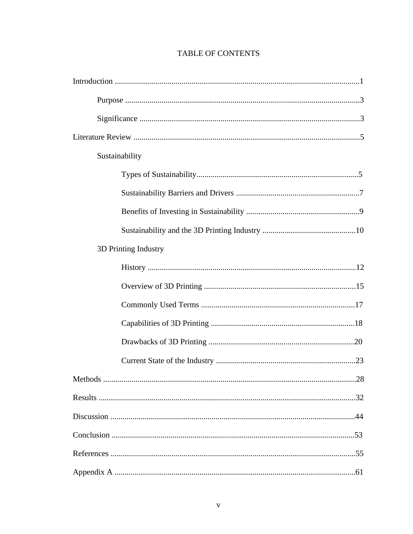| Sustainability       |  |  |  |  |  |  |
|----------------------|--|--|--|--|--|--|
|                      |  |  |  |  |  |  |
|                      |  |  |  |  |  |  |
|                      |  |  |  |  |  |  |
|                      |  |  |  |  |  |  |
| 3D Printing Industry |  |  |  |  |  |  |
|                      |  |  |  |  |  |  |
|                      |  |  |  |  |  |  |
|                      |  |  |  |  |  |  |
|                      |  |  |  |  |  |  |
|                      |  |  |  |  |  |  |
|                      |  |  |  |  |  |  |
|                      |  |  |  |  |  |  |
|                      |  |  |  |  |  |  |
|                      |  |  |  |  |  |  |
|                      |  |  |  |  |  |  |
|                      |  |  |  |  |  |  |
|                      |  |  |  |  |  |  |

### TABLE OF CONTENTS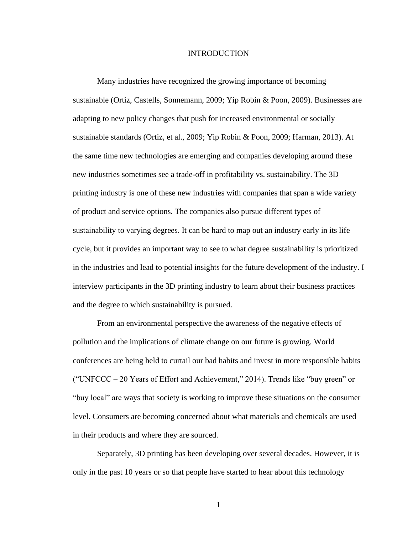#### INTRODUCTION

Many industries have recognized the growing importance of becoming sustainable (Ortiz, Castells, Sonnemann, 2009; Yip Robin & Poon, 2009). Businesses are adapting to new policy changes that push for increased environmental or socially sustainable standards (Ortiz, et al., 2009; Yip Robin & Poon, 2009; Harman, 2013). At the same time new technologies are emerging and companies developing around these new industries sometimes see a trade-off in profitability vs. sustainability. The 3D printing industry is one of these new industries with companies that span a wide variety of product and service options. The companies also pursue different types of sustainability to varying degrees. It can be hard to map out an industry early in its life cycle, but it provides an important way to see to what degree sustainability is prioritized in the industries and lead to potential insights for the future development of the industry. I interview participants in the 3D printing industry to learn about their business practices and the degree to which sustainability is pursued.

From an environmental perspective the awareness of the negative effects of pollution and the implications of climate change on our future is growing. World conferences are being held to curtail our bad habits and invest in more responsible habits ("UNFCCC – 20 Years of Effort and Achievement," 2014). Trends like "buy green" or "buy local" are ways that society is working to improve these situations on the consumer level. Consumers are becoming concerned about what materials and chemicals are used in their products and where they are sourced.

Separately, 3D printing has been developing over several decades. However, it is only in the past 10 years or so that people have started to hear about this technology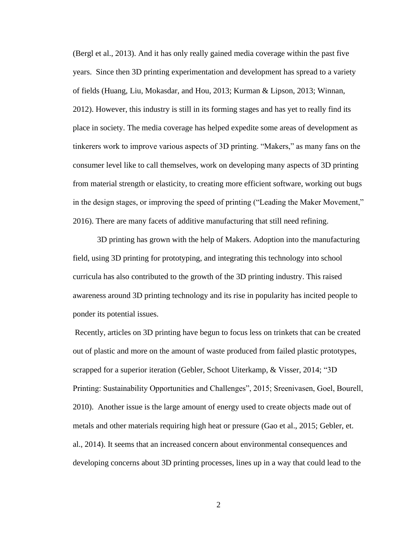(Bergl et al., 2013). And it has only really gained media coverage within the past five years. Since then 3D printing experimentation and development has spread to a variety of fields (Huang, Liu, Mokasdar, and Hou, 2013; Kurman & Lipson, 2013; Winnan, 2012). However, this industry is still in its forming stages and has yet to really find its place in society. The media coverage has helped expedite some areas of development as tinkerers work to improve various aspects of 3D printing. "Makers," as many fans on the consumer level like to call themselves, work on developing many aspects of 3D printing from material strength or elasticity, to creating more efficient software, working out bugs in the design stages, or improving the speed of printing ("Leading the Maker Movement," 2016). There are many facets of additive manufacturing that still need refining.

3D printing has grown with the help of Makers. Adoption into the manufacturing field, using 3D printing for prototyping, and integrating this technology into school curricula has also contributed to the growth of the 3D printing industry. This raised awareness around 3D printing technology and its rise in popularity has incited people to ponder its potential issues.

Recently, articles on 3D printing have begun to focus less on trinkets that can be created out of plastic and more on the amount of waste produced from failed plastic prototypes, scrapped for a superior iteration (Gebler, Schoot Uiterkamp, & Visser, 2014; "3D Printing: Sustainability Opportunities and Challenges", 2015; Sreenivasen, Goel, Bourell, 2010). Another issue is the large amount of energy used to create objects made out of metals and other materials requiring high heat or pressure (Gao et al., 2015; Gebler, et. al., 2014). It seems that an increased concern about environmental consequences and developing concerns about 3D printing processes, lines up in a way that could lead to the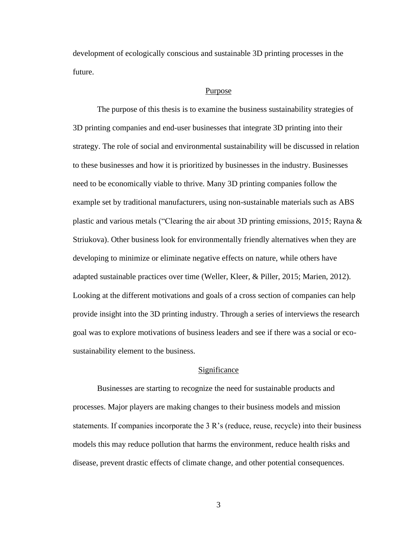development of ecologically conscious and sustainable 3D printing processes in the future.

#### **Purpose**

The purpose of this thesis is to examine the business sustainability strategies of 3D printing companies and end-user businesses that integrate 3D printing into their strategy. The role of social and environmental sustainability will be discussed in relation to these businesses and how it is prioritized by businesses in the industry. Businesses need to be economically viable to thrive. Many 3D printing companies follow the example set by traditional manufacturers, using non-sustainable materials such as ABS plastic and various metals ("Clearing the air about 3D printing emissions, 2015; Rayna & Striukova). Other business look for environmentally friendly alternatives when they are developing to minimize or eliminate negative effects on nature, while others have adapted sustainable practices over time (Weller, Kleer, & Piller, 2015; Marien, 2012). Looking at the different motivations and goals of a cross section of companies can help provide insight into the 3D printing industry. Through a series of interviews the research goal was to explore motivations of business leaders and see if there was a social or ecosustainability element to the business.

#### Significance

Businesses are starting to recognize the need for sustainable products and processes. Major players are making changes to their business models and mission statements. If companies incorporate the 3 R's (reduce, reuse, recycle) into their business models this may reduce pollution that harms the environment, reduce health risks and disease, prevent drastic effects of climate change, and other potential consequences.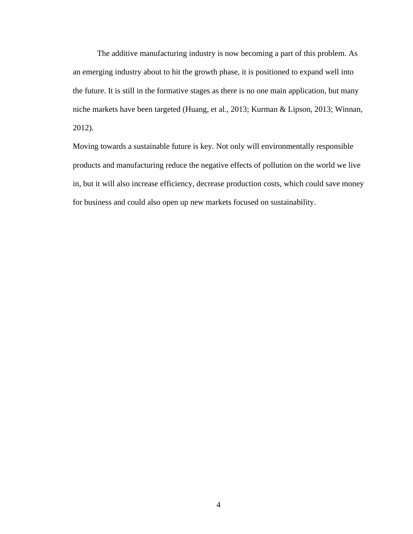The additive manufacturing industry is now becoming a part of this problem. As an emerging industry about to hit the growth phase, it is positioned to expand well into the future. It is still in the formative stages as there is no one main application, but many niche markets have been targeted (Huang, et al., 2013; Kurman & Lipson, 2013; Winnan, 2012).

Moving towards a sustainable future is key. Not only will environmentally responsible products and manufacturing reduce the negative effects of pollution on the world we live in, but it will also increase efficiency, decrease production costs, which could save money for business and could also open up new markets focused on sustainability.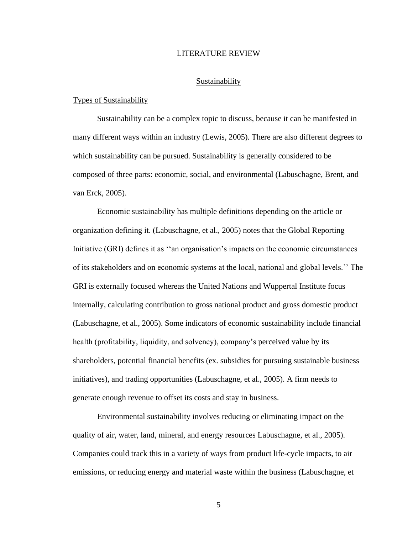#### LITERATURE REVIEW

#### Sustainability

#### Types of Sustainability

Sustainability can be a complex topic to discuss, because it can be manifested in many different ways within an industry (Lewis, 2005). There are also different degrees to which sustainability can be pursued. Sustainability is generally considered to be composed of three parts: economic, social, and environmental (Labuschagne, Brent, and van Erck, 2005).

Economic sustainability has multiple definitions depending on the article or organization defining it. (Labuschagne, et al., 2005) notes that the Global Reporting Initiative (GRI) defines it as ''an organisation's impacts on the economic circumstances of its stakeholders and on economic systems at the local, national and global levels.'' The GRI is externally focused whereas the United Nations and Wuppertal Institute focus internally, calculating contribution to gross national product and gross domestic product (Labuschagne, et al., 2005). Some indicators of economic sustainability include financial health (profitability, liquidity, and solvency), company's perceived value by its shareholders, potential financial benefits (ex. subsidies for pursuing sustainable business initiatives), and trading opportunities (Labuschagne, et al., 2005). A firm needs to generate enough revenue to offset its costs and stay in business.

Environmental sustainability involves reducing or eliminating impact on the quality of air, water, land, mineral, and energy resources Labuschagne, et al., 2005). Companies could track this in a variety of ways from product life-cycle impacts, to air emissions, or reducing energy and material waste within the business (Labuschagne, et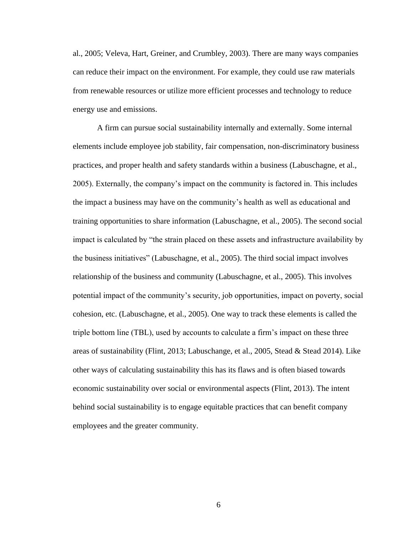al., 2005; Veleva, Hart, Greiner, and Crumbley, 2003). There are many ways companies can reduce their impact on the environment. For example, they could use raw materials from renewable resources or utilize more efficient processes and technology to reduce energy use and emissions.

A firm can pursue social sustainability internally and externally. Some internal elements include employee job stability, fair compensation, non-discriminatory business practices, and proper health and safety standards within a business (Labuschagne, et al., 2005). Externally, the company's impact on the community is factored in. This includes the impact a business may have on the community's health as well as educational and training opportunities to share information (Labuschagne, et al., 2005). The second social impact is calculated by "the strain placed on these assets and infrastructure availability by the business initiatives" (Labuschagne, et al., 2005). The third social impact involves relationship of the business and community (Labuschagne, et al., 2005). This involves potential impact of the community's security, job opportunities, impact on poverty, social cohesion, etc. (Labuschagne, et al., 2005). One way to track these elements is called the triple bottom line (TBL), used by accounts to calculate a firm's impact on these three areas of sustainability (Flint, 2013; Labuschange, et al., 2005, Stead & Stead 2014). Like other ways of calculating sustainability this has its flaws and is often biased towards economic sustainability over social or environmental aspects (Flint, 2013). The intent behind social sustainability is to engage equitable practices that can benefit company employees and the greater community.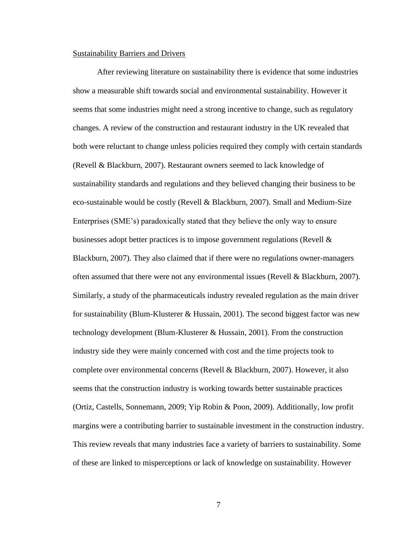#### Sustainability Barriers and Drivers

After reviewing literature on sustainability there is evidence that some industries show a measurable shift towards social and environmental sustainability. However it seems that some industries might need a strong incentive to change, such as regulatory changes. A review of the construction and restaurant industry in the UK revealed that both were reluctant to change unless policies required they comply with certain standards (Revell & Blackburn, 2007). Restaurant owners seemed to lack knowledge of sustainability standards and regulations and they believed changing their business to be eco-sustainable would be costly (Revell & Blackburn, 2007). Small and Medium-Size Enterprises (SME's) paradoxically stated that they believe the only way to ensure businesses adopt better practices is to impose government regulations (Revell & Blackburn, 2007). They also claimed that if there were no regulations owner-managers often assumed that there were not any environmental issues (Revell  $\&$  Blackburn, 2007). Similarly, a study of the pharmaceuticals industry revealed regulation as the main driver for sustainability (Blum-Klusterer & Hussain, 2001). The second biggest factor was new technology development (Blum-Klusterer & Hussain, 2001). From the construction industry side they were mainly concerned with cost and the time projects took to complete over environmental concerns (Revell & Blackburn, 2007). However, it also seems that the construction industry is working towards better sustainable practices (Ortiz, Castells, Sonnemann, 2009; Yip Robin & Poon, 2009). Additionally, low profit margins were a contributing barrier to sustainable investment in the construction industry. This review reveals that many industries face a variety of barriers to sustainability. Some of these are linked to misperceptions or lack of knowledge on sustainability. However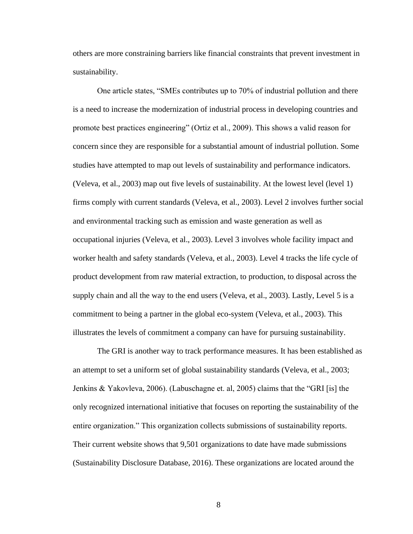others are more constraining barriers like financial constraints that prevent investment in sustainability.

One article states, "SMEs contributes up to 70% of industrial pollution and there is a need to increase the modernization of industrial process in developing countries and promote best practices engineering" (Ortiz et al., 2009). This shows a valid reason for concern since they are responsible for a substantial amount of industrial pollution. Some studies have attempted to map out levels of sustainability and performance indicators. (Veleva, et al., 2003) map out five levels of sustainability. At the lowest level (level 1) firms comply with current standards (Veleva, et al., 2003). Level 2 involves further social and environmental tracking such as emission and waste generation as well as occupational injuries (Veleva, et al., 2003). Level 3 involves whole facility impact and worker health and safety standards (Veleva, et al., 2003). Level 4 tracks the life cycle of product development from raw material extraction, to production, to disposal across the supply chain and all the way to the end users (Veleva, et al., 2003). Lastly, Level 5 is a commitment to being a partner in the global eco-system (Veleva, et al., 2003). This illustrates the levels of commitment a company can have for pursuing sustainability.

The GRI is another way to track performance measures. It has been established as an attempt to set a uniform set of global sustainability standards (Veleva, et al., 2003; Jenkins & Yakovleva, 2006). (Labuschagne et. al, 2005) claims that the "GRI [is] the only recognized international initiative that focuses on reporting the sustainability of the entire organization." This organization collects submissions of sustainability reports. Their current website shows that 9,501 organizations to date have made submissions (Sustainability Disclosure Database, 2016). These organizations are located around the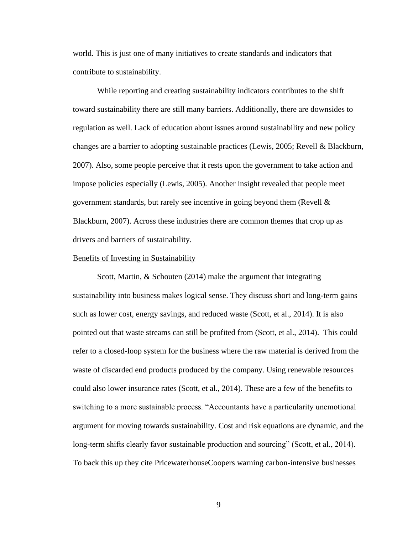world. This is just one of many initiatives to create standards and indicators that contribute to sustainability.

While reporting and creating sustainability indicators contributes to the shift toward sustainability there are still many barriers. Additionally, there are downsides to regulation as well. Lack of education about issues around sustainability and new policy changes are a barrier to adopting sustainable practices (Lewis, 2005; Revell & Blackburn, 2007). Also, some people perceive that it rests upon the government to take action and impose policies especially (Lewis, 2005). Another insight revealed that people meet government standards, but rarely see incentive in going beyond them (Revell  $\&$ Blackburn, 2007). Across these industries there are common themes that crop up as drivers and barriers of sustainability.

#### Benefits of Investing in Sustainability

Scott, Martin, & Schouten (2014) make the argument that integrating sustainability into business makes logical sense. They discuss short and long-term gains such as lower cost, energy savings, and reduced waste (Scott, et al., 2014). It is also pointed out that waste streams can still be profited from (Scott, et al., 2014). This could refer to a closed-loop system for the business where the raw material is derived from the waste of discarded end products produced by the company. Using renewable resources could also lower insurance rates (Scott, et al., 2014). These are a few of the benefits to switching to a more sustainable process. "Accountants have a particularity unemotional argument for moving towards sustainability. Cost and risk equations are dynamic, and the long-term shifts clearly favor sustainable production and sourcing" (Scott, et al., 2014). To back this up they cite PricewaterhouseCoopers warning carbon-intensive businesses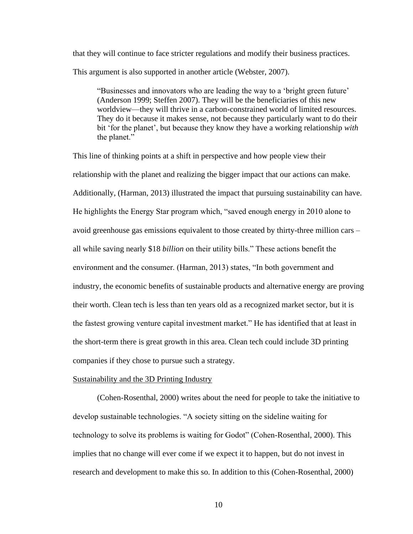that they will continue to face stricter regulations and modify their business practices. This argument is also supported in another article (Webster, 2007).

"Businesses and innovators who are leading the way to a 'bright green future' (Anderson 1999; Steffen 2007). They will be the beneficiaries of this new worldview—they will thrive in a carbon-constrained world of limited resources. They do it because it makes sense, not because they particularly want to do their bit 'for the planet', but because they know they have a working relationship *with*  the planet."

This line of thinking points at a shift in perspective and how people view their relationship with the planet and realizing the bigger impact that our actions can make. Additionally, (Harman, 2013) illustrated the impact that pursuing sustainability can have. He highlights the Energy Star program which, "saved enough energy in 2010 alone to avoid greenhouse gas emissions equivalent to those created by thirty-three million cars – all while saving nearly \$18 *billion* on their utility bills." These actions benefit the environment and the consumer. (Harman, 2013) states, "In both government and industry, the economic benefits of sustainable products and alternative energy are proving their worth. Clean tech is less than ten years old as a recognized market sector, but it is the fastest growing venture capital investment market." He has identified that at least in the short-term there is great growth in this area. Clean tech could include 3D printing companies if they chose to pursue such a strategy.

#### Sustainability and the 3D Printing Industry

(Cohen-Rosenthal, 2000) writes about the need for people to take the initiative to develop sustainable technologies. "A society sitting on the sideline waiting for technology to solve its problems is waiting for Godot" (Cohen-Rosenthal, 2000). This implies that no change will ever come if we expect it to happen, but do not invest in research and development to make this so. In addition to this (Cohen-Rosenthal, 2000)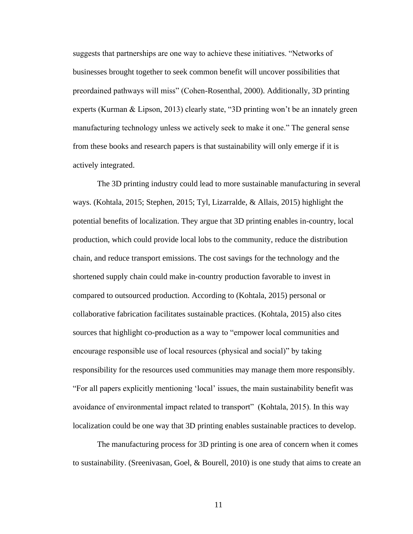suggests that partnerships are one way to achieve these initiatives. "Networks of businesses brought together to seek common benefit will uncover possibilities that preordained pathways will miss" (Cohen-Rosenthal, 2000). Additionally, 3D printing experts (Kurman & Lipson, 2013) clearly state, "3D printing won't be an innately green manufacturing technology unless we actively seek to make it one." The general sense from these books and research papers is that sustainability will only emerge if it is actively integrated.

The 3D printing industry could lead to more sustainable manufacturing in several ways. (Kohtala, 2015; Stephen, 2015; Tyl, Lizarralde, & Allais, 2015) highlight the potential benefits of localization. They argue that 3D printing enables in-country, local production, which could provide local lobs to the community, reduce the distribution chain, and reduce transport emissions. The cost savings for the technology and the shortened supply chain could make in-country production favorable to invest in compared to outsourced production. According to (Kohtala, 2015) personal or collaborative fabrication facilitates sustainable practices. (Kohtala, 2015) also cites sources that highlight co-production as a way to "empower local communities and encourage responsible use of local resources (physical and social)" by taking responsibility for the resources used communities may manage them more responsibly. "For all papers explicitly mentioning 'local' issues, the main sustainability benefit was avoidance of environmental impact related to transport" (Kohtala, 2015). In this way localization could be one way that 3D printing enables sustainable practices to develop.

The manufacturing process for 3D printing is one area of concern when it comes to sustainability. (Sreenivasan, Goel, & Bourell, 2010) is one study that aims to create an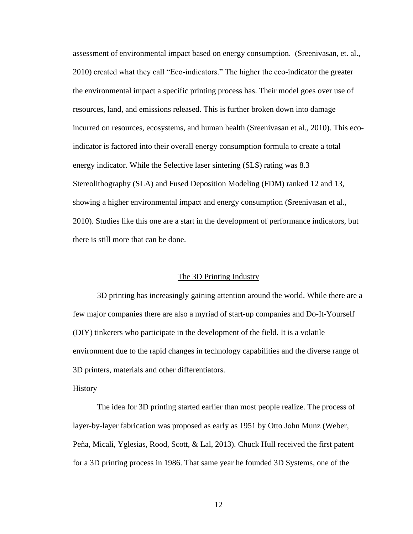assessment of environmental impact based on energy consumption. (Sreenivasan, et. al., 2010) created what they call "Eco-indicators." The higher the eco-indicator the greater the environmental impact a specific printing process has. Their model goes over use of resources, land, and emissions released. This is further broken down into damage incurred on resources, ecosystems, and human health (Sreenivasan et al., 2010). This ecoindicator is factored into their overall energy consumption formula to create a total energy indicator. While the Selective laser sintering (SLS) rating was 8.3 Stereolithography (SLA) and Fused Deposition Modeling (FDM) ranked 12 and 13, showing a higher environmental impact and energy consumption (Sreenivasan et al., 2010). Studies like this one are a start in the development of performance indicators, but there is still more that can be done.

#### The 3D Printing Industry

3D printing has increasingly gaining attention around the world. While there are a few major companies there are also a myriad of start-up companies and Do-It-Yourself (DIY) tinkerers who participate in the development of the field. It is a volatile environment due to the rapid changes in technology capabilities and the diverse range of 3D printers, materials and other differentiators.

#### **History**

The idea for 3D printing started earlier than most people realize. The process of layer-by-layer fabrication was proposed as early as 1951 by Otto John Munz (Weber, Peña, Micali, Yglesias, Rood, Scott, & Lal, 2013). Chuck Hull received the first patent for a 3D printing process in 1986. That same year he founded 3D Systems, one of the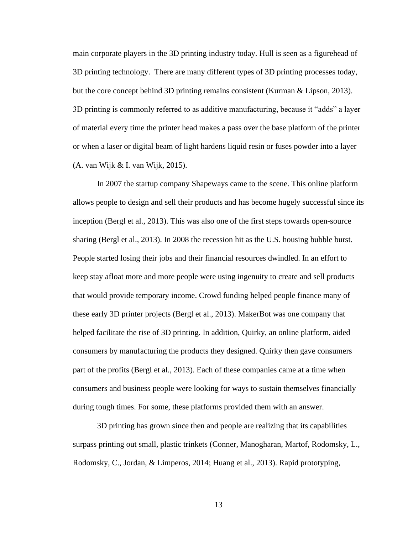main corporate players in the 3D printing industry today. Hull is seen as a figurehead of 3D printing technology. There are many different types of 3D printing processes today, but the core concept behind 3D printing remains consistent (Kurman & Lipson, 2013). 3D printing is commonly referred to as additive manufacturing, because it "adds" a layer of material every time the printer head makes a pass over the base platform of the printer or when a laser or digital beam of light hardens liquid resin or fuses powder into a layer (A. van Wijk & I. van Wijk, 2015).

In 2007 the startup company Shapeways came to the scene. This online platform allows people to design and sell their products and has become hugely successful since its inception (Bergl et al., 2013). This was also one of the first steps towards open-source sharing (Bergl et al., 2013). In 2008 the recession hit as the U.S. housing bubble burst. People started losing their jobs and their financial resources dwindled. In an effort to keep stay afloat more and more people were using ingenuity to create and sell products that would provide temporary income. Crowd funding helped people finance many of these early 3D printer projects (Bergl et al., 2013). MakerBot was one company that helped facilitate the rise of 3D printing. In addition, Quirky, an online platform, aided consumers by manufacturing the products they designed. Quirky then gave consumers part of the profits (Bergl et al., 2013). Each of these companies came at a time when consumers and business people were looking for ways to sustain themselves financially during tough times. For some, these platforms provided them with an answer.

3D printing has grown since then and people are realizing that its capabilities surpass printing out small, plastic trinkets (Conner, Manogharan, Martof, Rodomsky, L., Rodomsky, C., Jordan, & Limperos, 2014; Huang et al., 2013). Rapid prototyping,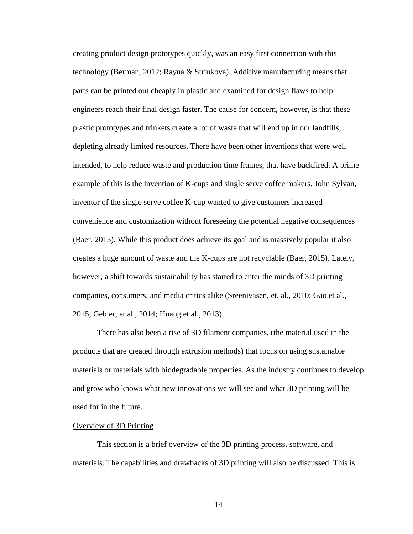creating product design prototypes quickly, was an easy first connection with this technology (Berman, 2012; Rayna & Striukova). Additive manufacturing means that parts can be printed out cheaply in plastic and examined for design flaws to help engineers reach their final design faster. The cause for concern, however, is that these plastic prototypes and trinkets create a lot of waste that will end up in our landfills, depleting already limited resources. There have been other inventions that were well intended, to help reduce waste and production time frames, that have backfired. A prime example of this is the invention of K-cups and single serve coffee makers. John Sylvan, inventor of the single serve coffee K-cup wanted to give customers increased convenience and customization without foreseeing the potential negative consequences (Baer, 2015). While this product does achieve its goal and is massively popular it also creates a huge amount of waste and the K-cups are not recyclable (Baer, 2015). Lately, however, a shift towards sustainability has started to enter the minds of 3D printing companies, consumers, and media critics alike (Sreenivasen, et. al., 2010; Gao et al., 2015; Gebler, et al., 2014; Huang et al., 2013).

There has also been a rise of 3D filament companies, (the material used in the products that are created through extrusion methods) that focus on using sustainable materials or materials with biodegradable properties. As the industry continues to develop and grow who knows what new innovations we will see and what 3D printing will be used for in the future.

#### Overview of 3D Printing

This section is a brief overview of the 3D printing process, software, and materials. The capabilities and drawbacks of 3D printing will also be discussed. This is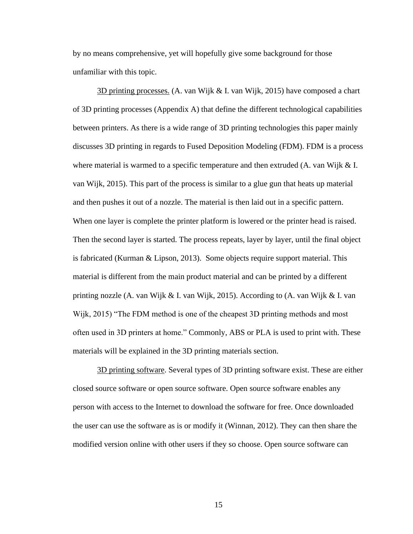by no means comprehensive, yet will hopefully give some background for those unfamiliar with this topic.

3D printing processes. (A. van Wijk & I. van Wijk, 2015) have composed a chart of 3D printing processes (Appendix A) that define the different technological capabilities between printers. As there is a wide range of 3D printing technologies this paper mainly discusses 3D printing in regards to Fused Deposition Modeling (FDM). FDM is a process where material is warmed to a specific temperature and then extruded (A. van Wijk & I. van Wijk, 2015). This part of the process is similar to a glue gun that heats up material and then pushes it out of a nozzle. The material is then laid out in a specific pattern. When one layer is complete the printer platform is lowered or the printer head is raised. Then the second layer is started. The process repeats, layer by layer, until the final object is fabricated (Kurman & Lipson, 2013). Some objects require support material. This material is different from the main product material and can be printed by a different printing nozzle (A. van Wijk & I. van Wijk, 2015). According to (A. van Wijk & I. van Wijk, 2015) "The FDM method is one of the cheapest 3D printing methods and most often used in 3D printers at home." Commonly, ABS or PLA is used to print with. These materials will be explained in the 3D printing materials section.

3D printing software. Several types of 3D printing software exist. These are either closed source software or open source software. Open source software enables any person with access to the Internet to download the software for free. Once downloaded the user can use the software as is or modify it (Winnan, 2012). They can then share the modified version online with other users if they so choose. Open source software can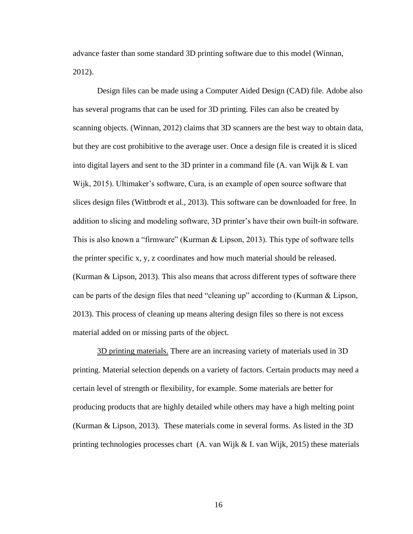advance faster than some standard 3D printing software due to this model (Winnan, 2012).

Design files can be made using a Computer Aided Design (CAD) file. Adobe also has several programs that can be used for 3D printing. Files can also be created by scanning objects. (Winnan, 2012) claims that 3D scanners are the best way to obtain data, but they are cost prohibitive to the average user. Once a design file is created it is sliced into digital layers and sent to the 3D printer in a command file (A. van Wijk & I. van Wijk, 2015). Ultimaker's software, Cura, is an example of open source software that slices design files (Wittbrodt et al., 2013). This software can be downloaded for free. In addition to slicing and modeling software, 3D printer's have their own built-in software. This is also known a "firmware" (Kurman & Lipson, 2013). This type of software tells the printer specific x, y, z coordinates and how much material should be released. (Kurman & Lipson, 2013). This also means that across different types of software there can be parts of the design files that need "cleaning up" according to (Kurman & Lipson, 2013). This process of cleaning up means altering design files so there is not excess material added on or missing parts of the object.

3D printing materials. There are an increasing variety of materials used in 3D printing. Material selection depends on a variety of factors. Certain products may need a certain level of strength or flexibility, for example. Some materials are better for producing products that are highly detailed while others may have a high melting point (Kurman & Lipson, 2013). These materials come in several forms. As listed in the 3D printing technologies processes chart (A. van Wijk & I. van Wijk, 2015) these materials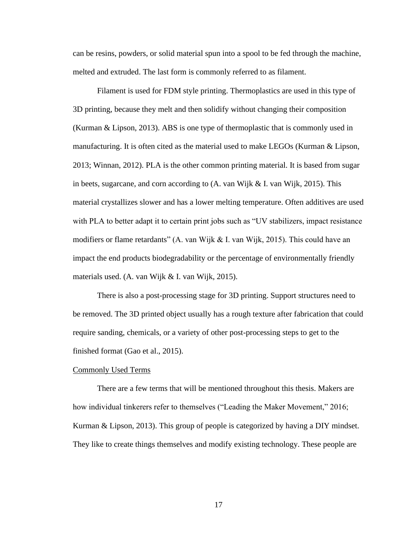can be resins, powders, or solid material spun into a spool to be fed through the machine, melted and extruded. The last form is commonly referred to as filament.

Filament is used for FDM style printing. Thermoplastics are used in this type of 3D printing, because they melt and then solidify without changing their composition (Kurman & Lipson, 2013). ABS is one type of thermoplastic that is commonly used in manufacturing. It is often cited as the material used to make LEGOs (Kurman & Lipson, 2013; Winnan, 2012). PLA is the other common printing material. It is based from sugar in beets, sugarcane, and corn according to  $(A$ . van Wijk & I. van Wijk, 2015). This material crystallizes slower and has a lower melting temperature. Often additives are used with PLA to better adapt it to certain print jobs such as "UV stabilizers, impact resistance modifiers or flame retardants" (A. van Wijk & I. van Wijk, 2015). This could have an impact the end products biodegradability or the percentage of environmentally friendly materials used. (A. van Wijk & I. van Wijk, 2015).

There is also a post-processing stage for 3D printing. Support structures need to be removed. The 3D printed object usually has a rough texture after fabrication that could require sanding, chemicals, or a variety of other post-processing steps to get to the finished format (Gao et al., 2015).

#### Commonly Used Terms

There are a few terms that will be mentioned throughout this thesis. Makers are how individual tinkerers refer to themselves ("Leading the Maker Movement," 2016; Kurman & Lipson, 2013). This group of people is categorized by having a DIY mindset. They like to create things themselves and modify existing technology. These people are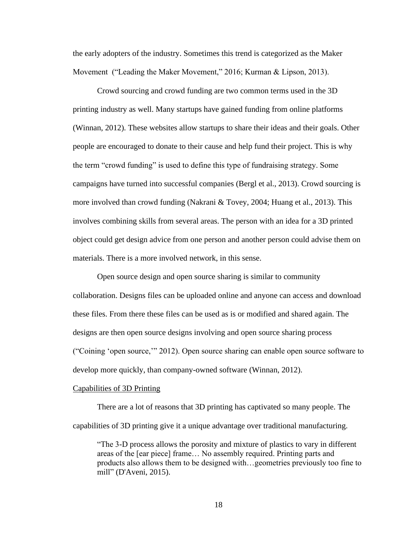the early adopters of the industry. Sometimes this trend is categorized as the Maker Movement ("Leading the Maker Movement," 2016; Kurman & Lipson, 2013).

Crowd sourcing and crowd funding are two common terms used in the 3D printing industry as well. Many startups have gained funding from online platforms (Winnan, 2012). These websites allow startups to share their ideas and their goals. Other people are encouraged to donate to their cause and help fund their project. This is why the term "crowd funding" is used to define this type of fundraising strategy. Some campaigns have turned into successful companies (Bergl et al., 2013). Crowd sourcing is more involved than crowd funding (Nakrani & Tovey, 2004; Huang et al., 2013). This involves combining skills from several areas. The person with an idea for a 3D printed object could get design advice from one person and another person could advise them on materials. There is a more involved network, in this sense.

Open source design and open source sharing is similar to community collaboration. Designs files can be uploaded online and anyone can access and download these files. From there these files can be used as is or modified and shared again. The designs are then open source designs involving and open source sharing process ("Coining 'open source,'" 2012). Open source sharing can enable open source software to develop more quickly, than company-owned software (Winnan, 2012).

#### Capabilities of 3D Printing

There are a lot of reasons that 3D printing has captivated so many people. The capabilities of 3D printing give it a unique advantage over traditional manufacturing.

"The 3-D process allows the porosity and mixture of plastics to vary in different areas of the [ear piece] frame… No assembly required. Printing parts and products also allows them to be designed with…geometries previously too fine to mill" (D'Aveni, 2015).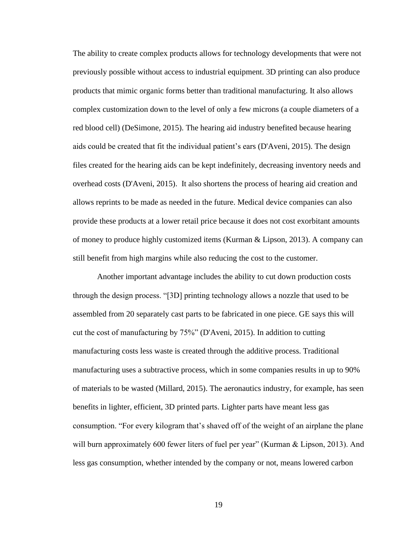The ability to create complex products allows for technology developments that were not previously possible without access to industrial equipment. 3D printing can also produce products that mimic organic forms better than traditional manufacturing. It also allows complex customization down to the level of only a few microns (a couple diameters of a red blood cell) (DeSimone, 2015). The hearing aid industry benefited because hearing aids could be created that fit the individual patient's ears (D'Aveni, 2015). The design files created for the hearing aids can be kept indefinitely, decreasing inventory needs and overhead costs (D'Aveni, 2015). It also shortens the process of hearing aid creation and allows reprints to be made as needed in the future. Medical device companies can also provide these products at a lower retail price because it does not cost exorbitant amounts of money to produce highly customized items (Kurman & Lipson, 2013). A company can still benefit from high margins while also reducing the cost to the customer.

Another important advantage includes the ability to cut down production costs through the design process. "[3D] printing technology allows a nozzle that used to be assembled from 20 separately cast parts to be fabricated in one piece. GE says this will cut the cost of manufacturing by 75%" (D'Aveni, 2015). In addition to cutting manufacturing costs less waste is created through the additive process. Traditional manufacturing uses a subtractive process, which in some companies results in up to 90% of materials to be wasted (Millard, 2015). The aeronautics industry, for example, has seen benefits in lighter, efficient, 3D printed parts. Lighter parts have meant less gas consumption. "For every kilogram that's shaved off of the weight of an airplane the plane will burn approximately 600 fewer liters of fuel per year" (Kurman & Lipson, 2013). And less gas consumption, whether intended by the company or not, means lowered carbon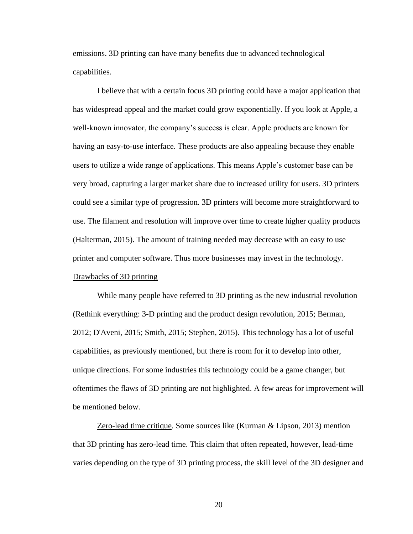emissions. 3D printing can have many benefits due to advanced technological capabilities.

I believe that with a certain focus 3D printing could have a major application that has widespread appeal and the market could grow exponentially. If you look at Apple, a well-known innovator, the company's success is clear. Apple products are known for having an easy-to-use interface. These products are also appealing because they enable users to utilize a wide range of applications. This means Apple's customer base can be very broad, capturing a larger market share due to increased utility for users. 3D printers could see a similar type of progression. 3D printers will become more straightforward to use. The filament and resolution will improve over time to create higher quality products (Halterman, 2015). The amount of training needed may decrease with an easy to use printer and computer software. Thus more businesses may invest in the technology. Drawbacks of 3D printing

While many people have referred to 3D printing as the new industrial revolution (Rethink everything: 3-D printing and the product design revolution, 2015; Berman, 2012; D'Aveni, 2015; Smith, 2015; Stephen, 2015). This technology has a lot of useful capabilities, as previously mentioned, but there is room for it to develop into other, unique directions. For some industries this technology could be a game changer, but oftentimes the flaws of 3D printing are not highlighted. A few areas for improvement will be mentioned below.

Zero-lead time critique. Some sources like (Kurman & Lipson, 2013) mention that 3D printing has zero-lead time. This claim that often repeated, however, lead-time varies depending on the type of 3D printing process, the skill level of the 3D designer and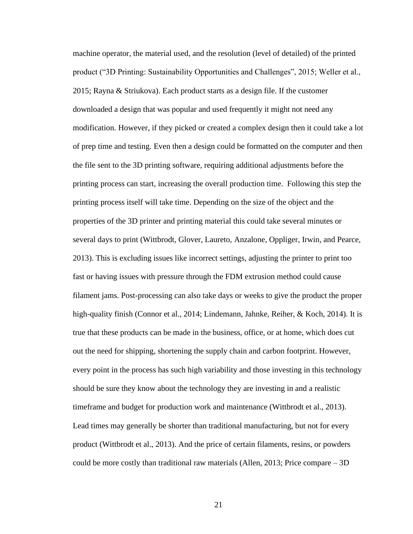machine operator, the material used, and the resolution (level of detailed) of the printed product ("3D Printing: Sustainability Opportunities and Challenges", 2015; Weller et al., 2015; Rayna & Striukova). Each product starts as a design file. If the customer downloaded a design that was popular and used frequently it might not need any modification. However, if they picked or created a complex design then it could take a lot of prep time and testing. Even then a design could be formatted on the computer and then the file sent to the 3D printing software, requiring additional adjustments before the printing process can start, increasing the overall production time. Following this step the printing process itself will take time. Depending on the size of the object and the properties of the 3D printer and printing material this could take several minutes or several days to print (Wittbrodt, Glover, Laureto, Anzalone, Oppliger, Irwin, and Pearce, 2013). This is excluding issues like incorrect settings, adjusting the printer to print too fast or having issues with pressure through the FDM extrusion method could cause filament jams. Post-processing can also take days or weeks to give the product the proper high-quality finish (Connor et al., 2014; Lindemann, Jahnke, Reiher, & Koch, 2014). It is true that these products can be made in the business, office, or at home, which does cut out the need for shipping, shortening the supply chain and carbon footprint. However, every point in the process has such high variability and those investing in this technology should be sure they know about the technology they are investing in and a realistic timeframe and budget for production work and maintenance (Wittbrodt et al., 2013). Lead times may generally be shorter than traditional manufacturing, but not for every product (Wittbrodt et al., 2013). And the price of certain filaments, resins, or powders could be more costly than traditional raw materials (Allen, 2013; Price compare – 3D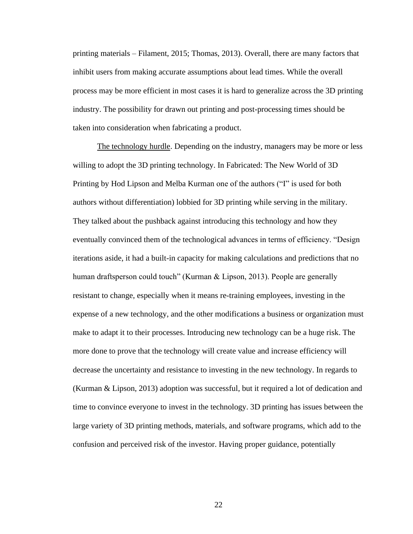printing materials – Filament, 2015; Thomas, 2013). Overall, there are many factors that inhibit users from making accurate assumptions about lead times. While the overall process may be more efficient in most cases it is hard to generalize across the 3D printing industry. The possibility for drawn out printing and post-processing times should be taken into consideration when fabricating a product.

The technology hurdle. Depending on the industry, managers may be more or less willing to adopt the 3D printing technology. In Fabricated: The New World of 3D Printing by Hod Lipson and Melba Kurman one of the authors ("I" is used for both authors without differentiation) lobbied for 3D printing while serving in the military. They talked about the pushback against introducing this technology and how they eventually convinced them of the technological advances in terms of efficiency. "Design iterations aside, it had a built-in capacity for making calculations and predictions that no human draftsperson could touch" (Kurman & Lipson, 2013). People are generally resistant to change, especially when it means re-training employees, investing in the expense of a new technology, and the other modifications a business or organization must make to adapt it to their processes. Introducing new technology can be a huge risk. The more done to prove that the technology will create value and increase efficiency will decrease the uncertainty and resistance to investing in the new technology. In regards to (Kurman & Lipson, 2013) adoption was successful, but it required a lot of dedication and time to convince everyone to invest in the technology. 3D printing has issues between the large variety of 3D printing methods, materials, and software programs, which add to the confusion and perceived risk of the investor. Having proper guidance, potentially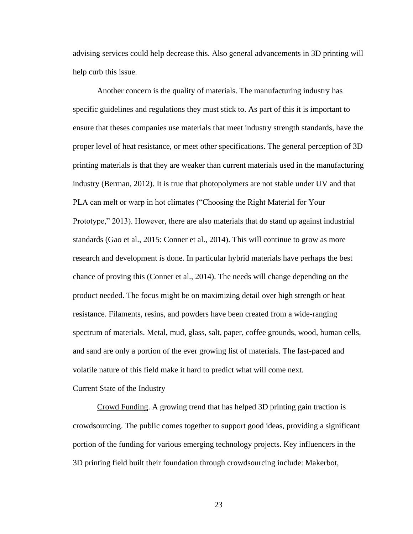advising services could help decrease this. Also general advancements in 3D printing will help curb this issue.

Another concern is the quality of materials. The manufacturing industry has specific guidelines and regulations they must stick to. As part of this it is important to ensure that theses companies use materials that meet industry strength standards, have the proper level of heat resistance, or meet other specifications. The general perception of 3D printing materials is that they are weaker than current materials used in the manufacturing industry (Berman, 2012). It is true that photopolymers are not stable under UV and that PLA can melt or warp in hot climates ("Choosing the Right Material for Your Prototype," 2013). However, there are also materials that do stand up against industrial standards (Gao et al., 2015: Conner et al., 2014). This will continue to grow as more research and development is done. In particular hybrid materials have perhaps the best chance of proving this (Conner et al., 2014). The needs will change depending on the product needed. The focus might be on maximizing detail over high strength or heat resistance. Filaments, resins, and powders have been created from a wide-ranging spectrum of materials. Metal, mud, glass, salt, paper, coffee grounds, wood, human cells, and sand are only a portion of the ever growing list of materials. The fast-paced and volatile nature of this field make it hard to predict what will come next.

#### Current State of the Industry

Crowd Funding. A growing trend that has helped 3D printing gain traction is crowdsourcing. The public comes together to support good ideas, providing a significant portion of the funding for various emerging technology projects. Key influencers in the 3D printing field built their foundation through crowdsourcing include: Makerbot,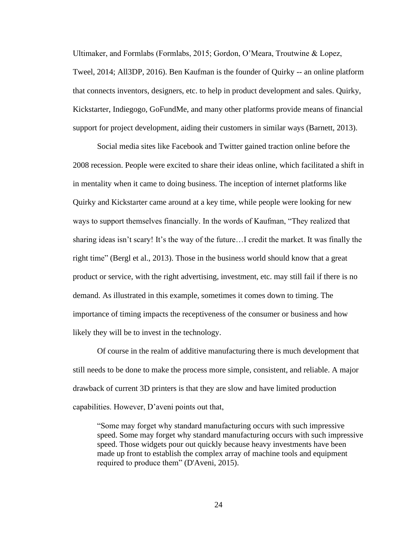Ultimaker, and Formlabs (Formlabs, 2015; Gordon, O'Meara, Troutwine & Lopez, Tweel, 2014; All3DP, 2016). Ben Kaufman is the founder of Quirky -- an online platform that connects inventors, designers, etc. to help in product development and sales. Quirky, Kickstarter, Indiegogo, GoFundMe, and many other platforms provide means of financial support for project development, aiding their customers in similar ways (Barnett, 2013).

Social media sites like Facebook and Twitter gained traction online before the 2008 recession. People were excited to share their ideas online, which facilitated a shift in in mentality when it came to doing business. The inception of internet platforms like Quirky and Kickstarter came around at a key time, while people were looking for new ways to support themselves financially. In the words of Kaufman, "They realized that sharing ideas isn't scary! It's the way of the future…I credit the market. It was finally the right time" (Bergl et al., 2013). Those in the business world should know that a great product or service, with the right advertising, investment, etc. may still fail if there is no demand. As illustrated in this example, sometimes it comes down to timing. The importance of timing impacts the receptiveness of the consumer or business and how likely they will be to invest in the technology.

Of course in the realm of additive manufacturing there is much development that still needs to be done to make the process more simple, consistent, and reliable. A major drawback of current 3D printers is that they are slow and have limited production capabilities. However, D'aveni points out that,

"Some may forget why standard manufacturing occurs with such impressive speed. Some may forget why standard manufacturing occurs with such impressive speed. Those widgets pour out quickly because heavy investments have been made up front to establish the complex array of machine tools and equipment required to produce them" (D'Aveni, 2015).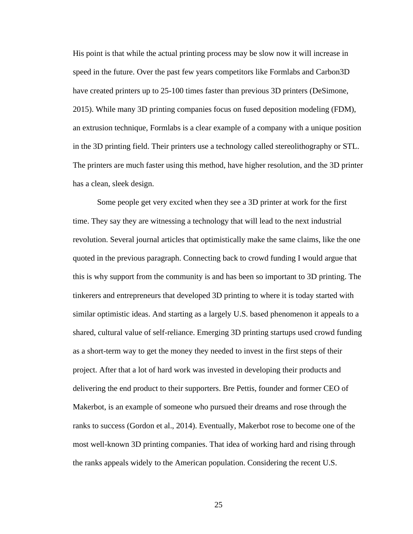His point is that while the actual printing process may be slow now it will increase in speed in the future. Over the past few years competitors like Formlabs and Carbon3D have created printers up to 25-100 times faster than previous 3D printers (DeSimone, 2015). While many 3D printing companies focus on fused deposition modeling (FDM), an extrusion technique, Formlabs is a clear example of a company with a unique position in the 3D printing field. Their printers use a technology called stereolithography or STL. The printers are much faster using this method, have higher resolution, and the 3D printer has a clean, sleek design.

Some people get very excited when they see a 3D printer at work for the first time. They say they are witnessing a technology that will lead to the next industrial revolution. Several journal articles that optimistically make the same claims, like the one quoted in the previous paragraph. Connecting back to crowd funding I would argue that this is why support from the community is and has been so important to 3D printing. The tinkerers and entrepreneurs that developed 3D printing to where it is today started with similar optimistic ideas. And starting as a largely U.S. based phenomenon it appeals to a shared, cultural value of self-reliance. Emerging 3D printing startups used crowd funding as a short-term way to get the money they needed to invest in the first steps of their project. After that a lot of hard work was invested in developing their products and delivering the end product to their supporters. Bre Pettis, founder and former CEO of Makerbot, is an example of someone who pursued their dreams and rose through the ranks to success (Gordon et al., 2014). Eventually, Makerbot rose to become one of the most well-known 3D printing companies. That idea of working hard and rising through the ranks appeals widely to the American population. Considering the recent U.S.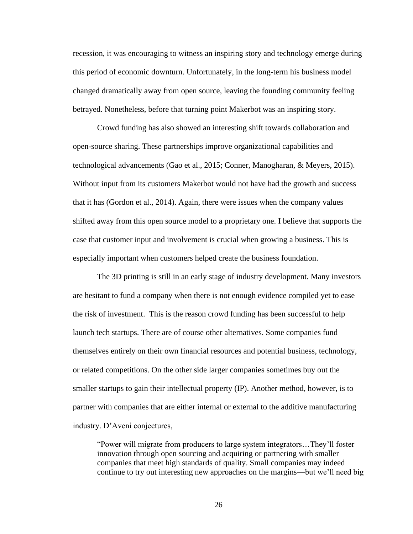recession, it was encouraging to witness an inspiring story and technology emerge during this period of economic downturn. Unfortunately, in the long-term his business model changed dramatically away from open source, leaving the founding community feeling betrayed. Nonetheless, before that turning point Makerbot was an inspiring story.

Crowd funding has also showed an interesting shift towards collaboration and open-source sharing. These partnerships improve organizational capabilities and technological advancements (Gao et al., 2015; Conner, Manogharan, & Meyers, 2015). Without input from its customers Makerbot would not have had the growth and success that it has (Gordon et al., 2014). Again, there were issues when the company values shifted away from this open source model to a proprietary one. I believe that supports the case that customer input and involvement is crucial when growing a business. This is especially important when customers helped create the business foundation.

The 3D printing is still in an early stage of industry development. Many investors are hesitant to fund a company when there is not enough evidence compiled yet to ease the risk of investment. This is the reason crowd funding has been successful to help launch tech startups. There are of course other alternatives. Some companies fund themselves entirely on their own financial resources and potential business, technology, or related competitions. On the other side larger companies sometimes buy out the smaller startups to gain their intellectual property (IP). Another method, however, is to partner with companies that are either internal or external to the additive manufacturing industry. D'Aveni conjectures,

"Power will migrate from producers to large system integrators…They'll foster innovation through open sourcing and acquiring or partnering with smaller companies that meet high standards of quality. Small companies may indeed continue to try out interesting new approaches on the margins—but we'll need big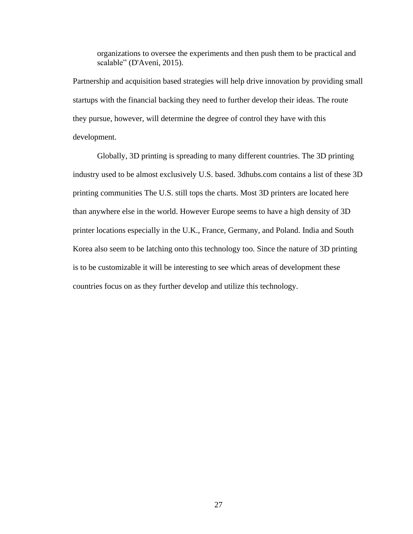organizations to oversee the experiments and then push them to be practical and scalable" (D'Aveni, 2015).

Partnership and acquisition based strategies will help drive innovation by providing small startups with the financial backing they need to further develop their ideas. The route they pursue, however, will determine the degree of control they have with this development.

Globally, 3D printing is spreading to many different countries. The 3D printing industry used to be almost exclusively U.S. based. 3dhubs.com contains a list of these 3D printing communities The U.S. still tops the charts. Most 3D printers are located here than anywhere else in the world. However Europe seems to have a high density of 3D printer locations especially in the U.K., France, Germany, and Poland. India and South Korea also seem to be latching onto this technology too. Since the nature of 3D printing is to be customizable it will be interesting to see which areas of development these countries focus on as they further develop and utilize this technology.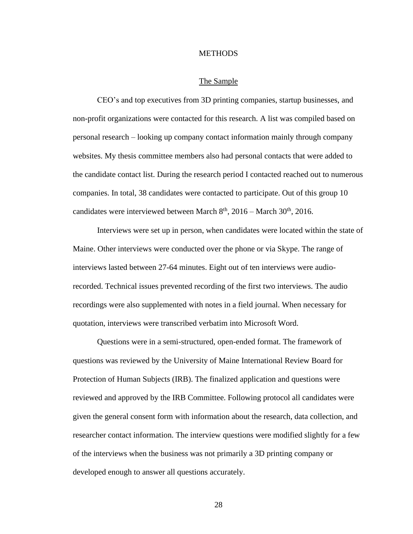#### **METHODS**

#### The Sample

CEO's and top executives from 3D printing companies, startup businesses, and non-profit organizations were contacted for this research. A list was compiled based on personal research – looking up company contact information mainly through company websites. My thesis committee members also had personal contacts that were added to the candidate contact list. During the research period I contacted reached out to numerous companies. In total, 38 candidates were contacted to participate. Out of this group 10 candidates were interviewed between March  $8<sup>th</sup>$ , 2016 – March 30<sup>th</sup>, 2016.

Interviews were set up in person, when candidates were located within the state of Maine. Other interviews were conducted over the phone or via Skype. The range of interviews lasted between 27-64 minutes. Eight out of ten interviews were audiorecorded. Technical issues prevented recording of the first two interviews. The audio recordings were also supplemented with notes in a field journal. When necessary for quotation, interviews were transcribed verbatim into Microsoft Word.

Questions were in a semi-structured, open-ended format. The framework of questions was reviewed by the University of Maine International Review Board for Protection of Human Subjects (IRB). The finalized application and questions were reviewed and approved by the IRB Committee. Following protocol all candidates were given the general consent form with information about the research, data collection, and researcher contact information. The interview questions were modified slightly for a few of the interviews when the business was not primarily a 3D printing company or developed enough to answer all questions accurately.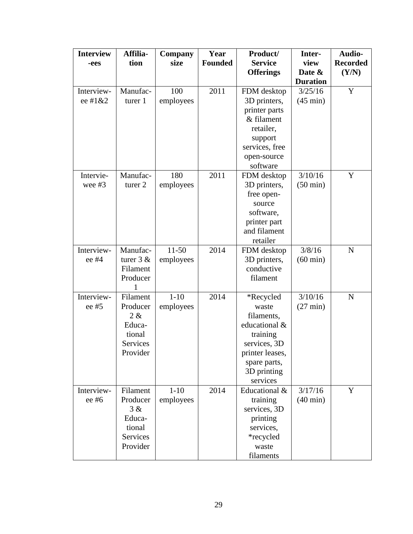| <b>Interview</b> | Affilia-    | Company   | Year           | Product/         | Inter-             | Audio-          |
|------------------|-------------|-----------|----------------|------------------|--------------------|-----------------|
| -ees             | tion        | size      | <b>Founded</b> | <b>Service</b>   | view               | <b>Recorded</b> |
|                  |             |           |                | <b>Offerings</b> | Date &             | (Y/N)           |
|                  |             |           |                |                  | <b>Duration</b>    |                 |
| Interview-       | Manufac-    | 100       | 2011           | FDM desktop      | 3/25/16            | Y               |
| ee #1&2          | turer 1     | employees |                | 3D printers,     | $(45 \text{ min})$ |                 |
|                  |             |           |                | printer parts    |                    |                 |
|                  |             |           |                | & filament       |                    |                 |
|                  |             |           |                | retailer,        |                    |                 |
|                  |             |           |                | support          |                    |                 |
|                  |             |           |                | services, free   |                    |                 |
|                  |             |           |                | open-source      |                    |                 |
|                  |             |           |                | software         |                    |                 |
| Intervie-        | Manufac-    | 180       | 2011           | FDM desktop      | 3/10/16            | Y               |
| wee $#3$         | turer 2     | employees |                | 3D printers,     | $(50 \text{ min})$ |                 |
|                  |             |           |                | free open-       |                    |                 |
|                  |             |           |                | source           |                    |                 |
|                  |             |           |                | software,        |                    |                 |
|                  |             |           |                | printer part     |                    |                 |
|                  |             |           |                | and filament     |                    |                 |
|                  |             |           |                | retailer         |                    |                 |
| Interview-       | Manufac-    | $11 - 50$ | 2014           | FDM desktop      | 3/8/16             | $\mathbf N$     |
| ee #4            | turer $3 &$ | employees |                | 3D printers,     | $(60 \text{ min})$ |                 |
|                  | Filament    |           |                | conductive       |                    |                 |
|                  | Producer    |           |                | filament         |                    |                 |
|                  |             |           |                |                  |                    |                 |
| Interview-       | Filament    | $1 - 10$  | 2014           | *Recycled        | 3/10/16            | N               |
| ee #5            | Producer    | employees |                | waste            | $(27 \text{ min})$ |                 |
|                  | 2 &         |           |                | filaments,       |                    |                 |
|                  | Educa-      |           |                | educational &    |                    |                 |
|                  | tional      |           |                | training         |                    |                 |
|                  | Services    |           |                | services, 3D     |                    |                 |
|                  | Provider    |           |                | printer leases,  |                    |                 |
|                  |             |           |                | spare parts,     |                    |                 |
|                  |             |           |                | 3D printing      |                    |                 |
|                  |             |           |                | services         |                    |                 |
| Interview-       | Filament    | $1 - 10$  | 2014           | Educational &    | 3/17/16            | Y               |
| ee #6            | Producer    | employees |                | training         | $(40 \text{ min})$ |                 |
|                  | 3 &         |           |                | services, 3D     |                    |                 |
|                  | Educa-      |           |                | printing         |                    |                 |
|                  | tional      |           |                | services,        |                    |                 |
|                  | Services    |           |                | *recycled        |                    |                 |
|                  | Provider    |           |                | waste            |                    |                 |
|                  |             |           |                | filaments        |                    |                 |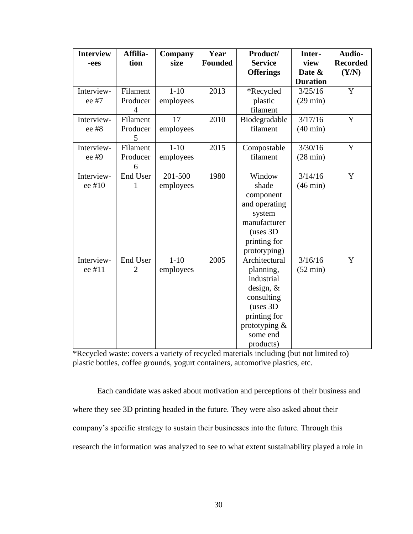| <b>Interview</b><br>-ees | Affilia-<br>tion           | Company<br>size       | Year<br><b>Founded</b> | Product/<br><b>Service</b>                                                                                                                     | Inter-<br>view                | Audio-<br><b>Recorded</b> |
|--------------------------|----------------------------|-----------------------|------------------------|------------------------------------------------------------------------------------------------------------------------------------------------|-------------------------------|---------------------------|
|                          |                            |                       |                        | <b>Offerings</b>                                                                                                                               | Date &<br><b>Duration</b>     | (Y/N)                     |
| Interview-<br>ee #7      | Filament<br>Producer<br>4  | $1 - 10$<br>employees | 2013                   | *Recycled<br>plastic<br>filament                                                                                                               | 3/25/16<br>$(29 \text{ min})$ | Y                         |
| Interview-<br>ee #8      | Filament<br>Producer<br>5  | 17<br>employees       | 2010                   | Biodegradable<br>filament                                                                                                                      | 3/17/16<br>$(40 \text{ min})$ | Y                         |
| Interview-<br>ee #9      | Filament<br>Producer<br>6  | $1 - 10$<br>employees | 2015                   | Compostable<br>filament                                                                                                                        | 3/30/16<br>$(28 \text{ min})$ | Y                         |
| Interview-<br>ee #10     | End User<br>1              | 201-500<br>employees  | 1980                   | Window<br>shade<br>component<br>and operating<br>system<br>manufacturer<br>(uses 3D)<br>printing for<br>prototyping)                           | 3/14/16<br>$(46 \text{ min})$ | Y                         |
| Interview-<br>ee #11     | End User<br>$\overline{2}$ | $1 - 10$<br>employees | 2005                   | Architectural<br>planning,<br>industrial<br>design, $\&$<br>consulting<br>(uses 3D<br>printing for<br>prototyping $&$<br>some end<br>products) | 3/16/16<br>$(52 \text{ min})$ | $\mathbf Y$               |

\*Recycled waste: covers a variety of recycled materials including (but not limited to) plastic bottles, coffee grounds, yogurt containers, automotive plastics, etc.

Each candidate was asked about motivation and perceptions of their business and where they see 3D printing headed in the future. They were also asked about their company's specific strategy to sustain their businesses into the future. Through this research the information was analyzed to see to what extent sustainability played a role in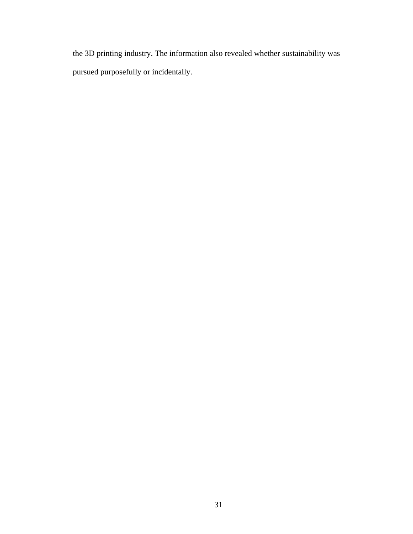the 3D printing industry. The information also revealed whether sustainability was pursued purposefully or incidentally.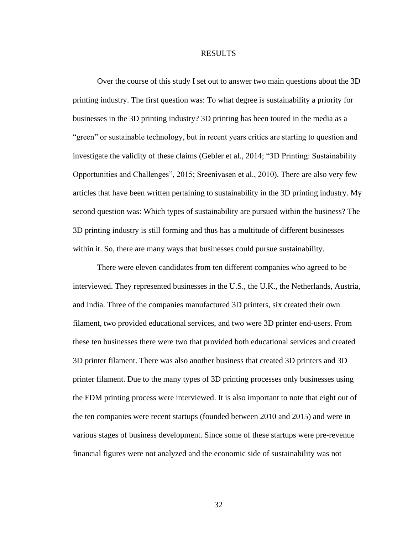#### RESULTS

Over the course of this study I set out to answer two main questions about the 3D printing industry. The first question was: To what degree is sustainability a priority for businesses in the 3D printing industry? 3D printing has been touted in the media as a "green" or sustainable technology, but in recent years critics are starting to question and investigate the validity of these claims (Gebler et al., 2014; "3D Printing: Sustainability Opportunities and Challenges", 2015; Sreenivasen et al., 2010). There are also very few articles that have been written pertaining to sustainability in the 3D printing industry. My second question was: Which types of sustainability are pursued within the business? The 3D printing industry is still forming and thus has a multitude of different businesses within it. So, there are many ways that businesses could pursue sustainability.

There were eleven candidates from ten different companies who agreed to be interviewed. They represented businesses in the U.S., the U.K., the Netherlands, Austria, and India. Three of the companies manufactured 3D printers, six created their own filament, two provided educational services, and two were 3D printer end-users. From these ten businesses there were two that provided both educational services and created 3D printer filament. There was also another business that created 3D printers and 3D printer filament. Due to the many types of 3D printing processes only businesses using the FDM printing process were interviewed. It is also important to note that eight out of the ten companies were recent startups (founded between 2010 and 2015) and were in various stages of business development. Since some of these startups were pre-revenue financial figures were not analyzed and the economic side of sustainability was not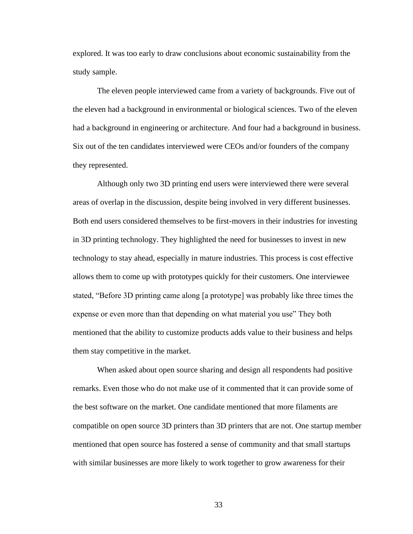explored. It was too early to draw conclusions about economic sustainability from the study sample.

The eleven people interviewed came from a variety of backgrounds. Five out of the eleven had a background in environmental or biological sciences. Two of the eleven had a background in engineering or architecture. And four had a background in business. Six out of the ten candidates interviewed were CEOs and/or founders of the company they represented.

Although only two 3D printing end users were interviewed there were several areas of overlap in the discussion, despite being involved in very different businesses. Both end users considered themselves to be first-movers in their industries for investing in 3D printing technology. They highlighted the need for businesses to invest in new technology to stay ahead, especially in mature industries. This process is cost effective allows them to come up with prototypes quickly for their customers. One interviewee stated, "Before 3D printing came along [a prototype] was probably like three times the expense or even more than that depending on what material you use" They both mentioned that the ability to customize products adds value to their business and helps them stay competitive in the market.

When asked about open source sharing and design all respondents had positive remarks. Even those who do not make use of it commented that it can provide some of the best software on the market. One candidate mentioned that more filaments are compatible on open source 3D printers than 3D printers that are not. One startup member mentioned that open source has fostered a sense of community and that small startups with similar businesses are more likely to work together to grow awareness for their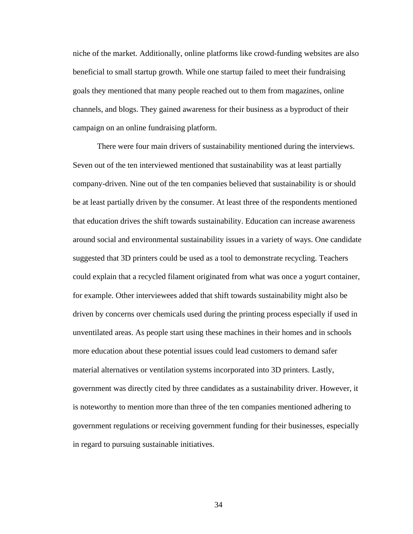niche of the market. Additionally, online platforms like crowd-funding websites are also beneficial to small startup growth. While one startup failed to meet their fundraising goals they mentioned that many people reached out to them from magazines, online channels, and blogs. They gained awareness for their business as a byproduct of their campaign on an online fundraising platform.

There were four main drivers of sustainability mentioned during the interviews. Seven out of the ten interviewed mentioned that sustainability was at least partially company-driven. Nine out of the ten companies believed that sustainability is or should be at least partially driven by the consumer. At least three of the respondents mentioned that education drives the shift towards sustainability. Education can increase awareness around social and environmental sustainability issues in a variety of ways. One candidate suggested that 3D printers could be used as a tool to demonstrate recycling. Teachers could explain that a recycled filament originated from what was once a yogurt container, for example. Other interviewees added that shift towards sustainability might also be driven by concerns over chemicals used during the printing process especially if used in unventilated areas. As people start using these machines in their homes and in schools more education about these potential issues could lead customers to demand safer material alternatives or ventilation systems incorporated into 3D printers. Lastly, government was directly cited by three candidates as a sustainability driver. However, it is noteworthy to mention more than three of the ten companies mentioned adhering to government regulations or receiving government funding for their businesses, especially in regard to pursuing sustainable initiatives.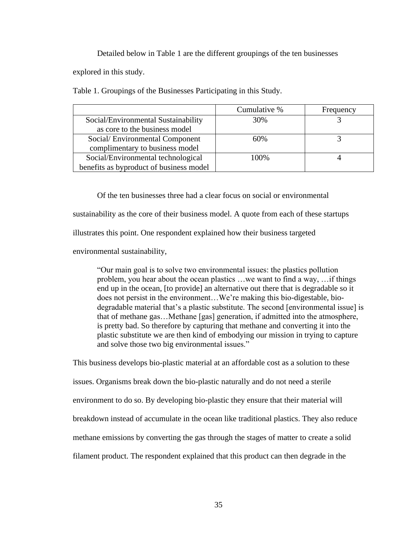Detailed below in Table 1 are the different groupings of the ten businesses

explored in this study.

Table 1. Groupings of the Businesses Participating in this Study.

|                                         | Cumulative % | Frequency |
|-----------------------------------------|--------------|-----------|
| Social/Environmental Sustainability     | 30%          |           |
| as core to the business model           |              |           |
| Social/Environmental Component          | 60%          |           |
| complimentary to business model         |              |           |
| Social/Environmental technological      | 100%         |           |
| benefits as byproduct of business model |              |           |

Of the ten businesses three had a clear focus on social or environmental sustainability as the core of their business model. A quote from each of these startups illustrates this point. One respondent explained how their business targeted environmental sustainability,

"Our main goal is to solve two environmental issues: the plastics pollution problem, you hear about the ocean plastics …we want to find a way, …if things end up in the ocean, [to provide] an alternative out there that is degradable so it does not persist in the environment…We're making this bio-digestable, biodegradable material that's a plastic substitute. The second [environmental issue] is that of methane gas…Methane [gas] generation, if admitted into the atmosphere, is pretty bad. So therefore by capturing that methane and converting it into the plastic substitute we are then kind of embodying our mission in trying to capture and solve those two big environmental issues."

This business develops bio-plastic material at an affordable cost as a solution to these issues. Organisms break down the bio-plastic naturally and do not need a sterile environment to do so. By developing bio-plastic they ensure that their material will breakdown instead of accumulate in the ocean like traditional plastics. They also reduce methane emissions by converting the gas through the stages of matter to create a solid filament product. The respondent explained that this product can then degrade in the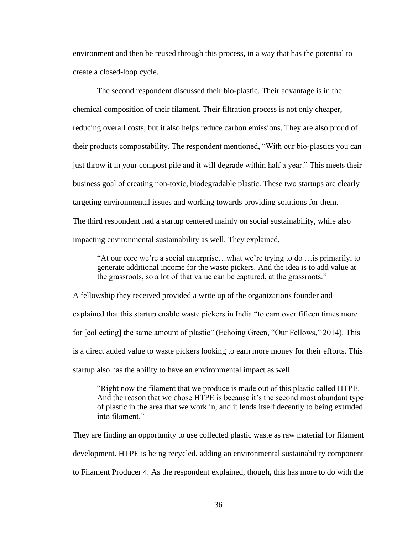environment and then be reused through this process, in a way that has the potential to create a closed-loop cycle.

The second respondent discussed their bio-plastic. Their advantage is in the chemical composition of their filament. Their filtration process is not only cheaper, reducing overall costs, but it also helps reduce carbon emissions. They are also proud of their products compostability. The respondent mentioned, "With our bio-plastics you can just throw it in your compost pile and it will degrade within half a year." This meets their business goal of creating non-toxic, biodegradable plastic. These two startups are clearly targeting environmental issues and working towards providing solutions for them. The third respondent had a startup centered mainly on social sustainability, while also impacting environmental sustainability as well. They explained,

"At our core we're a social enterprise…what we're trying to do …is primarily, to generate additional income for the waste pickers. And the idea is to add value at the grassroots, so a lot of that value can be captured, at the grassroots."

A fellowship they received provided a write up of the organizations founder and explained that this startup enable waste pickers in India "to earn over fifteen times more for [collecting] the same amount of plastic" (Echoing Green, "Our Fellows," 2014). This is a direct added value to waste pickers looking to earn more money for their efforts. This startup also has the ability to have an environmental impact as well.

"Right now the filament that we produce is made out of this plastic called HTPE. And the reason that we chose HTPE is because it's the second most abundant type of plastic in the area that we work in, and it lends itself decently to being extruded into filament."

They are finding an opportunity to use collected plastic waste as raw material for filament development. HTPE is being recycled, adding an environmental sustainability component to Filament Producer 4. As the respondent explained, though, this has more to do with the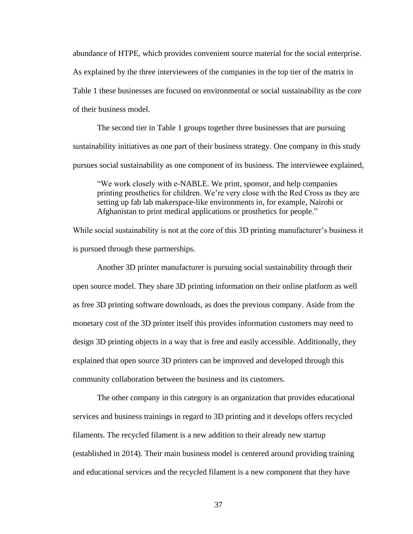abundance of HTPE, which provides convenient source material for the social enterprise. As explained by the three interviewees of the companies in the top tier of the matrix in Table 1 these businesses are focused on environmental or social sustainability as the core of their business model.

The second tier in Table 1 groups together three businesses that are pursuing sustainability initiatives as one part of their business strategy. One company in this study pursues social sustainability as one component of its business. The interviewee explained,

"We work closely with e-NABLE. We print, sponsor, and help companies printing prosthetics for children. We're very close with the Red Cross as they are setting up fab lab makerspace-like environments in, for example, Nairobi or Afghanistan to print medical applications or prosthetics for people."

While social sustainability is not at the core of this 3D printing manufacturer's business it is pursued through these partnerships.

Another 3D printer manufacturer is pursuing social sustainability through their open source model. They share 3D printing information on their online platform as well as free 3D printing software downloads, as does the previous company. Aside from the monetary cost of the 3D printer itself this provides information customers may need to design 3D printing objects in a way that is free and easily accessible. Additionally, they explained that open source 3D printers can be improved and developed through this community collaboration between the business and its customers.

The other company in this category is an organization that provides educational services and business trainings in regard to 3D printing and it develops offers recycled filaments. The recycled filament is a new addition to their already new startup (established in 2014). Their main business model is centered around providing training and educational services and the recycled filament is a new component that they have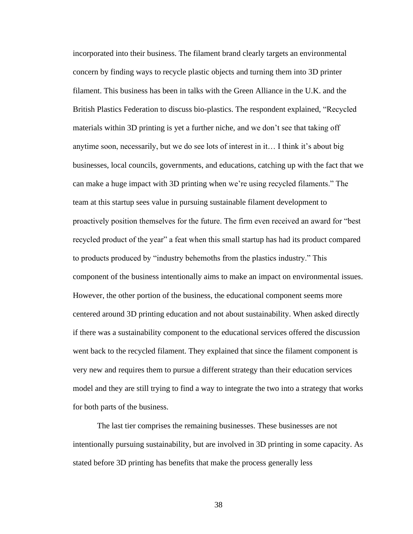incorporated into their business. The filament brand clearly targets an environmental concern by finding ways to recycle plastic objects and turning them into 3D printer filament. This business has been in talks with the Green Alliance in the U.K. and the British Plastics Federation to discuss bio-plastics. The respondent explained, "Recycled materials within 3D printing is yet a further niche, and we don't see that taking off anytime soon, necessarily, but we do see lots of interest in it… I think it's about big businesses, local councils, governments, and educations, catching up with the fact that we can make a huge impact with 3D printing when we're using recycled filaments." The team at this startup sees value in pursuing sustainable filament development to proactively position themselves for the future. The firm even received an award for "best recycled product of the year" a feat when this small startup has had its product compared to products produced by "industry behemoths from the plastics industry." This component of the business intentionally aims to make an impact on environmental issues. However, the other portion of the business, the educational component seems more centered around 3D printing education and not about sustainability. When asked directly if there was a sustainability component to the educational services offered the discussion went back to the recycled filament. They explained that since the filament component is very new and requires them to pursue a different strategy than their education services model and they are still trying to find a way to integrate the two into a strategy that works for both parts of the business.

The last tier comprises the remaining businesses. These businesses are not intentionally pursuing sustainability, but are involved in 3D printing in some capacity. As stated before 3D printing has benefits that make the process generally less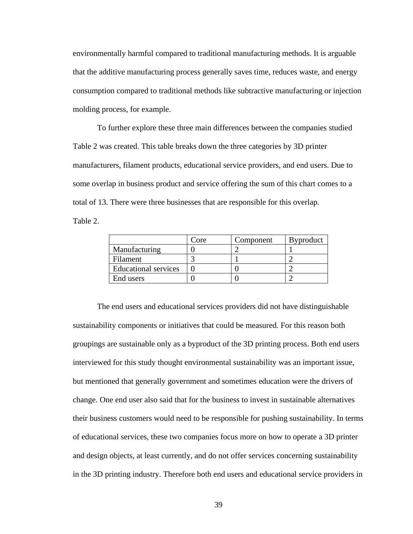environmentally harmful compared to traditional manufacturing methods. It is arguable that the additive manufacturing process generally saves time, reduces waste, and energy consumption compared to traditional methods like subtractive manufacturing or injection molding process, for example.

To further explore these three main differences between the companies studied Table 2 was created. This table breaks down the three categories by 3D printer manufacturers, filament products, educational service providers, and end users. Due to some overlap in business product and service offering the sum of this chart comes to a total of 13. There were three businesses that are responsible for this overlap.

Table 2.

|                             | Core | Component | <b>Byproduct</b> |
|-----------------------------|------|-----------|------------------|
| Manufacturing               |      |           |                  |
| Filament                    |      |           |                  |
| <b>Educational services</b> |      |           |                  |
| End users                   |      |           |                  |

The end users and educational services providers did not have distinguishable sustainability components or initiatives that could be measured. For this reason both groupings are sustainable only as a byproduct of the 3D printing process. Both end users interviewed for this study thought environmental sustainability was an important issue, but mentioned that generally government and sometimes education were the drivers of change. One end user also said that for the business to invest in sustainable alternatives their business customers would need to be responsible for pushing sustainability. In terms of educational services, these two companies focus more on how to operate a 3D printer and design objects, at least currently, and do not offer services concerning sustainability in the 3D printing industry. Therefore both end users and educational service providers in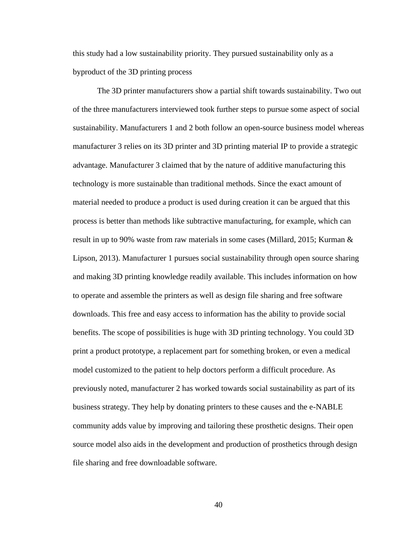this study had a low sustainability priority. They pursued sustainability only as a byproduct of the 3D printing process

The 3D printer manufacturers show a partial shift towards sustainability. Two out of the three manufacturers interviewed took further steps to pursue some aspect of social sustainability. Manufacturers 1 and 2 both follow an open-source business model whereas manufacturer 3 relies on its 3D printer and 3D printing material IP to provide a strategic advantage. Manufacturer 3 claimed that by the nature of additive manufacturing this technology is more sustainable than traditional methods. Since the exact amount of material needed to produce a product is used during creation it can be argued that this process is better than methods like subtractive manufacturing, for example, which can result in up to 90% waste from raw materials in some cases (Millard, 2015; Kurman & Lipson, 2013). Manufacturer 1 pursues social sustainability through open source sharing and making 3D printing knowledge readily available. This includes information on how to operate and assemble the printers as well as design file sharing and free software downloads. This free and easy access to information has the ability to provide social benefits. The scope of possibilities is huge with 3D printing technology. You could 3D print a product prototype, a replacement part for something broken, or even a medical model customized to the patient to help doctors perform a difficult procedure. As previously noted, manufacturer 2 has worked towards social sustainability as part of its business strategy. They help by donating printers to these causes and the e-NABLE community adds value by improving and tailoring these prosthetic designs. Their open source model also aids in the development and production of prosthetics through design file sharing and free downloadable software.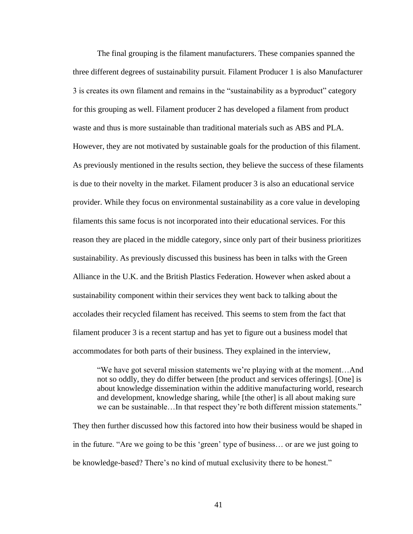The final grouping is the filament manufacturers. These companies spanned the three different degrees of sustainability pursuit. Filament Producer 1 is also Manufacturer 3 is creates its own filament and remains in the "sustainability as a byproduct" category for this grouping as well. Filament producer 2 has developed a filament from product waste and thus is more sustainable than traditional materials such as ABS and PLA. However, they are not motivated by sustainable goals for the production of this filament. As previously mentioned in the results section, they believe the success of these filaments is due to their novelty in the market. Filament producer 3 is also an educational service provider. While they focus on environmental sustainability as a core value in developing filaments this same focus is not incorporated into their educational services. For this reason they are placed in the middle category, since only part of their business prioritizes sustainability. As previously discussed this business has been in talks with the Green Alliance in the U.K. and the British Plastics Federation. However when asked about a sustainability component within their services they went back to talking about the accolades their recycled filament has received. This seems to stem from the fact that filament producer 3 is a recent startup and has yet to figure out a business model that accommodates for both parts of their business. They explained in the interview,

"We have got several mission statements we're playing with at the moment…And not so oddly, they do differ between [the product and services offerings]. [One] is about knowledge dissemination within the additive manufacturing world, research and development, knowledge sharing, while [the other] is all about making sure we can be sustainable…In that respect they're both different mission statements."

They then further discussed how this factored into how their business would be shaped in in the future. "Are we going to be this 'green' type of business… or are we just going to be knowledge-based? There's no kind of mutual exclusivity there to be honest."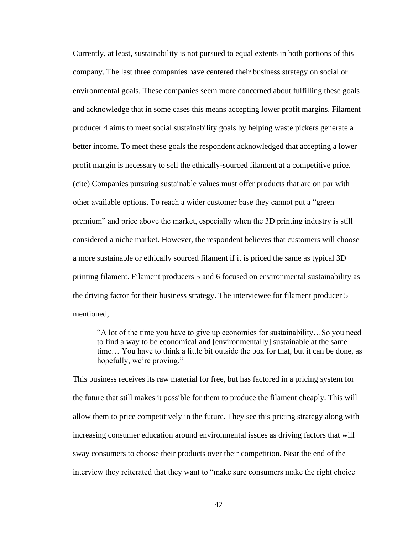Currently, at least, sustainability is not pursued to equal extents in both portions of this company. The last three companies have centered their business strategy on social or environmental goals. These companies seem more concerned about fulfilling these goals and acknowledge that in some cases this means accepting lower profit margins. Filament producer 4 aims to meet social sustainability goals by helping waste pickers generate a better income. To meet these goals the respondent acknowledged that accepting a lower profit margin is necessary to sell the ethically-sourced filament at a competitive price. (cite) Companies pursuing sustainable values must offer products that are on par with other available options. To reach a wider customer base they cannot put a "green premium" and price above the market, especially when the 3D printing industry is still considered a niche market. However, the respondent believes that customers will choose a more sustainable or ethically sourced filament if it is priced the same as typical 3D printing filament. Filament producers 5 and 6 focused on environmental sustainability as the driving factor for their business strategy. The interviewee for filament producer 5 mentioned,

"A lot of the time you have to give up economics for sustainability…So you need to find a way to be economical and [environmentally] sustainable at the same time… You have to think a little bit outside the box for that, but it can be done, as hopefully, we're proving."

This business receives its raw material for free, but has factored in a pricing system for the future that still makes it possible for them to produce the filament cheaply. This will allow them to price competitively in the future. They see this pricing strategy along with increasing consumer education around environmental issues as driving factors that will sway consumers to choose their products over their competition. Near the end of the interview they reiterated that they want to "make sure consumers make the right choice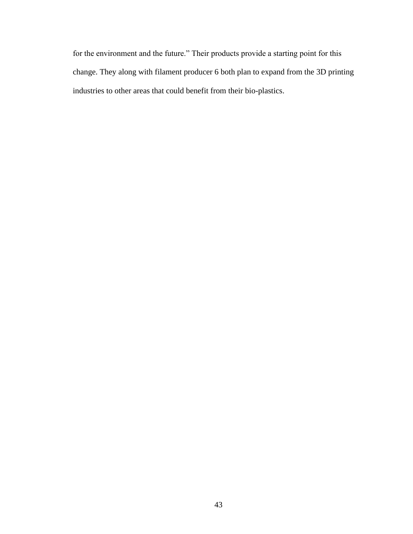for the environment and the future." Their products provide a starting point for this change. They along with filament producer 6 both plan to expand from the 3D printing industries to other areas that could benefit from their bio-plastics.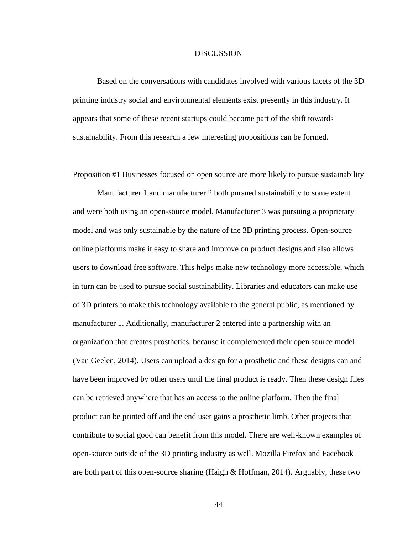### **DISCUSSION**

Based on the conversations with candidates involved with various facets of the 3D printing industry social and environmental elements exist presently in this industry. It appears that some of these recent startups could become part of the shift towards sustainability. From this research a few interesting propositions can be formed.

### Proposition #1 Businesses focused on open source are more likely to pursue sustainability

Manufacturer 1 and manufacturer 2 both pursued sustainability to some extent and were both using an open-source model. Manufacturer 3 was pursuing a proprietary model and was only sustainable by the nature of the 3D printing process. Open-source online platforms make it easy to share and improve on product designs and also allows users to download free software. This helps make new technology more accessible, which in turn can be used to pursue social sustainability. Libraries and educators can make use of 3D printers to make this technology available to the general public, as mentioned by manufacturer 1. Additionally, manufacturer 2 entered into a partnership with an organization that creates prosthetics, because it complemented their open source model (Van Geelen, 2014). Users can upload a design for a prosthetic and these designs can and have been improved by other users until the final product is ready. Then these design files can be retrieved anywhere that has an access to the online platform. Then the final product can be printed off and the end user gains a prosthetic limb. Other projects that contribute to social good can benefit from this model. There are well-known examples of open-source outside of the 3D printing industry as well. Mozilla Firefox and Facebook are both part of this open-source sharing (Haigh & Hoffman, 2014). Arguably, these two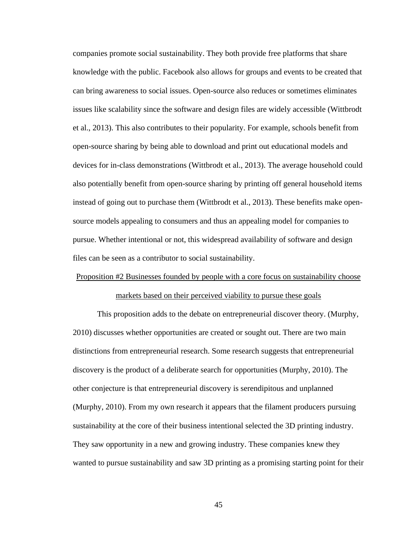companies promote social sustainability. They both provide free platforms that share knowledge with the public. Facebook also allows for groups and events to be created that can bring awareness to social issues. Open-source also reduces or sometimes eliminates issues like scalability since the software and design files are widely accessible (Wittbrodt et al., 2013). This also contributes to their popularity. For example, schools benefit from open-source sharing by being able to download and print out educational models and devices for in-class demonstrations (Wittbrodt et al., 2013). The average household could also potentially benefit from open-source sharing by printing off general household items instead of going out to purchase them (Wittbrodt et al., 2013). These benefits make opensource models appealing to consumers and thus an appealing model for companies to pursue. Whether intentional or not, this widespread availability of software and design files can be seen as a contributor to social sustainability.

## Proposition #2 Businesses founded by people with a core focus on sustainability choose markets based on their perceived viability to pursue these goals

This proposition adds to the debate on entrepreneurial discover theory. (Murphy, 2010) discusses whether opportunities are created or sought out. There are two main distinctions from entrepreneurial research. Some research suggests that entrepreneurial discovery is the product of a deliberate search for opportunities (Murphy, 2010). The other conjecture is that entrepreneurial discovery is serendipitous and unplanned (Murphy, 2010). From my own research it appears that the filament producers pursuing sustainability at the core of their business intentional selected the 3D printing industry. They saw opportunity in a new and growing industry. These companies knew they wanted to pursue sustainability and saw 3D printing as a promising starting point for their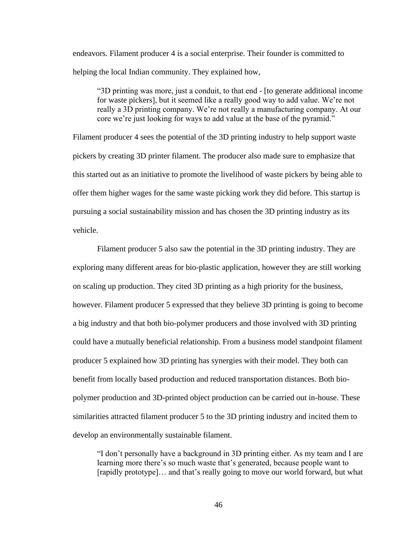endeavors. Filament producer 4 is a social enterprise. Their founder is committed to helping the local Indian community. They explained how,

"3D printing was more, just a conduit, to that end - [to generate additional income for waste pickers], but it seemed like a really good way to add value. We're not really a 3D printing company. We're not really a manufacturing company. At our core we're just looking for ways to add value at the base of the pyramid."

Filament producer 4 sees the potential of the 3D printing industry to help support waste pickers by creating 3D printer filament. The producer also made sure to emphasize that this started out as an initiative to promote the livelihood of waste pickers by being able to offer them higher wages for the same waste picking work they did before. This startup is pursuing a social sustainability mission and has chosen the 3D printing industry as its vehicle.

Filament producer 5 also saw the potential in the 3D printing industry. They are exploring many different areas for bio-plastic application, however they are still working on scaling up production. They cited 3D printing as a high priority for the business, however. Filament producer 5 expressed that they believe 3D printing is going to become a big industry and that both bio-polymer producers and those involved with 3D printing could have a mutually beneficial relationship. From a business model standpoint filament producer 5 explained how 3D printing has synergies with their model. They both can benefit from locally based production and reduced transportation distances. Both biopolymer production and 3D-printed object production can be carried out in-house. These similarities attracted filament producer 5 to the 3D printing industry and incited them to develop an environmentally sustainable filament.

"I don't personally have a background in 3D printing either. As my team and I are learning more there's so much waste that's generated, because people want to [rapidly prototype]… and that's really going to move our world forward, but what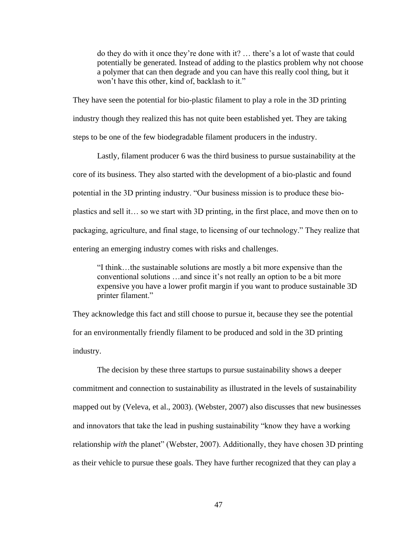do they do with it once they're done with it? … there's a lot of waste that could potentially be generated. Instead of adding to the plastics problem why not choose a polymer that can then degrade and you can have this really cool thing, but it won't have this other, kind of, backlash to it."

They have seen the potential for bio-plastic filament to play a role in the 3D printing industry though they realized this has not quite been established yet. They are taking steps to be one of the few biodegradable filament producers in the industry.

Lastly, filament producer 6 was the third business to pursue sustainability at the core of its business. They also started with the development of a bio-plastic and found potential in the 3D printing industry. "Our business mission is to produce these bioplastics and sell it… so we start with 3D printing, in the first place, and move then on to packaging, agriculture, and final stage, to licensing of our technology." They realize that entering an emerging industry comes with risks and challenges.

"I think…the sustainable solutions are mostly a bit more expensive than the conventional solutions …and since it's not really an option to be a bit more expensive you have a lower profit margin if you want to produce sustainable 3D printer filament."

They acknowledge this fact and still choose to pursue it, because they see the potential for an environmentally friendly filament to be produced and sold in the 3D printing industry.

The decision by these three startups to pursue sustainability shows a deeper commitment and connection to sustainability as illustrated in the levels of sustainability mapped out by (Veleva, et al., 2003). (Webster, 2007) also discusses that new businesses and innovators that take the lead in pushing sustainability "know they have a working relationship *with* the planet" (Webster, 2007). Additionally, they have chosen 3D printing as their vehicle to pursue these goals. They have further recognized that they can play a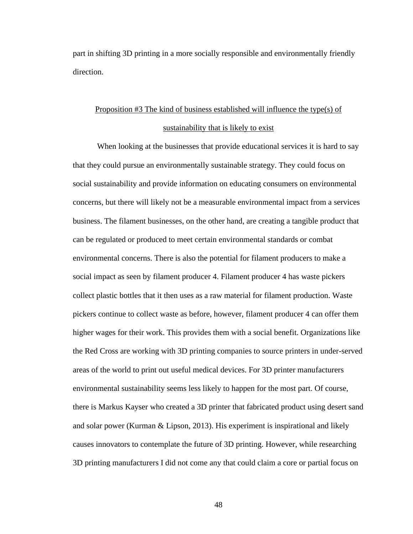part in shifting 3D printing in a more socially responsible and environmentally friendly direction.

## Proposition #3 The kind of business established will influence the type(s) of sustainability that is likely to exist

When looking at the businesses that provide educational services it is hard to say that they could pursue an environmentally sustainable strategy. They could focus on social sustainability and provide information on educating consumers on environmental concerns, but there will likely not be a measurable environmental impact from a services business. The filament businesses, on the other hand, are creating a tangible product that can be regulated or produced to meet certain environmental standards or combat environmental concerns. There is also the potential for filament producers to make a social impact as seen by filament producer 4. Filament producer 4 has waste pickers collect plastic bottles that it then uses as a raw material for filament production. Waste pickers continue to collect waste as before, however, filament producer 4 can offer them higher wages for their work. This provides them with a social benefit. Organizations like the Red Cross are working with 3D printing companies to source printers in under-served areas of the world to print out useful medical devices. For 3D printer manufacturers environmental sustainability seems less likely to happen for the most part. Of course, there is Markus Kayser who created a 3D printer that fabricated product using desert sand and solar power (Kurman & Lipson, 2013). His experiment is inspirational and likely causes innovators to contemplate the future of 3D printing. However, while researching 3D printing manufacturers I did not come any that could claim a core or partial focus on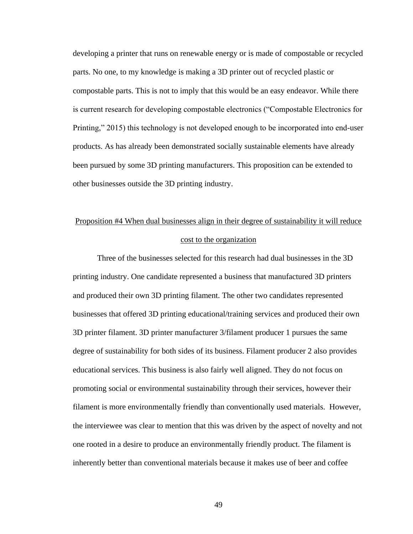developing a printer that runs on renewable energy or is made of compostable or recycled parts. No one, to my knowledge is making a 3D printer out of recycled plastic or compostable parts. This is not to imply that this would be an easy endeavor. While there is current research for developing compostable electronics ("Compostable Electronics for Printing," 2015) this technology is not developed enough to be incorporated into end-user products. As has already been demonstrated socially sustainable elements have already been pursued by some 3D printing manufacturers. This proposition can be extended to other businesses outside the 3D printing industry.

# Proposition #4 When dual businesses align in their degree of sustainability it will reduce cost to the organization

Three of the businesses selected for this research had dual businesses in the 3D printing industry. One candidate represented a business that manufactured 3D printers and produced their own 3D printing filament. The other two candidates represented businesses that offered 3D printing educational/training services and produced their own 3D printer filament. 3D printer manufacturer 3/filament producer 1 pursues the same degree of sustainability for both sides of its business. Filament producer 2 also provides educational services. This business is also fairly well aligned. They do not focus on promoting social or environmental sustainability through their services, however their filament is more environmentally friendly than conventionally used materials. However, the interviewee was clear to mention that this was driven by the aspect of novelty and not one rooted in a desire to produce an environmentally friendly product. The filament is inherently better than conventional materials because it makes use of beer and coffee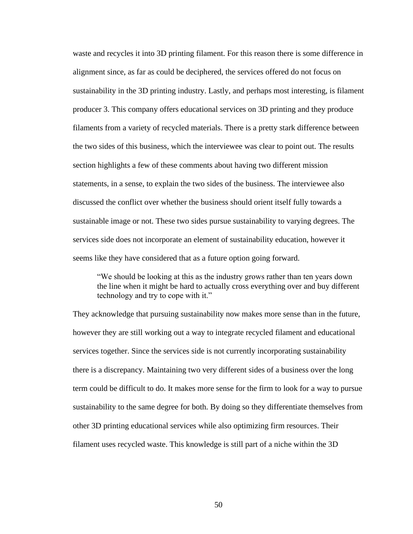waste and recycles it into 3D printing filament. For this reason there is some difference in alignment since, as far as could be deciphered, the services offered do not focus on sustainability in the 3D printing industry. Lastly, and perhaps most interesting, is filament producer 3. This company offers educational services on 3D printing and they produce filaments from a variety of recycled materials. There is a pretty stark difference between the two sides of this business, which the interviewee was clear to point out. The results section highlights a few of these comments about having two different mission statements, in a sense, to explain the two sides of the business. The interviewee also discussed the conflict over whether the business should orient itself fully towards a sustainable image or not. These two sides pursue sustainability to varying degrees. The services side does not incorporate an element of sustainability education, however it seems like they have considered that as a future option going forward.

"We should be looking at this as the industry grows rather than ten years down the line when it might be hard to actually cross everything over and buy different technology and try to cope with it."

They acknowledge that pursuing sustainability now makes more sense than in the future, however they are still working out a way to integrate recycled filament and educational services together. Since the services side is not currently incorporating sustainability there is a discrepancy. Maintaining two very different sides of a business over the long term could be difficult to do. It makes more sense for the firm to look for a way to pursue sustainability to the same degree for both. By doing so they differentiate themselves from other 3D printing educational services while also optimizing firm resources. Their filament uses recycled waste. This knowledge is still part of a niche within the 3D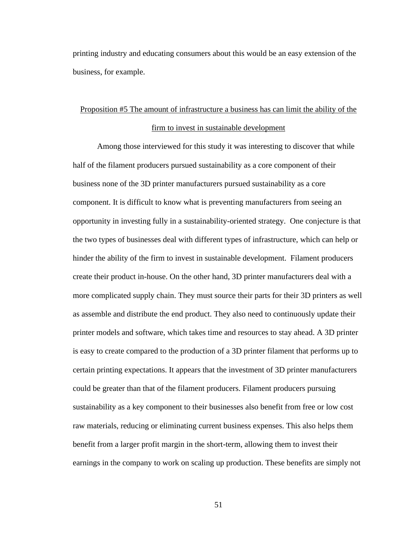printing industry and educating consumers about this would be an easy extension of the business, for example.

## Proposition #5 The amount of infrastructure a business has can limit the ability of the firm to invest in sustainable development

Among those interviewed for this study it was interesting to discover that while half of the filament producers pursued sustainability as a core component of their business none of the 3D printer manufacturers pursued sustainability as a core component. It is difficult to know what is preventing manufacturers from seeing an opportunity in investing fully in a sustainability-oriented strategy. One conjecture is that the two types of businesses deal with different types of infrastructure, which can help or hinder the ability of the firm to invest in sustainable development. Filament producers create their product in-house. On the other hand, 3D printer manufacturers deal with a more complicated supply chain. They must source their parts for their 3D printers as well as assemble and distribute the end product. They also need to continuously update their printer models and software, which takes time and resources to stay ahead. A 3D printer is easy to create compared to the production of a 3D printer filament that performs up to certain printing expectations. It appears that the investment of 3D printer manufacturers could be greater than that of the filament producers. Filament producers pursuing sustainability as a key component to their businesses also benefit from free or low cost raw materials, reducing or eliminating current business expenses. This also helps them benefit from a larger profit margin in the short-term, allowing them to invest their earnings in the company to work on scaling up production. These benefits are simply not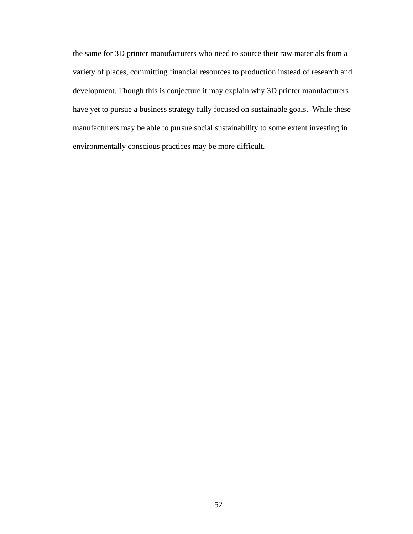the same for 3D printer manufacturers who need to source their raw materials from a variety of places, committing financial resources to production instead of research and development. Though this is conjecture it may explain why 3D printer manufacturers have yet to pursue a business strategy fully focused on sustainable goals. While these manufacturers may be able to pursue social sustainability to some extent investing in environmentally conscious practices may be more difficult.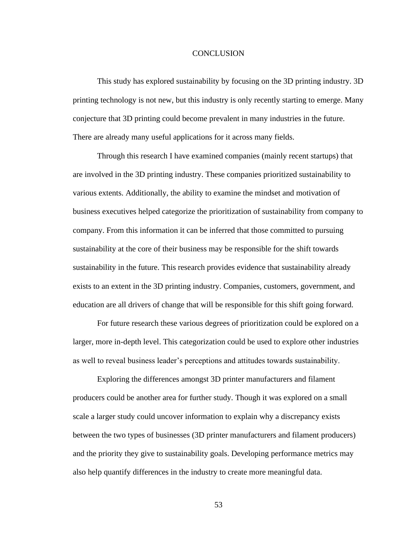### **CONCLUSION**

This study has explored sustainability by focusing on the 3D printing industry. 3D printing technology is not new, but this industry is only recently starting to emerge. Many conjecture that 3D printing could become prevalent in many industries in the future. There are already many useful applications for it across many fields.

Through this research I have examined companies (mainly recent startups) that are involved in the 3D printing industry. These companies prioritized sustainability to various extents. Additionally, the ability to examine the mindset and motivation of business executives helped categorize the prioritization of sustainability from company to company. From this information it can be inferred that those committed to pursuing sustainability at the core of their business may be responsible for the shift towards sustainability in the future. This research provides evidence that sustainability already exists to an extent in the 3D printing industry. Companies, customers, government, and education are all drivers of change that will be responsible for this shift going forward.

For future research these various degrees of prioritization could be explored on a larger, more in-depth level. This categorization could be used to explore other industries as well to reveal business leader's perceptions and attitudes towards sustainability.

Exploring the differences amongst 3D printer manufacturers and filament producers could be another area for further study. Though it was explored on a small scale a larger study could uncover information to explain why a discrepancy exists between the two types of businesses (3D printer manufacturers and filament producers) and the priority they give to sustainability goals. Developing performance metrics may also help quantify differences in the industry to create more meaningful data.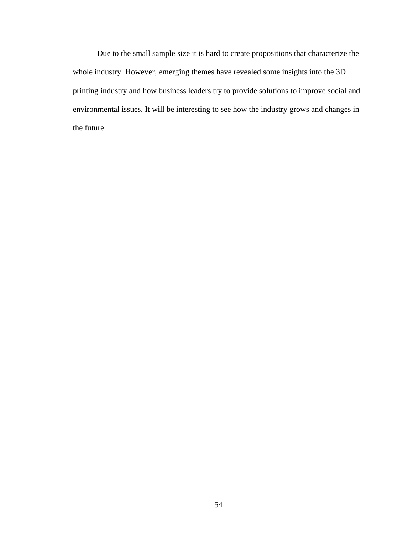Due to the small sample size it is hard to create propositions that characterize the whole industry. However, emerging themes have revealed some insights into the 3D printing industry and how business leaders try to provide solutions to improve social and environmental issues. It will be interesting to see how the industry grows and changes in the future.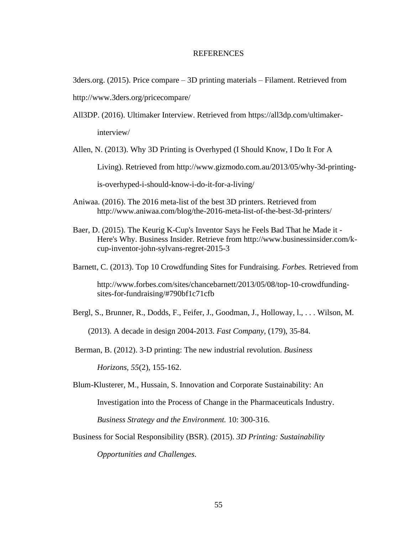### **REFERENCES**

3ders.org. (2015). Price compare – 3D printing materials – Filament. Retrieved from http://www.3ders.org/pricecompare/

All3DP. (2016). Ultimaker Interview. Retrieved from https://all3dp.com/ultimakerinterview/

Allen, N. (2013). Why 3D Printing is Overhyped (I Should Know, I Do It For A Living). Retrieved from http://www.gizmodo.com.au/2013/05/why-3d-printingis-overhyped-i-should-know-i-do-it-for-a-living/

- Aniwaa. (2016). The 2016 meta-list of the best 3D printers. Retrieved from http://www.aniwaa.com/blog/the-2016-meta-list-of-the-best-3d-printers/
- Baer, D. (2015). The Keurig K-Cup's Inventor Says he Feels Bad That he Made it Here's Why. Business Insider. Retrieve from http://www.businessinsider.com/kcup-inventor-john-sylvans-regret-2015-3

Barnett, C. (2013). Top 10 Crowdfunding Sites for Fundraising. *Forbes.* Retrieved from

http://www.forbes.com/sites/chancebarnett/2013/05/08/top-10-crowdfundingsites-for-fundraising/#790bf1c71cfb

Bergl, S., Brunner, R., Dodds, F., Feifer, J., Goodman, J., Holloway, l., . . . Wilson, M.

(2013). A decade in design 2004-2013. *Fast Company,* (179), 35-84.

Berman, B. (2012). 3-D printing: The new industrial revolution. *Business* 

*Horizons, 55*(2), 155-162.

Blum-Klusterer, M., Hussain, S. Innovation and Corporate Sustainability: An

Investigation into the Process of Change in the Pharmaceuticals Industry.

*Business Strategy and the Environment.* 10: 300-316.

Business for Social Responsibility (BSR). (2015). *3D Printing: Sustainability* 

*Opportunities and Challenges.*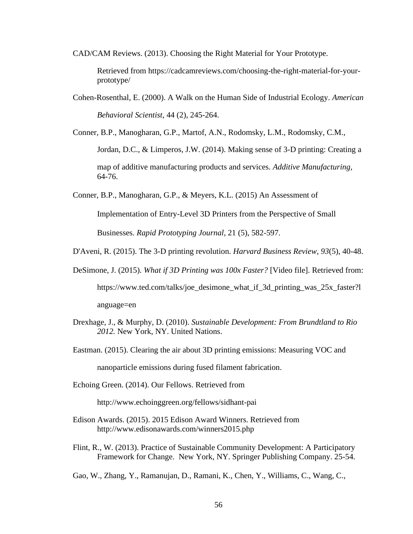CAD/CAM Reviews. (2013). Choosing the Right Material for Your Prototype.

Retrieved from https://cadcamreviews.com/choosing-the-right-material-for-yourprototype/

Cohen-Rosenthal, E. (2000). A Walk on the Human Side of Industrial Ecology. *American Behavioral Scientist*, 44 (2), 245-264.

Conner, B.P., Manogharan, G.P., Martof, A.N., Rodomsky, L.M., Rodomsky, C.M.,

Jordan, D.C., & Limperos, J.W. (2014). Making sense of 3-D printing: Creating a

map of additive manufacturing products and services. *Additive Manufacturing*, 64-76.

Conner, B.P., Manogharan, G.P., & Meyers, K.L. (2015) An Assessment of

Implementation of Entry-Level 3D Printers from the Perspective of Small

Businesses. *Rapid Prototyping Journal*, 21 (5), 582-597.

- D'Aveni, R. (2015). The 3-D printing revolution. *Harvard Business Review, 93*(5), 40-48.
- DeSimone, J. (2015). *What if 3D Printing was 100x Faster?* [Video file]. Retrieved from: https://www.ted.com/talks/joe\_desimone\_what\_if\_3d\_printing\_was\_25x\_faster?l anguage=en
- Drexhage, J., & Murphy, D. (2010). *Sustainable Development: From Brundtland to Rio 2012.* New York, NY. United Nations.
- Eastman. (2015). Clearing the air about 3D printing emissions: Measuring VOC and

nanoparticle emissions during fused filament fabrication.

Echoing Green. (2014). Our Fellows. Retrieved from

http://www.echoinggreen.org/fellows/sidhant-pai

- Edison Awards. (2015). 2015 Edison Award Winners. Retrieved from http://www.edisonawards.com/winners2015.php
- Flint, R., W. (2013). Practice of Sustainable Community Development: A Participatory Framework for Change. New York, NY. Springer Publishing Company. 25-54.

Gao, W., Zhang, Y., Ramanujan, D., Ramani, K., Chen, Y., Williams, C., Wang, C.,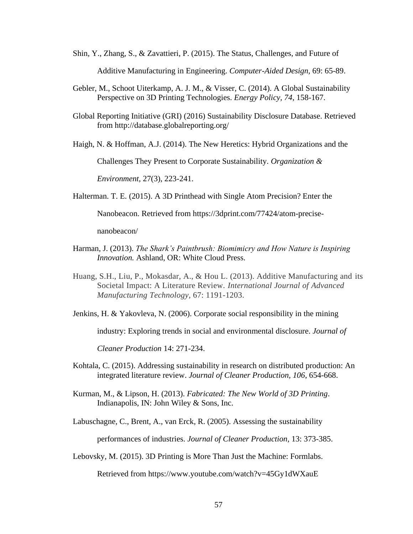- Shin, Y., Zhang, S., & Zavattieri, P. (2015). The Status, Challenges, and Future of Additive Manufacturing in Engineering. *Computer-Aided Design,* 69: 65-89.
- Gebler, M., Schoot Uiterkamp, A. J. M., & Visser, C. (2014). A Global Sustainability Perspective on 3D Printing Technologies. *Energy Policy, 74*, 158-167.
- Global Reporting Initiative (GRI) (2016) Sustainability Disclosure Database. Retrieved from http://database.globalreporting.org/

Haigh, N. & Hoffman, A.J. (2014). The New Heretics: Hybrid Organizations and the

Challenges They Present to Corporate Sustainability. *Organization &* 

*Environment,* 27(3), 223-241.

Halterman. T. E. (2015). A 3D Printhead with Single Atom Precision? Enter the

Nanobeacon. Retrieved from https://3dprint.com/77424/atom-precise-

nanobeacon/

- Harman, J. (2013). *The Shark's Paintbrush: Biomimicry and How Nature is Inspiring Innovation.* Ashland, OR: White Cloud Press.
- Huang, S.H., Liu, P., Mokasdar, A., & Hou L. (2013). Additive Manufacturing and its Societal Impact: A Literature Review. *International Journal of Advanced Manufacturing Technology,* 67: 1191-1203.

Jenkins, H. & Yakovleva, N. (2006). Corporate social responsibility in the mining

industry: Exploring trends in social and environmental disclosure. *Journal of* 

*Cleaner Production* 14: 271-234.

- Kohtala, C. (2015). Addressing sustainability in research on distributed production: An integrated literature review. *Journal of Cleaner Production, 106*, 654-668.
- Kurman, M., & Lipson, H. (2013). *Fabricated: The New World of 3D Printing*. Indianapolis, IN: John Wiley & Sons, Inc.

Labuschagne, C., Brent, A., van Erck, R. (2005). Assessing the sustainability performances of industries. *Journal of Cleaner Production,* 13: 373-385.

Lebovsky, M. (2015). 3D Printing is More Than Just the Machine: Formlabs.

Retrieved from https://www.youtube.com/watch?v=45Gy1dWXauE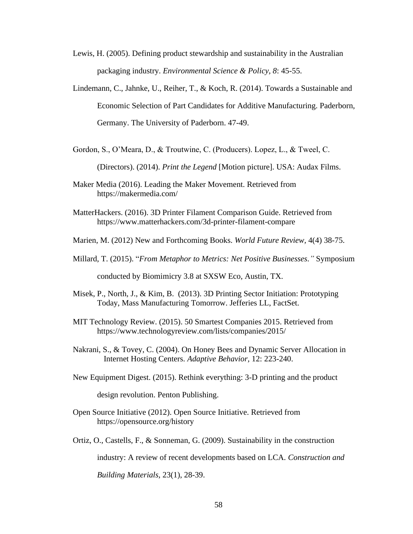- Lewis, H. (2005). Defining product stewardship and sustainability in the Australian packaging industry. *Environmental Science & Policy, 8*: 45-55.
- Lindemann, C., Jahnke, U., Reiher, T., & Koch, R. (2014). Towards a Sustainable and Economic Selection of Part Candidates for Additive Manufacturing. Paderborn, Germany. The University of Paderborn. 47-49.
- Gordon, S., O'Meara, D., & Troutwine, C. (Producers). Lopez, L., & Tweel, C.

(Directors). (2014). *Print the Legend* [Motion picture]. USA: Audax Films.

- Maker Media (2016). Leading the Maker Movement. Retrieved from https://makermedia.com/
- MatterHackers. (2016). 3D Printer Filament Comparison Guide. Retrieved from https://www.matterhackers.com/3d-printer-filament-compare
- Marien, M. (2012) New and Forthcoming Books. *World Future Review,* 4(4) 38-75.
- Millard, T. (2015). "*From Metaphor to Metrics: Net Positive Businesses."* Symposium

conducted by Biomimicry 3.8 at SXSW Eco, Austin, TX.

- Misek, P., North, J., & Kim, B. (2013). 3D Printing Sector Initiation: Prototyping Today, Mass Manufacturing Tomorrow. Jefferies LL, FactSet.
- MIT Technology Review. (2015). 50 Smartest Companies 2015. Retrieved from https://www.technologyreview.com/lists/companies/2015/
- Nakrani, S., & Tovey, C. (2004). On Honey Bees and Dynamic Server Allocation in Internet Hosting Centers. *Adaptive Behavior,* 12: 223-240.
- New Equipment Digest. (2015). Rethink everything: 3-D printing and the product

design revolution. Penton Publishing.

- Open Source Initiative (2012). Open Source Initiative. Retrieved from https://opensource.org/history
- Ortiz, O., Castells, F., & Sonneman, G. (2009). Sustainability in the construction

industry: A review of recent developments based on LCA*. Construction and* 

*Building Materials,* 23(1), 28-39.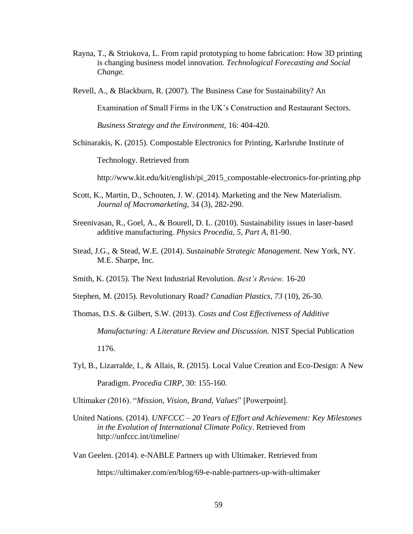- Rayna, T., & Striukova, L. From rapid prototyping to home fabrication: How 3D printing is changing business model innovation. *Technological Forecasting and Social Change.*
- Revell, A., & Blackburn, R. (2007). The Business Case for Sustainability? An

Examination of Small Firms in the UK's Construction and Restaurant Sectors.

*Business Strategy and the Environment*, 16: 404-420.

Schinarakis, K. (2015). Compostable Electronics for Printing, Karlsruhe Institute of

Technology. Retrieved from

http://www.kit.edu/kit/english/pi\_2015\_compostable-electronics-for-printing.php

- Scott, K., Martin, D., Schouten, J. W. (2014). Marketing and the New Materialism. *Journal of Macromarketing,* 34 (3), 282-290.
- Sreenivasan, R., Goel, A., & Bourell, D. L. (2010). Sustainability issues in laser-based additive manufacturing. *Physics Procedia, 5, Part A*, 81-90.
- Stead, J.G., & Stead, W.E. (2014). *Sustainable Strategic Management.* New York, NY. M.E. Sharpe, Inc.
- Smith, K. (2015). The Next Industrial Revolution. *Best's Review.* 16-20
- Stephen, M. (2015). Revolutionary Road? *Canadian Plastics, 73* (10), 26-30.
- Thomas, D.S. & Gilbert, S.W. (2013). *Costs and Cost Effectiveness of Additive Manufacturing: A Literature Review and Discussion.* NIST Special Publication

1176.

- Tyl, B., Lizarralde, I., & Allais, R. (2015). Local Value Creation and Eco-Design: A New Paradigm. *Procedia CIRP,* 30: 155-160.
- Ultimaker (2016). "*Mission, Vision, Brand, Values*" [Powerpoint].
- United Nations. (2014). *UNFCCC – 20 Years of Effort and Achievement: Key Milestones in the Evolution of International Climate Policy*. Retrieved from http://unfccc.int/timeline/
- Van Geelen. (2014). e-NABLE Partners up with Ultimaker. Retrieved from

https://ultimaker.com/en/blog/69-e-nable-partners-up-with-ultimaker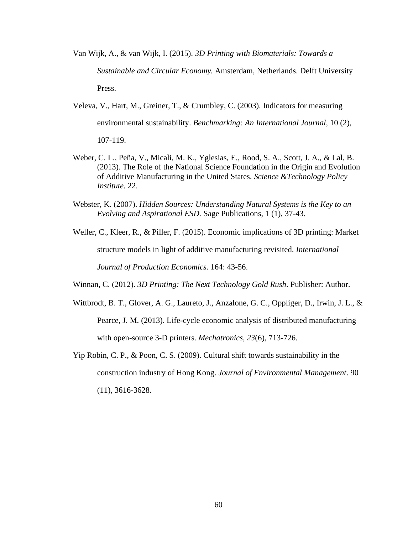Van Wijk, A., & van Wijk, I. (2015). *3D Printing with Biomaterials: Towards a Sustainable and Circular Economy.* Amsterdam, Netherlands. Delft University Press.

- Veleva, V., Hart, M., Greiner, T., & Crumbley, C. (2003). Indicators for measuring environmental sustainability. *Benchmarking: An International Journal,* 10 (2), 107-119.
- Weber, C. L., Peña, V., Micali, M. K., Yglesias, E., Rood, S. A., Scott, J. A., & Lal, B. (2013). The Role of the National Science Foundation in the Origin and Evolution of Additive Manufacturing in the United States. *Science &Technology Policy Institute.* 22.
- Webster, K. (2007). *Hidden Sources: Understanding Natural Systems is the Key to an Evolving and Aspirational ESD.* Sage Publications, 1 (1), 37-43.

Weller, C., Kleer, R., & Piller, F. (2015). Economic implications of 3D printing: Market structure models in light of additive manufacturing revisited. *International Journal of Production Economics.* 164: 43-56.

Winnan, C. (2012). *3D Printing: The Next Technology Gold Rush*. Publisher: Author.

- Wittbrodt, B. T., Glover, A. G., Laureto, J., Anzalone, G. C., Oppliger, D., Irwin, J. L., & Pearce, J. M. (2013). Life-cycle economic analysis of distributed manufacturing with open-source 3-D printers. *Mechatronics, 23*(6), 713-726.
- Yip Robin, C. P., & Poon, C. S. (2009). Cultural shift towards sustainability in the construction industry of Hong Kong. *Journal of Environmental Management*. 90 (11), 3616-3628.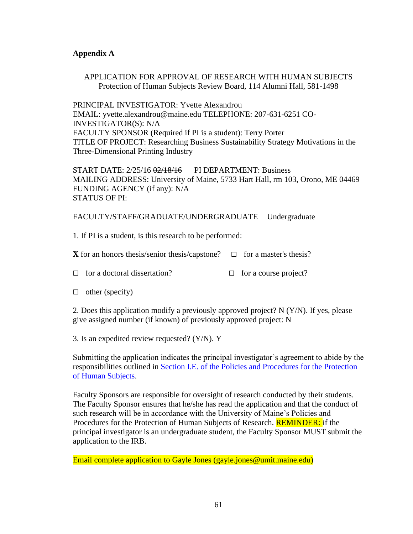## **Appendix A**

APPLICATION FOR APPROVAL OF RESEARCH WITH HUMAN SUBJECTS Protection of Human Subjects Review Board, 114 Alumni Hall, 581-1498

PRINCIPAL INVESTIGATOR: Yvette Alexandrou EMAIL: yvette.alexandrou@maine.edu TELEPHONE: 207-631-6251 CO-INVESTIGATOR(S): N/A FACULTY SPONSOR (Required if PI is a student): Terry Porter TITLE OF PROJECT: Researching Business Sustainability Strategy Motivations in the Three-Dimensional Printing Industry

START DATE: 2/25/16 02/18/16 PI DEPARTMENT: Business MAILING ADDRESS: University of Maine, 5733 Hart Hall, rm 103, Orono, ME 04469 FUNDING AGENCY (if any): N/A STATUS OF PI:

## FACULTY/STAFF/GRADUATE/UNDERGRADUATE Undergraduate

1. If PI is a student, is this research to be performed:

**X** for an honors thesis/senior thesis/capstone?  $\Box$  for a master's thesis?

- $\Box$  for a doctoral dissertation?  $\Box$  for a course project?
- $\Box$  other (specify)

2. Does this application modify a previously approved project? N (Y/N). If yes, please give assigned number (if known) of previously approved project: N

3. Is an expedited review requested? (Y/N). Y

Submitting the application indicates the principal investigator's agreement to abide by the responsibilities outlined in Section I.E. of the Policies and Procedures for the Protection of Human Subjects.

Faculty Sponsors are responsible for oversight of research conducted by their students. The Faculty Sponsor ensures that he/she has read the application and that the conduct of such research will be in accordance with the University of Maine's Policies and Procedures for the Protection of Human Subjects of Research. **REMINDER:** if the principal investigator is an undergraduate student, the Faculty Sponsor MUST submit the application to the IRB.

Email complete application to Gayle Jones (gayle.jones@umit.maine.edu)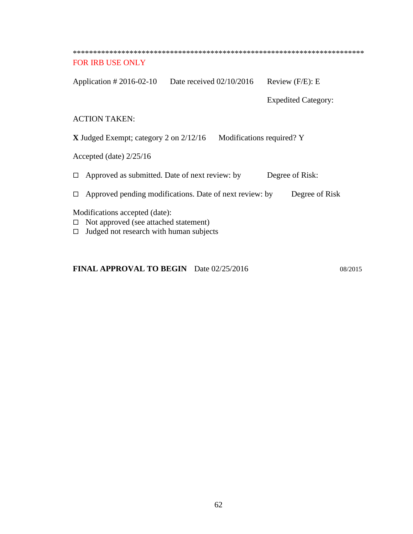| <b>FOR IRB USE ONLY</b>                                                                                            |                                                         |                            |  |  |
|--------------------------------------------------------------------------------------------------------------------|---------------------------------------------------------|----------------------------|--|--|
| Application $\# 2016-02-10$                                                                                        | Date received $02/10/2016$                              | Review $(F/E)$ : E         |  |  |
|                                                                                                                    |                                                         | <b>Expedited Category:</b> |  |  |
| <b>ACTION TAKEN:</b>                                                                                               |                                                         |                            |  |  |
| <b>X</b> Judged Exempt; category 2 on $2/12/16$<br>Modifications required? Y                                       |                                                         |                            |  |  |
| Accepted (date) $2/25/16$                                                                                          |                                                         |                            |  |  |
| Approved as submitted. Date of next review: by<br>Degree of Risk:                                                  |                                                         |                            |  |  |
|                                                                                                                    | Approved pending modifications. Date of next review: by | Degree of Risk             |  |  |
| Modifications accepted (date):<br>Not approved (see attached statement)<br>Judged not research with human subjects |                                                         |                            |  |  |

## **FINAL APPROVAL TO BEGIN** Date 02/25/2016 08/2015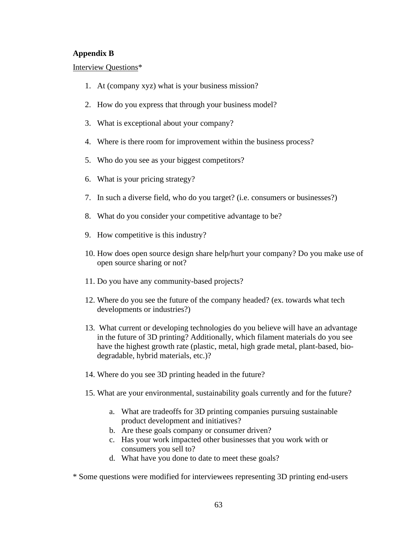## **Appendix B**

Interview Questions\*

- 1. At (company xyz) what is your business mission?
- 2. How do you express that through your business model?
- 3. What is exceptional about your company?
- 4. Where is there room for improvement within the business process?
- 5. Who do you see as your biggest competitors?
- 6. What is your pricing strategy?
- 7. In such a diverse field, who do you target? (i.e. consumers or businesses?)
- 8. What do you consider your competitive advantage to be?
- 9. How competitive is this industry?
- 10. How does open source design share help/hurt your company? Do you make use of open source sharing or not?
- 11. Do you have any community-based projects?
- 12. Where do you see the future of the company headed? (ex. towards what tech developments or industries?)
- 13. What current or developing technologies do you believe will have an advantage in the future of 3D printing? Additionally, which filament materials do you see have the highest growth rate (plastic, metal, high grade metal, plant-based, biodegradable, hybrid materials, etc.)?
- 14. Where do you see 3D printing headed in the future?
- 15. What are your environmental, sustainability goals currently and for the future?
	- a. What are tradeoffs for 3D printing companies pursuing sustainable product development and initiatives?
	- b. Are these goals company or consumer driven?
	- c. Has your work impacted other businesses that you work with or consumers you sell to?
	- d. What have you done to date to meet these goals?
- \* Some questions were modified for interviewees representing 3D printing end-users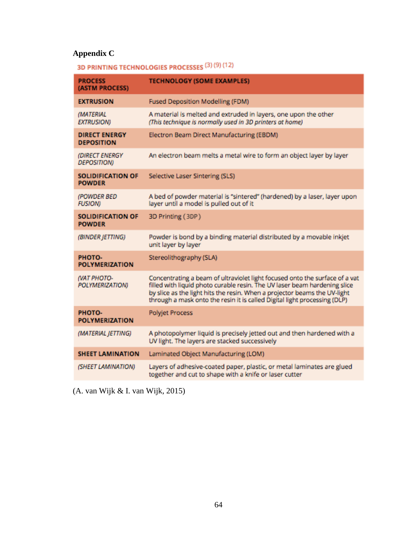## **Appendix C**

# 3D PRINTING TECHNOLOGIES PROCESSES (3) (9) (12)

| <b>PROCESS</b><br>(ASTM PROCESS)          | <b>TECHNOLOGY (SOME EXAMPLES)</b>                                                                                                                                                                                                                                                                                  |
|-------------------------------------------|--------------------------------------------------------------------------------------------------------------------------------------------------------------------------------------------------------------------------------------------------------------------------------------------------------------------|
| <b>EXTRUSION</b>                          | <b>Fused Deposition Modelling (FDM)</b>                                                                                                                                                                                                                                                                            |
| (MATERIAL<br><b>EXTRUSION)</b>            | A material is melted and extruded in layers, one upon the other<br>(This technique is normally used in 3D printers at home)                                                                                                                                                                                        |
| <b>DIRECT ENERGY</b><br><b>DEPOSITION</b> | Electron Beam Direct Manufacturing (EBDM)                                                                                                                                                                                                                                                                          |
| (DIRECT ENERGY<br><b>DEPOSITION)</b>      | An electron beam melts a metal wire to form an object layer by layer                                                                                                                                                                                                                                               |
| <b>SOLIDIFICATION OF</b><br><b>POWDER</b> | Selective Laser Sintering (SLS)                                                                                                                                                                                                                                                                                    |
| (POWDER BED<br><b>FUSION)</b>             | A bed of powder material is "sintered" (hardened) by a laser, layer upon<br>layer until a model is pulled out of it                                                                                                                                                                                                |
| <b>SOLIDIFICATION OF</b><br><b>POWDER</b> | 3D Printing (3DP)                                                                                                                                                                                                                                                                                                  |
| (BINDER JETTING)                          | Powder is bond by a binding material distributed by a movable inkjet<br>unit layer by layer                                                                                                                                                                                                                        |
| PHOTO-<br><b>POLYMERIZATION</b>           | Stereolithography (SLA)                                                                                                                                                                                                                                                                                            |
| <b>NAT PHOTO-</b><br>POLYMERIZATION)      | Concentrating a beam of ultraviolet light focused onto the surface of a vat<br>filled with liquid photo curable resin. The UV laser beam hardening slice<br>by slice as the light hits the resin. When a projector beams the UV-light<br>through a mask onto the resin it is called Digital light processing (DLP) |
| PHOTO-<br><b>POLYMERIZATION</b>           | <b>Polyjet Process</b>                                                                                                                                                                                                                                                                                             |
| (MATERIAL JETTING)                        | A photopolymer liquid is precisely jetted out and then hardened with a<br>UV light. The layers are stacked successively                                                                                                                                                                                            |
| <b>SHEET LAMINATION</b>                   | Laminated Object Manufacturing (LOM)                                                                                                                                                                                                                                                                               |
| (SHEET LAMINATION)                        | Layers of adhesive-coated paper, plastic, or metal laminates are glued<br>together and cut to shape with a knife or laser cutter                                                                                                                                                                                   |

(A. van Wijk & I. van Wijk, 2015)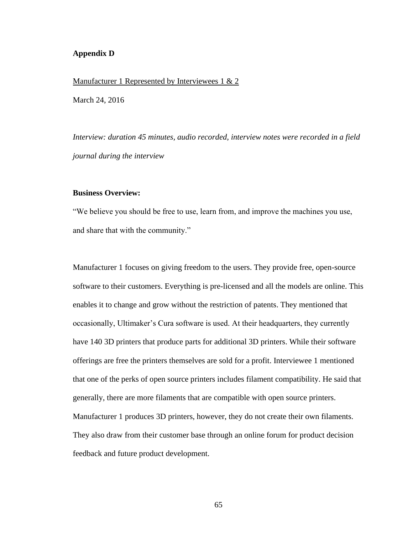### **Appendix D**

#### Manufacturer 1 Represented by Interviewees 1 & 2

March 24, 2016

*Interview: duration 45 minutes, audio recorded, interview notes were recorded in a field journal during the interview*

### **Business Overview:**

"We believe you should be free to use, learn from, and improve the machines you use, and share that with the community."

Manufacturer 1 focuses on giving freedom to the users. They provide free, open-source software to their customers. Everything is pre-licensed and all the models are online. This enables it to change and grow without the restriction of patents. They mentioned that occasionally, Ultimaker's Cura software is used. At their headquarters, they currently have 140 3D printers that produce parts for additional 3D printers. While their software offerings are free the printers themselves are sold for a profit. Interviewee 1 mentioned that one of the perks of open source printers includes filament compatibility. He said that generally, there are more filaments that are compatible with open source printers. Manufacturer 1 produces 3D printers, however, they do not create their own filaments. They also draw from their customer base through an online forum for product decision feedback and future product development.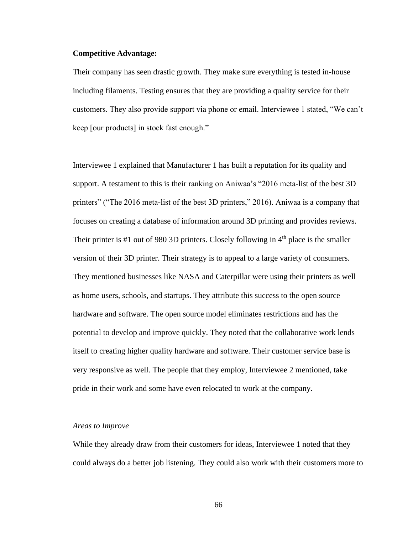# **Competitive Advantage:**

Their company has seen drastic growth. They make sure everything is tested in-house including filaments. Testing ensures that they are providing a quality service for their customers. They also provide support via phone or email. Interviewee 1 stated, "We can't keep [our products] in stock fast enough."

Interviewee 1 explained that Manufacturer 1 has built a reputation for its quality and support. A testament to this is their ranking on Aniwaa's "2016 meta-list of the best 3D printers" ("The 2016 meta-list of the best 3D printers," 2016). Aniwaa is a company that focuses on creating a database of information around 3D printing and provides reviews. Their printer is #1 out of 980 3D printers. Closely following in  $4<sup>th</sup>$  place is the smaller version of their 3D printer. Their strategy is to appeal to a large variety of consumers. They mentioned businesses like NASA and Caterpillar were using their printers as well as home users, schools, and startups. They attribute this success to the open source hardware and software. The open source model eliminates restrictions and has the potential to develop and improve quickly. They noted that the collaborative work lends itself to creating higher quality hardware and software. Their customer service base is very responsive as well. The people that they employ, Interviewee 2 mentioned, take pride in their work and some have even relocated to work at the company.

# *Areas to Improve*

While they already draw from their customers for ideas, Interviewee 1 noted that they could always do a better job listening. They could also work with their customers more to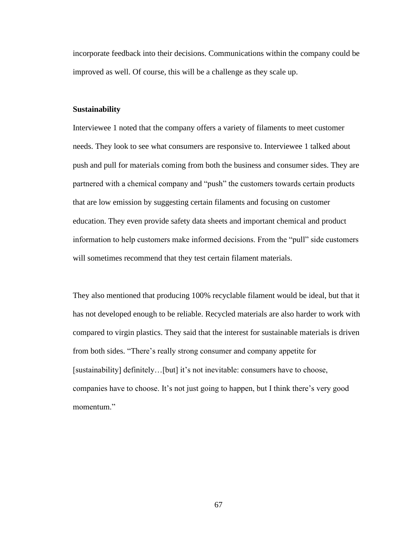incorporate feedback into their decisions. Communications within the company could be improved as well. Of course, this will be a challenge as they scale up.

## **Sustainability**

Interviewee 1 noted that the company offers a variety of filaments to meet customer needs. They look to see what consumers are responsive to. Interviewee 1 talked about push and pull for materials coming from both the business and consumer sides. They are partnered with a chemical company and "push" the customers towards certain products that are low emission by suggesting certain filaments and focusing on customer education. They even provide safety data sheets and important chemical and product information to help customers make informed decisions. From the "pull" side customers will sometimes recommend that they test certain filament materials.

They also mentioned that producing 100% recyclable filament would be ideal, but that it has not developed enough to be reliable. Recycled materials are also harder to work with compared to virgin plastics. They said that the interest for sustainable materials is driven from both sides. "There's really strong consumer and company appetite for [sustainability] definitely...[but] it's not inevitable: consumers have to choose, companies have to choose. It's not just going to happen, but I think there's very good momentum."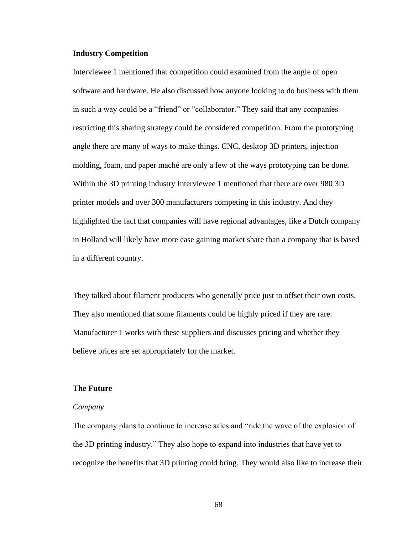# **Industry Competition**

Interviewee 1 mentioned that competition could examined from the angle of open software and hardware. He also discussed how anyone looking to do business with them in such a way could be a "friend" or "collaborator." They said that any companies restricting this sharing strategy could be considered competition. From the prototyping angle there are many of ways to make things. CNC, desktop 3D printers, injection molding, foam, and paper maché are only a few of the ways prototyping can be done. Within the 3D printing industry Interviewee 1 mentioned that there are over 980 3D printer models and over 300 manufacturers competing in this industry. And they highlighted the fact that companies will have regional advantages, like a Dutch company in Holland will likely have more ease gaining market share than a company that is based in a different country.

They talked about filament producers who generally price just to offset their own costs. They also mentioned that some filaments could be highly priced if they are rare. Manufacturer 1 works with these suppliers and discusses pricing and whether they believe prices are set appropriately for the market.

# **The Future**

## *Company*

The company plans to continue to increase sales and "ride the wave of the explosion of the 3D printing industry." They also hope to expand into industries that have yet to recognize the benefits that 3D printing could bring. They would also like to increase their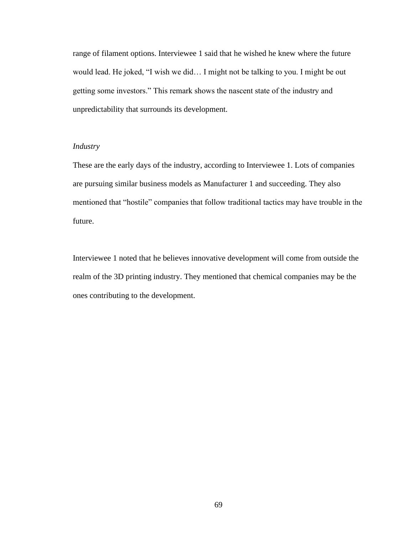range of filament options. Interviewee 1 said that he wished he knew where the future would lead. He joked, "I wish we did… I might not be talking to you. I might be out getting some investors." This remark shows the nascent state of the industry and unpredictability that surrounds its development.

# *Industry*

These are the early days of the industry, according to Interviewee 1. Lots of companies are pursuing similar business models as Manufacturer 1 and succeeding. They also mentioned that "hostile" companies that follow traditional tactics may have trouble in the future.

Interviewee 1 noted that he believes innovative development will come from outside the realm of the 3D printing industry. They mentioned that chemical companies may be the ones contributing to the development.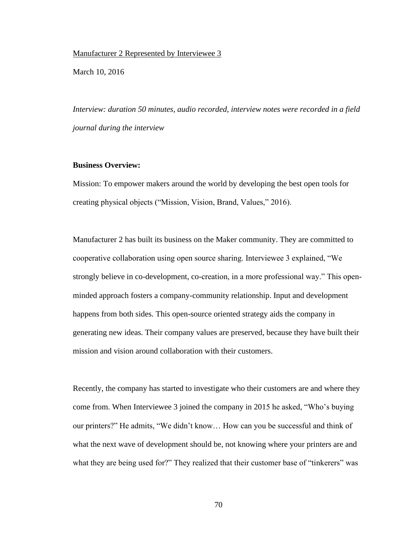## Manufacturer 2 Represented by Interviewee 3

March 10, 2016

*Interview: duration 50 minutes, audio recorded, interview notes were recorded in a field journal during the interview*

## **Business Overview:**

Mission: To empower makers around the world by developing the best open tools for creating physical objects ("Mission, Vision, Brand, Values," 2016).

Manufacturer 2 has built its business on the Maker community. They are committed to cooperative collaboration using open source sharing. Interviewee 3 explained, "We strongly believe in co-development, co-creation, in a more professional way." This openminded approach fosters a company-community relationship. Input and development happens from both sides. This open-source oriented strategy aids the company in generating new ideas. Their company values are preserved, because they have built their mission and vision around collaboration with their customers.

Recently, the company has started to investigate who their customers are and where they come from. When Interviewee 3 joined the company in 2015 he asked, "Who's buying our printers?" He admits, "We didn't know… How can you be successful and think of what the next wave of development should be, not knowing where your printers are and what they are being used for?" They realized that their customer base of "tinkerers" was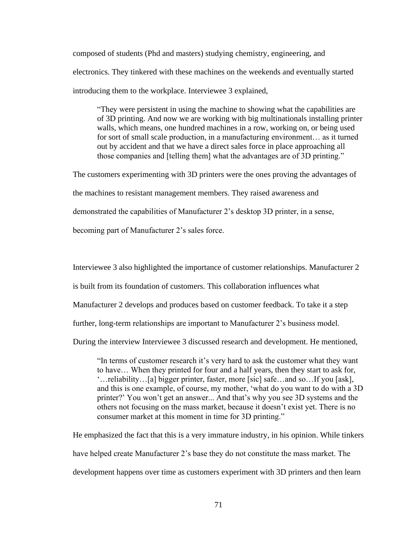composed of students (Phd and masters) studying chemistry, engineering, and electronics. They tinkered with these machines on the weekends and eventually started introducing them to the workplace. Interviewee 3 explained,

"They were persistent in using the machine to showing what the capabilities are of 3D printing. And now we are working with big multinationals installing printer walls, which means, one hundred machines in a row, working on, or being used for sort of small scale production, in a manufacturing environment… as it turned out by accident and that we have a direct sales force in place approaching all those companies and [telling them] what the advantages are of 3D printing."

The customers experimenting with 3D printers were the ones proving the advantages of

the machines to resistant management members. They raised awareness and

demonstrated the capabilities of Manufacturer 2's desktop 3D printer, in a sense,

becoming part of Manufacturer 2's sales force.

Interviewee 3 also highlighted the importance of customer relationships. Manufacturer 2

is built from its foundation of customers. This collaboration influences what

Manufacturer 2 develops and produces based on customer feedback. To take it a step

further, long-term relationships are important to Manufacturer 2's business model.

During the interview Interviewee 3 discussed research and development. He mentioned,

"In terms of customer research it's very hard to ask the customer what they want to have… When they printed for four and a half years, then they start to ask for, '…reliability…[a] bigger printer, faster, more [sic] safe…and so…If you [ask], and this is one example, of course, my mother, 'what do you want to do with a 3D printer?' You won't get an answer... And that's why you see 3D systems and the others not focusing on the mass market, because it doesn't exist yet. There is no consumer market at this moment in time for 3D printing."

He emphasized the fact that this is a very immature industry, in his opinion. While tinkers have helped create Manufacturer 2's base they do not constitute the mass market. The development happens over time as customers experiment with 3D printers and then learn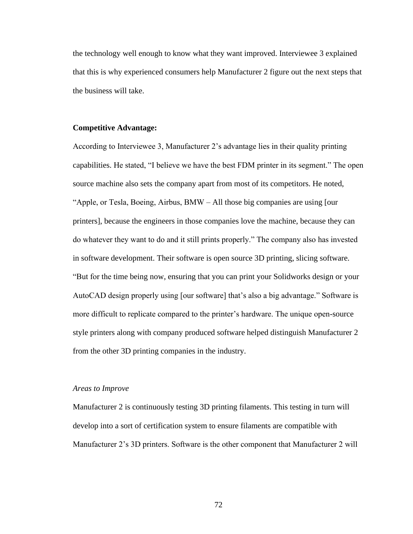the technology well enough to know what they want improved. Interviewee 3 explained that this is why experienced consumers help Manufacturer 2 figure out the next steps that the business will take.

### **Competitive Advantage:**

According to Interviewee 3, Manufacturer 2's advantage lies in their quality printing capabilities. He stated, "I believe we have the best FDM printer in its segment." The open source machine also sets the company apart from most of its competitors. He noted, "Apple, or Tesla, Boeing, Airbus, BMW – All those big companies are using [our printers], because the engineers in those companies love the machine, because they can do whatever they want to do and it still prints properly." The company also has invested in software development. Their software is open source 3D printing, slicing software. "But for the time being now, ensuring that you can print your Solidworks design or your AutoCAD design properly using [our software] that's also a big advantage." Software is more difficult to replicate compared to the printer's hardware. The unique open-source style printers along with company produced software helped distinguish Manufacturer 2 from the other 3D printing companies in the industry.

### *Areas to Improve*

Manufacturer 2 is continuously testing 3D printing filaments. This testing in turn will develop into a sort of certification system to ensure filaments are compatible with Manufacturer 2's 3D printers. Software is the other component that Manufacturer 2 will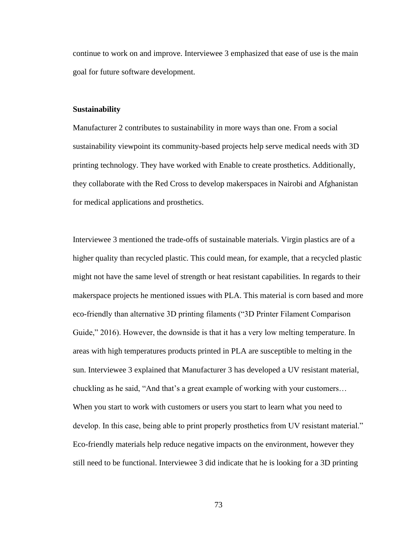continue to work on and improve. Interviewee 3 emphasized that ease of use is the main goal for future software development.

#### **Sustainability**

Manufacturer 2 contributes to sustainability in more ways than one. From a social sustainability viewpoint its community-based projects help serve medical needs with 3D printing technology. They have worked with Enable to create prosthetics. Additionally, they collaborate with the Red Cross to develop makerspaces in Nairobi and Afghanistan for medical applications and prosthetics.

Interviewee 3 mentioned the trade-offs of sustainable materials. Virgin plastics are of a higher quality than recycled plastic. This could mean, for example, that a recycled plastic might not have the same level of strength or heat resistant capabilities. In regards to their makerspace projects he mentioned issues with PLA. This material is corn based and more eco-friendly than alternative 3D printing filaments ("3D Printer Filament Comparison Guide," 2016). However, the downside is that it has a very low melting temperature. In areas with high temperatures products printed in PLA are susceptible to melting in the sun. Interviewee 3 explained that Manufacturer 3 has developed a UV resistant material, chuckling as he said, "And that's a great example of working with your customers… When you start to work with customers or users you start to learn what you need to develop. In this case, being able to print properly prosthetics from UV resistant material." Eco-friendly materials help reduce negative impacts on the environment, however they still need to be functional. Interviewee 3 did indicate that he is looking for a 3D printing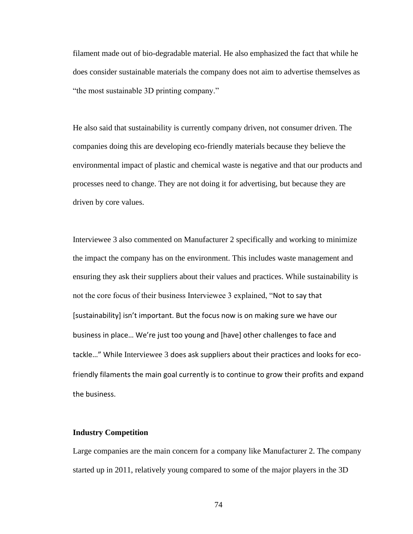filament made out of bio-degradable material. He also emphasized the fact that while he does consider sustainable materials the company does not aim to advertise themselves as "the most sustainable 3D printing company."

He also said that sustainability is currently company driven, not consumer driven. The companies doing this are developing eco-friendly materials because they believe the environmental impact of plastic and chemical waste is negative and that our products and processes need to change. They are not doing it for advertising, but because they are driven by core values.

Interviewee 3 also commented on Manufacturer 2 specifically and working to minimize the impact the company has on the environment. This includes waste management and ensuring they ask their suppliers about their values and practices. While sustainability is not the core focus of their business Interviewee 3 explained, "Not to say that [sustainability] isn't important. But the focus now is on making sure we have our business in place… We're just too young and [have] other challenges to face and tackle…" While Interviewee 3 does ask suppliers about their practices and looks for ecofriendly filaments the main goal currently is to continue to grow their profits and expand the business.

# **Industry Competition**

Large companies are the main concern for a company like Manufacturer 2. The company started up in 2011, relatively young compared to some of the major players in the 3D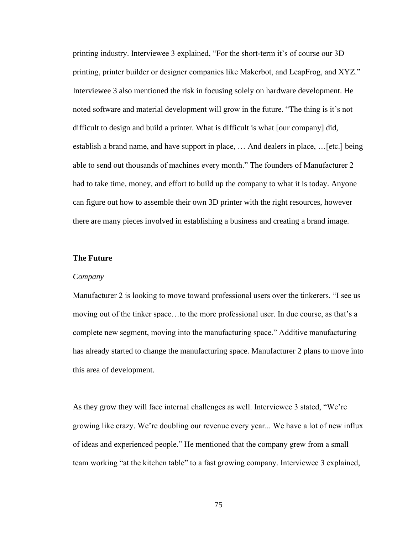printing industry. Interviewee 3 explained, "For the short-term it's of course our 3D printing, printer builder or designer companies like Makerbot, and LeapFrog, and XYZ." Interviewee 3 also mentioned the risk in focusing solely on hardware development. He noted software and material development will grow in the future. "The thing is it's not difficult to design and build a printer. What is difficult is what [our company] did, establish a brand name, and have support in place, … And dealers in place, …[etc.] being able to send out thousands of machines every month." The founders of Manufacturer 2 had to take time, money, and effort to build up the company to what it is today. Anyone can figure out how to assemble their own 3D printer with the right resources, however there are many pieces involved in establishing a business and creating a brand image.

# **The Future**

### *Company*

Manufacturer 2 is looking to move toward professional users over the tinkerers. "I see us moving out of the tinker space…to the more professional user. In due course, as that's a complete new segment, moving into the manufacturing space." Additive manufacturing has already started to change the manufacturing space. Manufacturer 2 plans to move into this area of development.

As they grow they will face internal challenges as well. Interviewee 3 stated, "We're growing like crazy. We're doubling our revenue every year... We have a lot of new influx of ideas and experienced people." He mentioned that the company grew from a small team working "at the kitchen table" to a fast growing company. Interviewee 3 explained,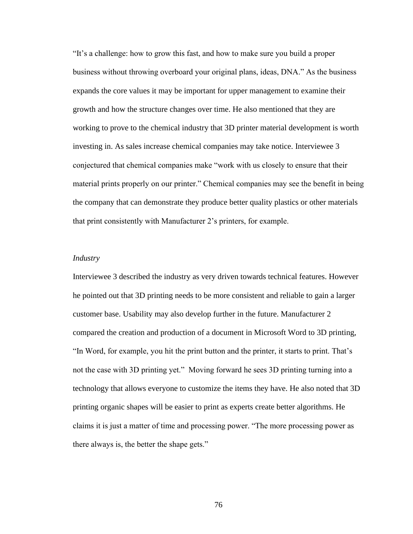"It's a challenge: how to grow this fast, and how to make sure you build a proper business without throwing overboard your original plans, ideas, DNA." As the business expands the core values it may be important for upper management to examine their growth and how the structure changes over time. He also mentioned that they are working to prove to the chemical industry that 3D printer material development is worth investing in. As sales increase chemical companies may take notice. Interviewee 3 conjectured that chemical companies make "work with us closely to ensure that their material prints properly on our printer." Chemical companies may see the benefit in being the company that can demonstrate they produce better quality plastics or other materials that print consistently with Manufacturer 2's printers, for example.

## *Industry*

Interviewee 3 described the industry as very driven towards technical features. However he pointed out that 3D printing needs to be more consistent and reliable to gain a larger customer base. Usability may also develop further in the future. Manufacturer 2 compared the creation and production of a document in Microsoft Word to 3D printing, "In Word, for example, you hit the print button and the printer, it starts to print. That's not the case with 3D printing yet." Moving forward he sees 3D printing turning into a technology that allows everyone to customize the items they have. He also noted that 3D printing organic shapes will be easier to print as experts create better algorithms. He claims it is just a matter of time and processing power. "The more processing power as there always is, the better the shape gets."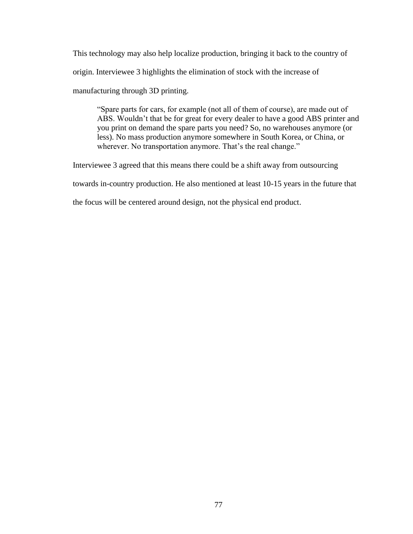This technology may also help localize production, bringing it back to the country of origin. Interviewee 3 highlights the elimination of stock with the increase of manufacturing through 3D printing.

"Spare parts for cars, for example (not all of them of course), are made out of ABS. Wouldn't that be for great for every dealer to have a good ABS printer and you print on demand the spare parts you need? So, no warehouses anymore (or less). No mass production anymore somewhere in South Korea, or China, or wherever. No transportation anymore. That's the real change."

Interviewee 3 agreed that this means there could be a shift away from outsourcing

towards in-country production. He also mentioned at least 10-15 years in the future that

the focus will be centered around design, not the physical end product.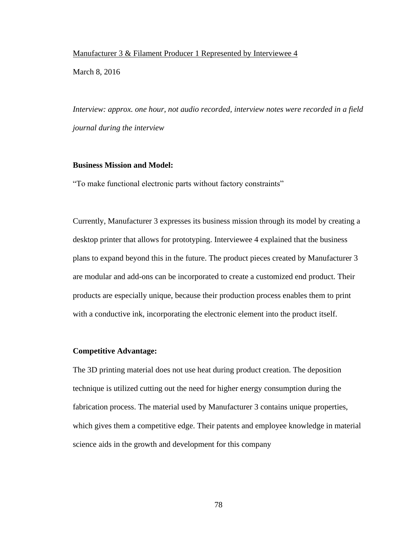## Manufacturer 3 & Filament Producer 1 Represented by Interviewee 4

March 8, 2016

*Interview: approx. one hour, not audio recorded, interview notes were recorded in a field journal during the interview*

# **Business Mission and Model:**

"To make functional electronic parts without factory constraints"

Currently, Manufacturer 3 expresses its business mission through its model by creating a desktop printer that allows for prototyping. Interviewee 4 explained that the business plans to expand beyond this in the future. The product pieces created by Manufacturer 3 are modular and add-ons can be incorporated to create a customized end product. Their products are especially unique, because their production process enables them to print with a conductive ink, incorporating the electronic element into the product itself.

# **Competitive Advantage:**

The 3D printing material does not use heat during product creation. The deposition technique is utilized cutting out the need for higher energy consumption during the fabrication process. The material used by Manufacturer 3 contains unique properties, which gives them a competitive edge. Their patents and employee knowledge in material science aids in the growth and development for this company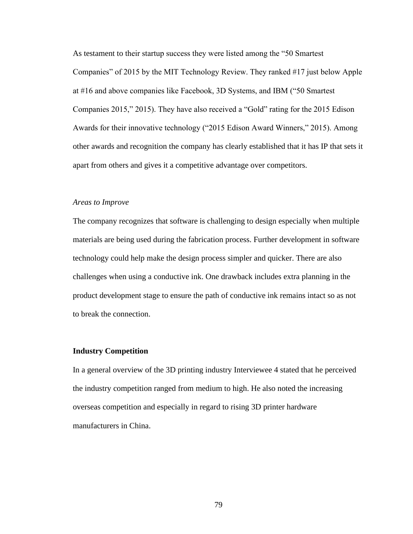As testament to their startup success they were listed among the "50 Smartest Companies" of 2015 by the MIT Technology Review. They ranked #17 just below Apple at #16 and above companies like Facebook, 3D Systems, and IBM ("50 Smartest Companies 2015," 2015). They have also received a "Gold" rating for the 2015 Edison Awards for their innovative technology ("2015 Edison Award Winners," 2015). Among other awards and recognition the company has clearly established that it has IP that sets it apart from others and gives it a competitive advantage over competitors.

### *Areas to Improve*

The company recognizes that software is challenging to design especially when multiple materials are being used during the fabrication process. Further development in software technology could help make the design process simpler and quicker. There are also challenges when using a conductive ink. One drawback includes extra planning in the product development stage to ensure the path of conductive ink remains intact so as not to break the connection.

# **Industry Competition**

In a general overview of the 3D printing industry Interviewee 4 stated that he perceived the industry competition ranged from medium to high. He also noted the increasing overseas competition and especially in regard to rising 3D printer hardware manufacturers in China.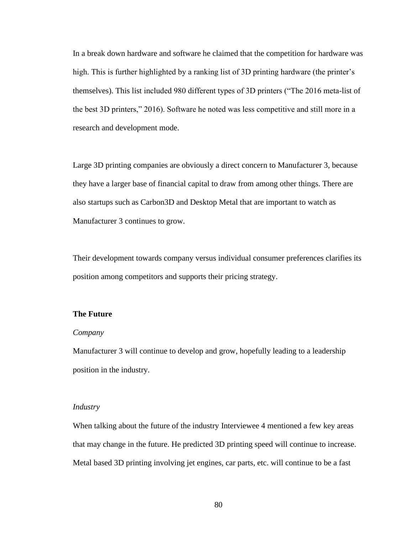In a break down hardware and software he claimed that the competition for hardware was high. This is further highlighted by a ranking list of 3D printing hardware (the printer's themselves). This list included 980 different types of 3D printers ("The 2016 meta-list of the best 3D printers," 2016). Software he noted was less competitive and still more in a research and development mode.

Large 3D printing companies are obviously a direct concern to Manufacturer 3, because they have a larger base of financial capital to draw from among other things. There are also startups such as Carbon3D and Desktop Metal that are important to watch as Manufacturer 3 continues to grow.

Their development towards company versus individual consumer preferences clarifies its position among competitors and supports their pricing strategy.

## **The Future**

### *Company*

Manufacturer 3 will continue to develop and grow, hopefully leading to a leadership position in the industry.

## *Industry*

When talking about the future of the industry Interviewee 4 mentioned a few key areas that may change in the future. He predicted 3D printing speed will continue to increase. Metal based 3D printing involving jet engines, car parts, etc. will continue to be a fast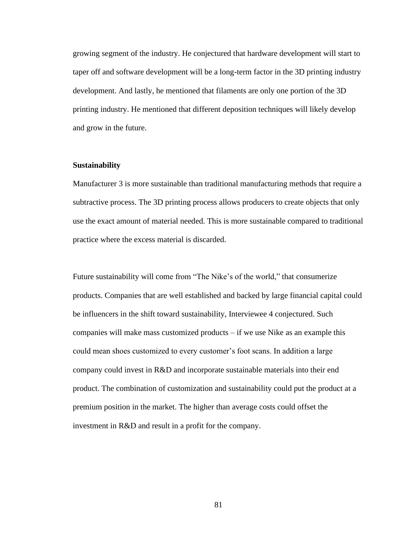growing segment of the industry. He conjectured that hardware development will start to taper off and software development will be a long-term factor in the 3D printing industry development. And lastly, he mentioned that filaments are only one portion of the 3D printing industry. He mentioned that different deposition techniques will likely develop and grow in the future.

## **Sustainability**

Manufacturer 3 is more sustainable than traditional manufacturing methods that require a subtractive process. The 3D printing process allows producers to create objects that only use the exact amount of material needed. This is more sustainable compared to traditional practice where the excess material is discarded.

Future sustainability will come from "The Nike's of the world," that consumerize products. Companies that are well established and backed by large financial capital could be influencers in the shift toward sustainability, Interviewee 4 conjectured. Such companies will make mass customized products – if we use Nike as an example this could mean shoes customized to every customer's foot scans. In addition a large company could invest in R&D and incorporate sustainable materials into their end product. The combination of customization and sustainability could put the product at a premium position in the market. The higher than average costs could offset the investment in R&D and result in a profit for the company.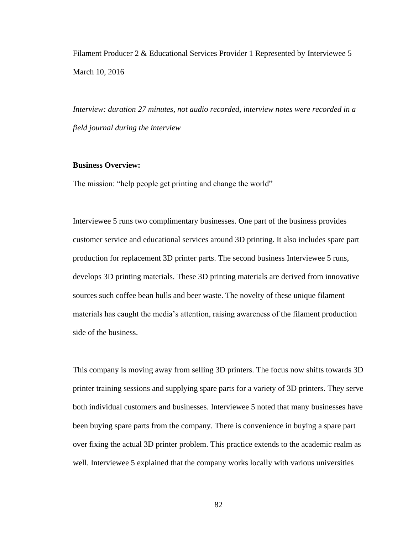Filament Producer 2 & Educational Services Provider 1 Represented by Interviewee 5 March 10, 2016

*Interview: duration 27 minutes, not audio recorded, interview notes were recorded in a field journal during the interview*

## **Business Overview:**

The mission: "help people get printing and change the world"

Interviewee 5 runs two complimentary businesses. One part of the business provides customer service and educational services around 3D printing. It also includes spare part production for replacement 3D printer parts. The second business Interviewee 5 runs, develops 3D printing materials. These 3D printing materials are derived from innovative sources such coffee bean hulls and beer waste. The novelty of these unique filament materials has caught the media's attention, raising awareness of the filament production side of the business.

This company is moving away from selling 3D printers. The focus now shifts towards 3D printer training sessions and supplying spare parts for a variety of 3D printers. They serve both individual customers and businesses. Interviewee 5 noted that many businesses have been buying spare parts from the company. There is convenience in buying a spare part over fixing the actual 3D printer problem. This practice extends to the academic realm as well. Interviewee 5 explained that the company works locally with various universities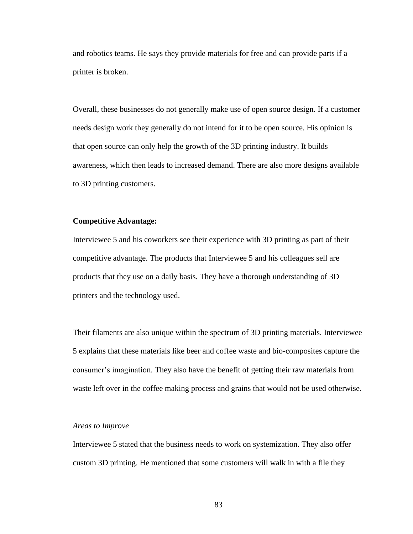and robotics teams. He says they provide materials for free and can provide parts if a printer is broken.

Overall, these businesses do not generally make use of open source design. If a customer needs design work they generally do not intend for it to be open source. His opinion is that open source can only help the growth of the 3D printing industry. It builds awareness, which then leads to increased demand. There are also more designs available to 3D printing customers.

### **Competitive Advantage:**

Interviewee 5 and his coworkers see their experience with 3D printing as part of their competitive advantage. The products that Interviewee 5 and his colleagues sell are products that they use on a daily basis. They have a thorough understanding of 3D printers and the technology used.

Their filaments are also unique within the spectrum of 3D printing materials. Interviewee 5 explains that these materials like beer and coffee waste and bio-composites capture the consumer's imagination. They also have the benefit of getting their raw materials from waste left over in the coffee making process and grains that would not be used otherwise.

### *Areas to Improve*

Interviewee 5 stated that the business needs to work on systemization. They also offer custom 3D printing. He mentioned that some customers will walk in with a file they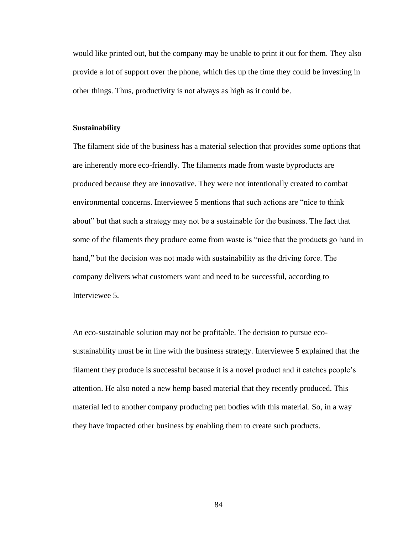would like printed out, but the company may be unable to print it out for them. They also provide a lot of support over the phone, which ties up the time they could be investing in other things. Thus, productivity is not always as high as it could be.

### **Sustainability**

The filament side of the business has a material selection that provides some options that are inherently more eco-friendly. The filaments made from waste byproducts are produced because they are innovative. They were not intentionally created to combat environmental concerns. Interviewee 5 mentions that such actions are "nice to think about" but that such a strategy may not be a sustainable for the business. The fact that some of the filaments they produce come from waste is "nice that the products go hand in hand," but the decision was not made with sustainability as the driving force. The company delivers what customers want and need to be successful, according to Interviewee 5.

An eco-sustainable solution may not be profitable. The decision to pursue ecosustainability must be in line with the business strategy. Interviewee 5 explained that the filament they produce is successful because it is a novel product and it catches people's attention. He also noted a new hemp based material that they recently produced. This material led to another company producing pen bodies with this material. So, in a way they have impacted other business by enabling them to create such products.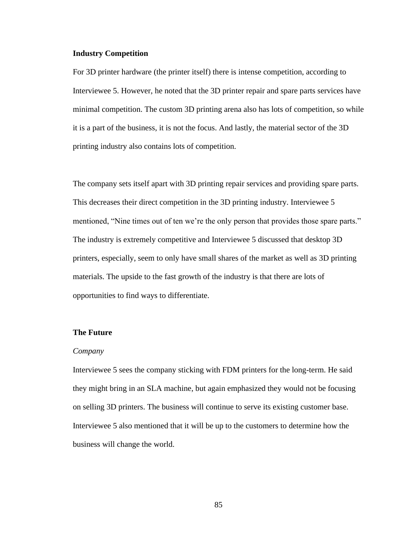## **Industry Competition**

For 3D printer hardware (the printer itself) there is intense competition, according to Interviewee 5. However, he noted that the 3D printer repair and spare parts services have minimal competition. The custom 3D printing arena also has lots of competition, so while it is a part of the business, it is not the focus. And lastly, the material sector of the 3D printing industry also contains lots of competition.

The company sets itself apart with 3D printing repair services and providing spare parts. This decreases their direct competition in the 3D printing industry. Interviewee 5 mentioned, "Nine times out of ten we're the only person that provides those spare parts." The industry is extremely competitive and Interviewee 5 discussed that desktop 3D printers, especially, seem to only have small shares of the market as well as 3D printing materials. The upside to the fast growth of the industry is that there are lots of opportunities to find ways to differentiate.

# **The Future**

#### *Company*

Interviewee 5 sees the company sticking with FDM printers for the long-term. He said they might bring in an SLA machine, but again emphasized they would not be focusing on selling 3D printers. The business will continue to serve its existing customer base. Interviewee 5 also mentioned that it will be up to the customers to determine how the business will change the world.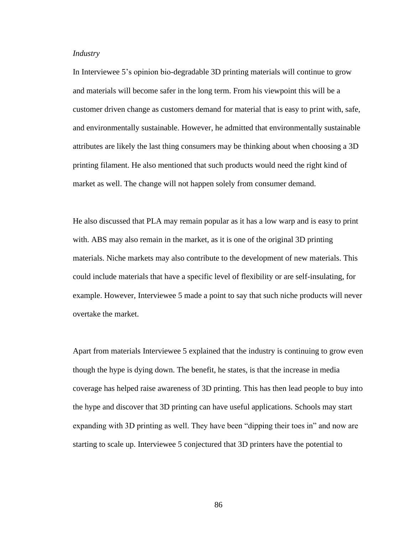# *Industry*

In Interviewee 5's opinion bio-degradable 3D printing materials will continue to grow and materials will become safer in the long term. From his viewpoint this will be a customer driven change as customers demand for material that is easy to print with, safe, and environmentally sustainable. However, he admitted that environmentally sustainable attributes are likely the last thing consumers may be thinking about when choosing a 3D printing filament. He also mentioned that such products would need the right kind of market as well. The change will not happen solely from consumer demand.

He also discussed that PLA may remain popular as it has a low warp and is easy to print with. ABS may also remain in the market, as it is one of the original 3D printing materials. Niche markets may also contribute to the development of new materials. This could include materials that have a specific level of flexibility or are self-insulating, for example. However, Interviewee 5 made a point to say that such niche products will never overtake the market.

Apart from materials Interviewee 5 explained that the industry is continuing to grow even though the hype is dying down. The benefit, he states, is that the increase in media coverage has helped raise awareness of 3D printing. This has then lead people to buy into the hype and discover that 3D printing can have useful applications. Schools may start expanding with 3D printing as well. They have been "dipping their toes in" and now are starting to scale up. Interviewee 5 conjectured that 3D printers have the potential to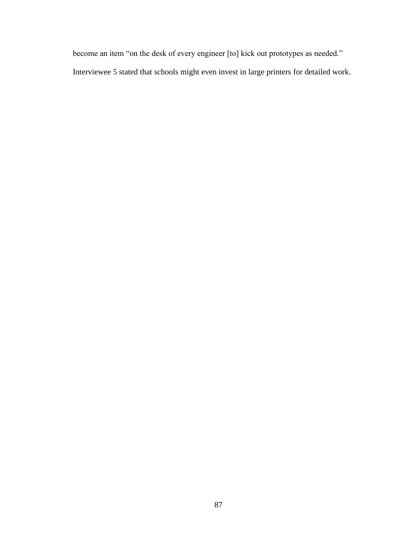become an item "on the desk of every engineer [to] kick out prototypes as needed." Interviewee 5 stated that schools might even invest in large printers for detailed work.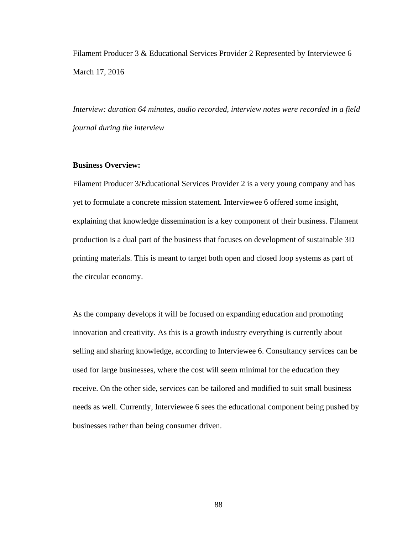Filament Producer 3 & Educational Services Provider 2 Represented by Interviewee 6 March 17, 2016

*Interview: duration 64 minutes, audio recorded, interview notes were recorded in a field journal during the interview*

## **Business Overview:**

Filament Producer 3/Educational Services Provider 2 is a very young company and has yet to formulate a concrete mission statement. Interviewee 6 offered some insight, explaining that knowledge dissemination is a key component of their business. Filament production is a dual part of the business that focuses on development of sustainable 3D printing materials. This is meant to target both open and closed loop systems as part of the circular economy.

As the company develops it will be focused on expanding education and promoting innovation and creativity. As this is a growth industry everything is currently about selling and sharing knowledge, according to Interviewee 6. Consultancy services can be used for large businesses, where the cost will seem minimal for the education they receive. On the other side, services can be tailored and modified to suit small business needs as well. Currently, Interviewee 6 sees the educational component being pushed by businesses rather than being consumer driven.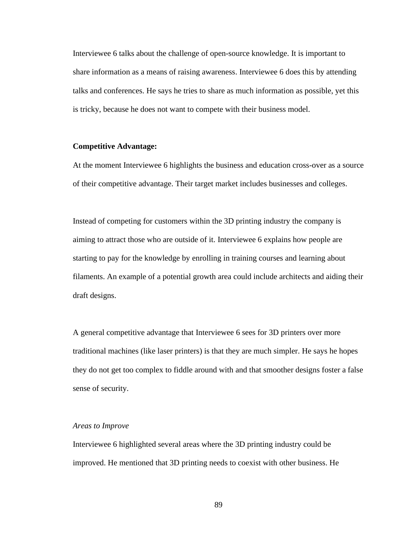Interviewee 6 talks about the challenge of open-source knowledge. It is important to share information as a means of raising awareness. Interviewee 6 does this by attending talks and conferences. He says he tries to share as much information as possible, yet this is tricky, because he does not want to compete with their business model.

# **Competitive Advantage:**

At the moment Interviewee 6 highlights the business and education cross-over as a source of their competitive advantage. Their target market includes businesses and colleges.

Instead of competing for customers within the 3D printing industry the company is aiming to attract those who are outside of it. Interviewee 6 explains how people are starting to pay for the knowledge by enrolling in training courses and learning about filaments. An example of a potential growth area could include architects and aiding their draft designs.

A general competitive advantage that Interviewee 6 sees for 3D printers over more traditional machines (like laser printers) is that they are much simpler. He says he hopes they do not get too complex to fiddle around with and that smoother designs foster a false sense of security.

# *Areas to Improve*

Interviewee 6 highlighted several areas where the 3D printing industry could be improved. He mentioned that 3D printing needs to coexist with other business. He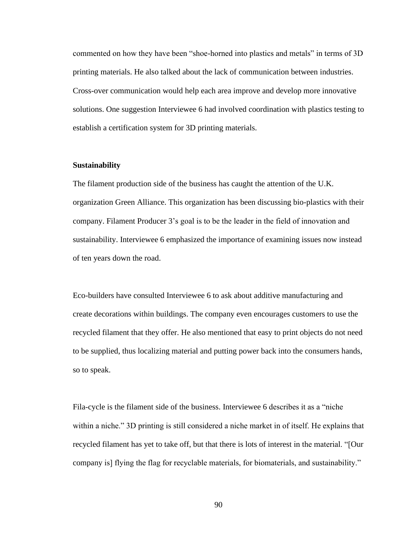commented on how they have been "shoe-horned into plastics and metals" in terms of 3D printing materials. He also talked about the lack of communication between industries. Cross-over communication would help each area improve and develop more innovative solutions. One suggestion Interviewee 6 had involved coordination with plastics testing to establish a certification system for 3D printing materials.

# **Sustainability**

The filament production side of the business has caught the attention of the U.K. organization Green Alliance. This organization has been discussing bio-plastics with their company. Filament Producer 3's goal is to be the leader in the field of innovation and sustainability. Interviewee 6 emphasized the importance of examining issues now instead of ten years down the road.

Eco-builders have consulted Interviewee 6 to ask about additive manufacturing and create decorations within buildings. The company even encourages customers to use the recycled filament that they offer. He also mentioned that easy to print objects do not need to be supplied, thus localizing material and putting power back into the consumers hands, so to speak.

Fila-cycle is the filament side of the business. Interviewee 6 describes it as a "niche within a niche." 3D printing is still considered a niche market in of itself. He explains that recycled filament has yet to take off, but that there is lots of interest in the material. "[Our company is] flying the flag for recyclable materials, for biomaterials, and sustainability."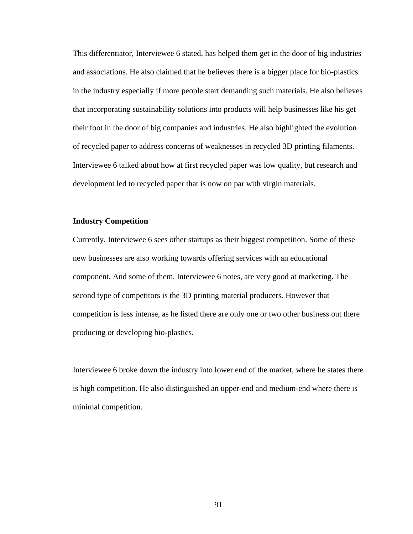This differentiator, Interviewee 6 stated, has helped them get in the door of big industries and associations. He also claimed that he believes there is a bigger place for bio-plastics in the industry especially if more people start demanding such materials. He also believes that incorporating sustainability solutions into products will help businesses like his get their foot in the door of big companies and industries. He also highlighted the evolution of recycled paper to address concerns of weaknesses in recycled 3D printing filaments. Interviewee 6 talked about how at first recycled paper was low quality, but research and development led to recycled paper that is now on par with virgin materials.

# **Industry Competition**

Currently, Interviewee 6 sees other startups as their biggest competition. Some of these new businesses are also working towards offering services with an educational component. And some of them, Interviewee 6 notes, are very good at marketing. The second type of competitors is the 3D printing material producers. However that competition is less intense, as he listed there are only one or two other business out there producing or developing bio-plastics.

Interviewee 6 broke down the industry into lower end of the market, where he states there is high competition. He also distinguished an upper-end and medium-end where there is minimal competition.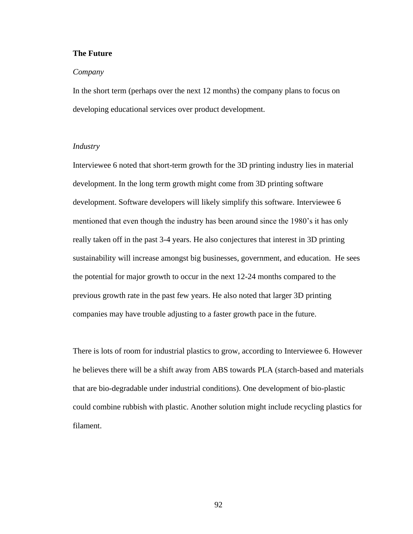# **The Future**

#### *Company*

In the short term (perhaps over the next 12 months) the company plans to focus on developing educational services over product development.

# *Industry*

Interviewee 6 noted that short-term growth for the 3D printing industry lies in material development. In the long term growth might come from 3D printing software development. Software developers will likely simplify this software. Interviewee 6 mentioned that even though the industry has been around since the 1980's it has only really taken off in the past 3-4 years. He also conjectures that interest in 3D printing sustainability will increase amongst big businesses, government, and education. He sees the potential for major growth to occur in the next 12-24 months compared to the previous growth rate in the past few years. He also noted that larger 3D printing companies may have trouble adjusting to a faster growth pace in the future.

There is lots of room for industrial plastics to grow, according to Interviewee 6. However he believes there will be a shift away from ABS towards PLA (starch-based and materials that are bio-degradable under industrial conditions). One development of bio-plastic could combine rubbish with plastic. Another solution might include recycling plastics for filament.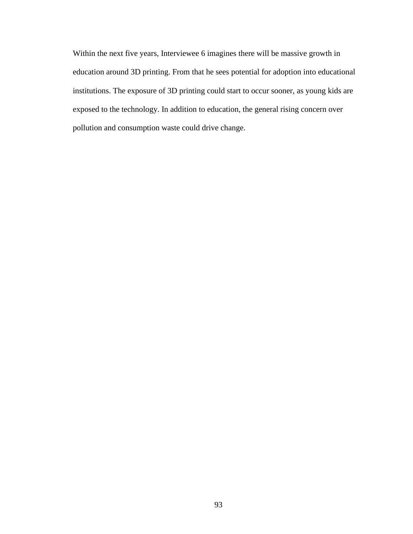Within the next five years, Interviewee 6 imagines there will be massive growth in education around 3D printing. From that he sees potential for adoption into educational institutions. The exposure of 3D printing could start to occur sooner, as young kids are exposed to the technology. In addition to education, the general rising concern over pollution and consumption waste could drive change.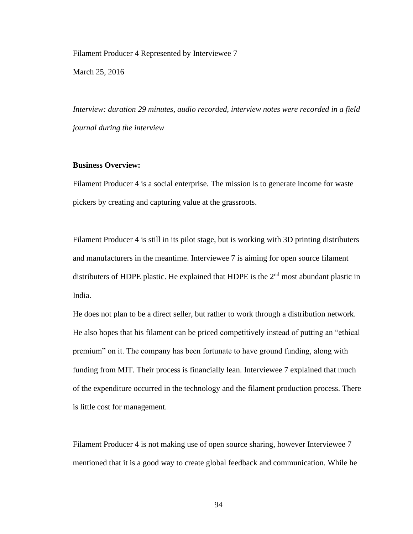## Filament Producer 4 Represented by Interviewee 7

March 25, 2016

*Interview: duration 29 minutes, audio recorded, interview notes were recorded in a field journal during the interview*

## **Business Overview:**

Filament Producer 4 is a social enterprise. The mission is to generate income for waste pickers by creating and capturing value at the grassroots.

Filament Producer 4 is still in its pilot stage, but is working with 3D printing distributers and manufacturers in the meantime. Interviewee 7 is aiming for open source filament distributers of HDPE plastic. He explained that HDPE is the  $2<sup>nd</sup>$  most abundant plastic in India.

He does not plan to be a direct seller, but rather to work through a distribution network. He also hopes that his filament can be priced competitively instead of putting an "ethical premium" on it. The company has been fortunate to have ground funding, along with funding from MIT. Their process is financially lean. Interviewee 7 explained that much of the expenditure occurred in the technology and the filament production process. There is little cost for management.

Filament Producer 4 is not making use of open source sharing, however Interviewee 7 mentioned that it is a good way to create global feedback and communication. While he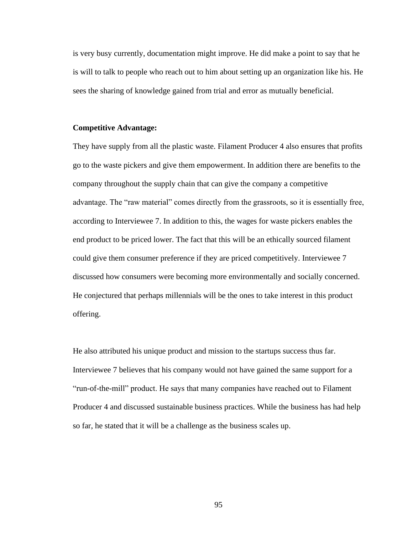is very busy currently, documentation might improve. He did make a point to say that he is will to talk to people who reach out to him about setting up an organization like his. He sees the sharing of knowledge gained from trial and error as mutually beneficial.

### **Competitive Advantage:**

They have supply from all the plastic waste. Filament Producer 4 also ensures that profits go to the waste pickers and give them empowerment. In addition there are benefits to the company throughout the supply chain that can give the company a competitive advantage. The "raw material" comes directly from the grassroots, so it is essentially free, according to Interviewee 7. In addition to this, the wages for waste pickers enables the end product to be priced lower. The fact that this will be an ethically sourced filament could give them consumer preference if they are priced competitively. Interviewee 7 discussed how consumers were becoming more environmentally and socially concerned. He conjectured that perhaps millennials will be the ones to take interest in this product offering.

He also attributed his unique product and mission to the startups success thus far. Interviewee 7 believes that his company would not have gained the same support for a "run-of-the-mill" product. He says that many companies have reached out to Filament Producer 4 and discussed sustainable business practices. While the business has had help so far, he stated that it will be a challenge as the business scales up.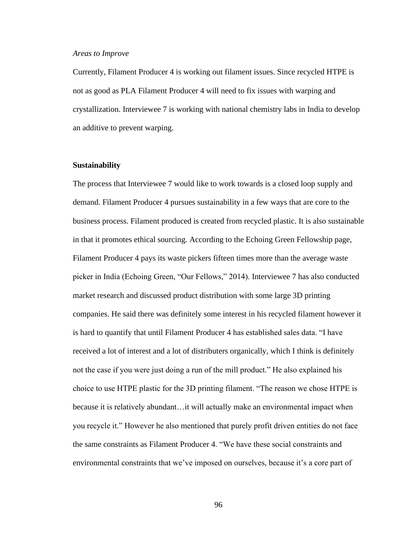### *Areas to Improve*

Currently, Filament Producer 4 is working out filament issues. Since recycled HTPE is not as good as PLA Filament Producer 4 will need to fix issues with warping and crystallization. Interviewee 7 is working with national chemistry labs in India to develop an additive to prevent warping.

### **Sustainability**

The process that Interviewee 7 would like to work towards is a closed loop supply and demand. Filament Producer 4 pursues sustainability in a few ways that are core to the business process. Filament produced is created from recycled plastic. It is also sustainable in that it promotes ethical sourcing. According to the Echoing Green Fellowship page, Filament Producer 4 pays its waste pickers fifteen times more than the average waste picker in India (Echoing Green, "Our Fellows," 2014). Interviewee 7 has also conducted market research and discussed product distribution with some large 3D printing companies. He said there was definitely some interest in his recycled filament however it is hard to quantify that until Filament Producer 4 has established sales data. "I have received a lot of interest and a lot of distributers organically, which I think is definitely not the case if you were just doing a run of the mill product." He also explained his choice to use HTPE plastic for the 3D printing filament. "The reason we chose HTPE is because it is relatively abundant…it will actually make an environmental impact when you recycle it." However he also mentioned that purely profit driven entities do not face the same constraints as Filament Producer 4. "We have these social constraints and environmental constraints that we've imposed on ourselves, because it's a core part of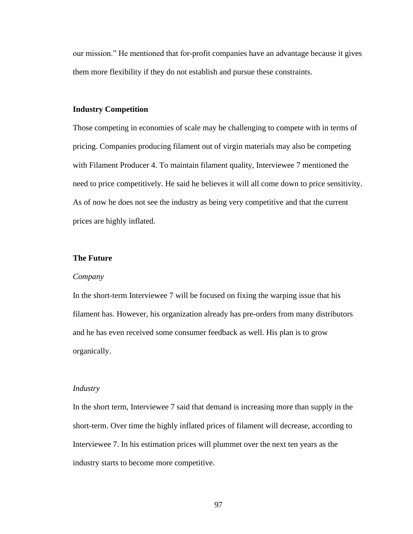our mission." He mentioned that for-profit companies have an advantage because it gives them more flexibility if they do not establish and pursue these constraints.

# **Industry Competition**

Those competing in economies of scale may be challenging to compete with in terms of pricing. Companies producing filament out of virgin materials may also be competing with Filament Producer 4. To maintain filament quality, Interviewee 7 mentioned the need to price competitively. He said he believes it will all come down to price sensitivity. As of now he does not see the industry as being very competitive and that the current prices are highly inflated.

## **The Future**

#### *Company*

In the short-term Interviewee 7 will be focused on fixing the warping issue that his filament has. However, his organization already has pre-orders from many distributors and he has even received some consumer feedback as well. His plan is to grow organically.

## *Industry*

In the short term, Interviewee 7 said that demand is increasing more than supply in the short-term. Over time the highly inflated prices of filament will decrease, according to Interviewee 7. In his estimation prices will plummet over the next ten years as the industry starts to become more competitive.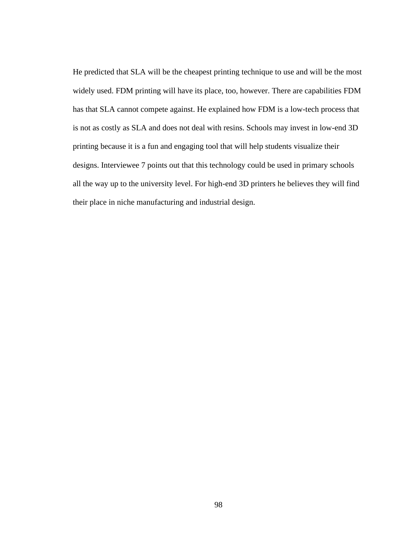He predicted that SLA will be the cheapest printing technique to use and will be the most widely used. FDM printing will have its place, too, however. There are capabilities FDM has that SLA cannot compete against. He explained how FDM is a low-tech process that is not as costly as SLA and does not deal with resins. Schools may invest in low-end 3D printing because it is a fun and engaging tool that will help students visualize their designs. Interviewee 7 points out that this technology could be used in primary schools all the way up to the university level. For high-end 3D printers he believes they will find their place in niche manufacturing and industrial design.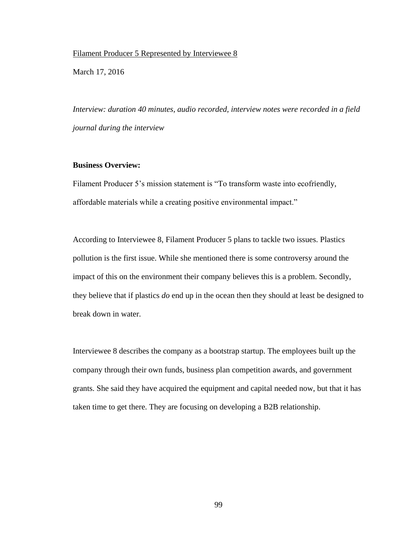# Filament Producer 5 Represented by Interviewee 8

March 17, 2016

*Interview: duration 40 minutes, audio recorded, interview notes were recorded in a field journal during the interview*

# **Business Overview:**

Filament Producer 5's mission statement is "To transform waste into ecofriendly, affordable materials while a creating positive environmental impact."

According to Interviewee 8, Filament Producer 5 plans to tackle two issues. Plastics pollution is the first issue. While she mentioned there is some controversy around the impact of this on the environment their company believes this is a problem. Secondly, they believe that if plastics *do* end up in the ocean then they should at least be designed to break down in water.

Interviewee 8 describes the company as a bootstrap startup. The employees built up the company through their own funds, business plan competition awards, and government grants. She said they have acquired the equipment and capital needed now, but that it has taken time to get there. They are focusing on developing a B2B relationship.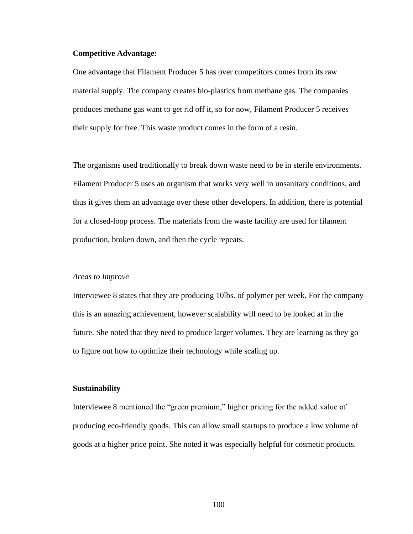### **Competitive Advantage:**

One advantage that Filament Producer 5 has over competitors comes from its raw material supply. The company creates bio-plastics from methane gas. The companies produces methane gas want to get rid off it, so for now, Filament Producer 5 receives their supply for free. This waste product comes in the form of a resin.

The organisms used traditionally to break down waste need to be in sterile environments. Filament Producer 5 uses an organism that works very well in unsanitary conditions, and thus it gives them an advantage over these other developers. In addition, there is potential for a closed-loop process. The materials from the waste facility are used for filament production, broken down, and then the cycle repeats.

#### *Areas to Improve*

Interviewee 8 states that they are producing 10lbs. of polymer per week. For the company this is an amazing achievement, however scalability will need to be looked at in the future. She noted that they need to produce larger volumes. They are learning as they go to figure out how to optimize their technology while scaling up.

### **Sustainability**

Interviewee 8 mentioned the "green premium," higher pricing for the added value of producing eco-friendly goods. This can allow small startups to produce a low volume of goods at a higher price point. She noted it was especially helpful for cosmetic products.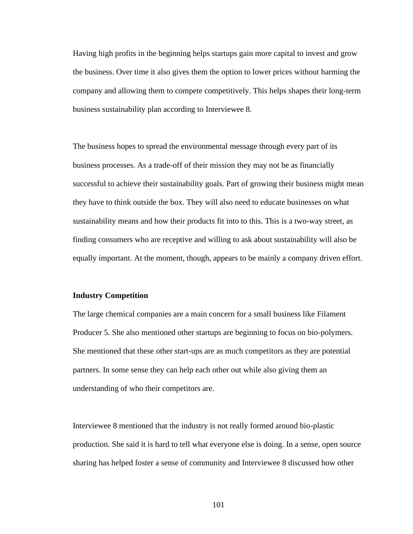Having high profits in the beginning helps startups gain more capital to invest and grow the business. Over time it also gives them the option to lower prices without harming the company and allowing them to compete competitively. This helps shapes their long-term business sustainability plan according to Interviewee 8.

The business hopes to spread the environmental message through every part of its business processes. As a trade-off of their mission they may not be as financially successful to achieve their sustainability goals. Part of growing their business might mean they have to think outside the box. They will also need to educate businesses on what sustainability means and how their products fit into to this. This is a two-way street, as finding consumers who are receptive and willing to ask about sustainability will also be equally important. At the moment, though, appears to be mainly a company driven effort.

### **Industry Competition**

The large chemical companies are a main concern for a small business like Filament Producer 5. She also mentioned other startups are beginning to focus on bio-polymers. She mentioned that these other start-ups are as much competitors as they are potential partners. In some sense they can help each other out while also giving them an understanding of who their competitors are.

Interviewee 8 mentioned that the industry is not really formed around bio-plastic production. She said it is hard to tell what everyone else is doing. In a sense, open source sharing has helped foster a sense of community and Interviewee 8 discussed how other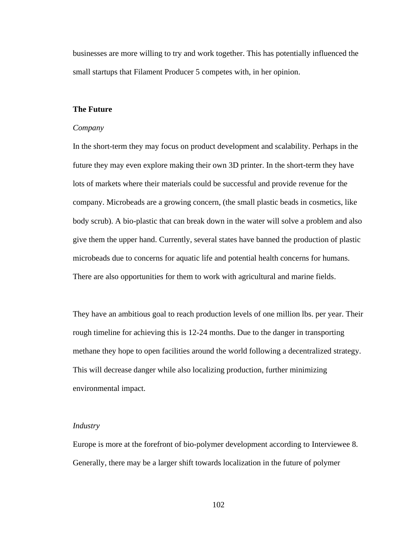businesses are more willing to try and work together. This has potentially influenced the small startups that Filament Producer 5 competes with, in her opinion.

## **The Future**

#### *Company*

In the short-term they may focus on product development and scalability. Perhaps in the future they may even explore making their own 3D printer. In the short-term they have lots of markets where their materials could be successful and provide revenue for the company. Microbeads are a growing concern, (the small plastic beads in cosmetics, like body scrub). A bio-plastic that can break down in the water will solve a problem and also give them the upper hand. Currently, several states have banned the production of plastic microbeads due to concerns for aquatic life and potential health concerns for humans. There are also opportunities for them to work with agricultural and marine fields.

They have an ambitious goal to reach production levels of one million lbs. per year. Their rough timeline for achieving this is 12-24 months. Due to the danger in transporting methane they hope to open facilities around the world following a decentralized strategy. This will decrease danger while also localizing production, further minimizing environmental impact.

# *Industry*

Europe is more at the forefront of bio-polymer development according to Interviewee 8. Generally, there may be a larger shift towards localization in the future of polymer

102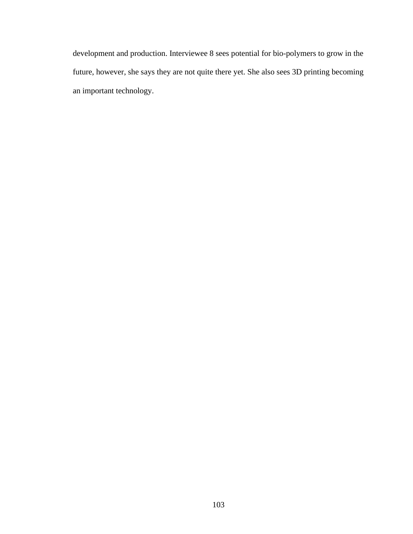development and production. Interviewee 8 sees potential for bio-polymers to grow in the future, however, she says they are not quite there yet. She also sees 3D printing becoming an important technology.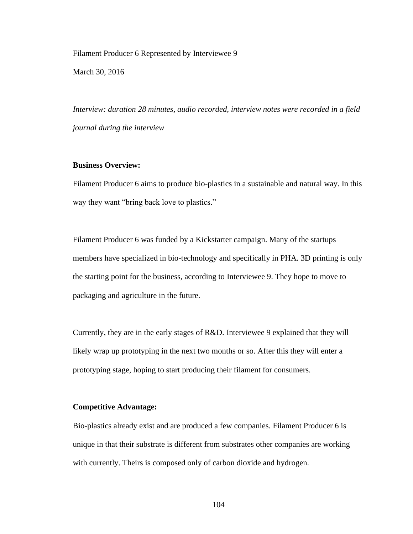## Filament Producer 6 Represented by Interviewee 9

March 30, 2016

*Interview: duration 28 minutes, audio recorded, interview notes were recorded in a field journal during the interview*

## **Business Overview:**

Filament Producer 6 aims to produce bio-plastics in a sustainable and natural way. In this way they want "bring back love to plastics."

Filament Producer 6 was funded by a Kickstarter campaign. Many of the startups members have specialized in bio-technology and specifically in PHA. 3D printing is only the starting point for the business, according to Interviewee 9. They hope to move to packaging and agriculture in the future.

Currently, they are in the early stages of R&D. Interviewee 9 explained that they will likely wrap up prototyping in the next two months or so. After this they will enter a prototyping stage, hoping to start producing their filament for consumers.

#### **Competitive Advantage:**

Bio-plastics already exist and are produced a few companies. Filament Producer 6 is unique in that their substrate is different from substrates other companies are working with currently. Theirs is composed only of carbon dioxide and hydrogen.

104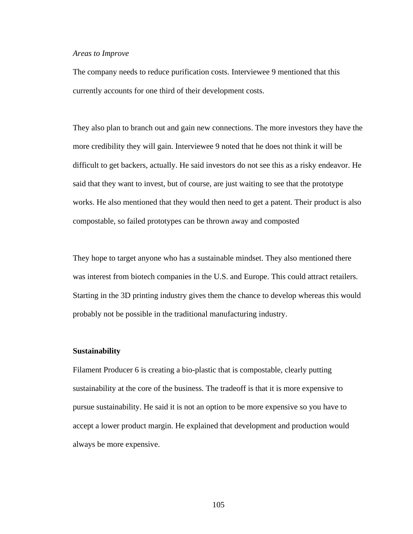#### *Areas to Improve*

The company needs to reduce purification costs. Interviewee 9 mentioned that this currently accounts for one third of their development costs.

They also plan to branch out and gain new connections. The more investors they have the more credibility they will gain. Interviewee 9 noted that he does not think it will be difficult to get backers, actually. He said investors do not see this as a risky endeavor. He said that they want to invest, but of course, are just waiting to see that the prototype works. He also mentioned that they would then need to get a patent. Their product is also compostable, so failed prototypes can be thrown away and composted

They hope to target anyone who has a sustainable mindset. They also mentioned there was interest from biotech companies in the U.S. and Europe. This could attract retailers. Starting in the 3D printing industry gives them the chance to develop whereas this would probably not be possible in the traditional manufacturing industry.

#### **Sustainability**

Filament Producer 6 is creating a bio-plastic that is compostable, clearly putting sustainability at the core of the business. The tradeoff is that it is more expensive to pursue sustainability. He said it is not an option to be more expensive so you have to accept a lower product margin. He explained that development and production would always be more expensive.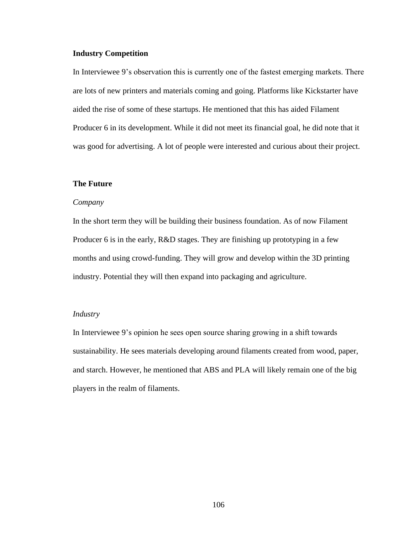# **Industry Competition**

In Interviewee 9's observation this is currently one of the fastest emerging markets. There are lots of new printers and materials coming and going. Platforms like Kickstarter have aided the rise of some of these startups. He mentioned that this has aided Filament Producer 6 in its development. While it did not meet its financial goal, he did note that it was good for advertising. A lot of people were interested and curious about their project.

## **The Future**

### *Company*

In the short term they will be building their business foundation. As of now Filament Producer 6 is in the early, R&D stages. They are finishing up prototyping in a few months and using crowd-funding. They will grow and develop within the 3D printing industry. Potential they will then expand into packaging and agriculture.

# *Industry*

In Interviewee 9's opinion he sees open source sharing growing in a shift towards sustainability. He sees materials developing around filaments created from wood, paper, and starch. However, he mentioned that ABS and PLA will likely remain one of the big players in the realm of filaments.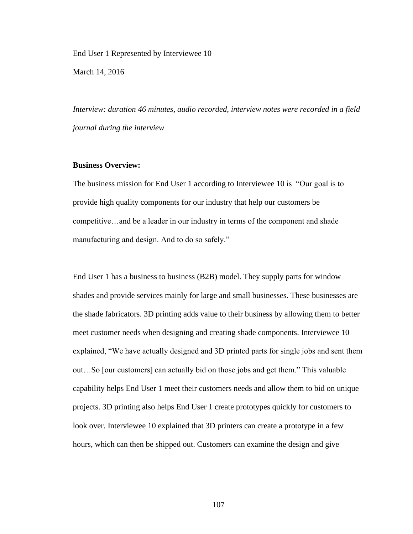End User 1 Represented by Interviewee 10

March 14, 2016

*Interview: duration 46 minutes, audio recorded, interview notes were recorded in a field journal during the interview*

### **Business Overview:**

The business mission for End User 1 according to Interviewee 10 is "Our goal is to provide high quality components for our industry that help our customers be competitive…and be a leader in our industry in terms of the component and shade manufacturing and design. And to do so safely."

End User 1 has a business to business (B2B) model. They supply parts for window shades and provide services mainly for large and small businesses. These businesses are the shade fabricators. 3D printing adds value to their business by allowing them to better meet customer needs when designing and creating shade components. Interviewee 10 explained, "We have actually designed and 3D printed parts for single jobs and sent them out…So [our customers] can actually bid on those jobs and get them." This valuable capability helps End User 1 meet their customers needs and allow them to bid on unique projects. 3D printing also helps End User 1 create prototypes quickly for customers to look over. Interviewee 10 explained that 3D printers can create a prototype in a few hours, which can then be shipped out. Customers can examine the design and give

107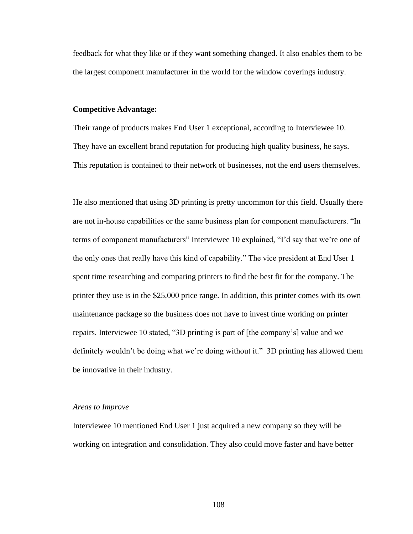feedback for what they like or if they want something changed. It also enables them to be the largest component manufacturer in the world for the window coverings industry.

## **Competitive Advantage:**

Their range of products makes End User 1 exceptional, according to Interviewee 10. They have an excellent brand reputation for producing high quality business, he says. This reputation is contained to their network of businesses, not the end users themselves.

He also mentioned that using 3D printing is pretty uncommon for this field. Usually there are not in-house capabilities or the same business plan for component manufacturers. "In terms of component manufacturers" Interviewee 10 explained, "I'd say that we're one of the only ones that really have this kind of capability." The vice president at End User 1 spent time researching and comparing printers to find the best fit for the company. The printer they use is in the \$25,000 price range. In addition, this printer comes with its own maintenance package so the business does not have to invest time working on printer repairs. Interviewee 10 stated, "3D printing is part of [the company's] value and we definitely wouldn't be doing what we're doing without it." 3D printing has allowed them be innovative in their industry.

### *Areas to Improve*

Interviewee 10 mentioned End User 1 just acquired a new company so they will be working on integration and consolidation. They also could move faster and have better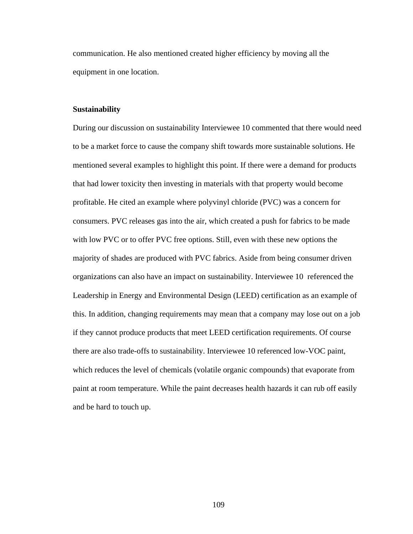communication. He also mentioned created higher efficiency by moving all the equipment in one location.

## **Sustainability**

During our discussion on sustainability Interviewee 10 commented that there would need to be a market force to cause the company shift towards more sustainable solutions. He mentioned several examples to highlight this point. If there were a demand for products that had lower toxicity then investing in materials with that property would become profitable. He cited an example where polyvinyl chloride (PVC) was a concern for consumers. PVC releases gas into the air, which created a push for fabrics to be made with low PVC or to offer PVC free options. Still, even with these new options the majority of shades are produced with PVC fabrics. Aside from being consumer driven organizations can also have an impact on sustainability. Interviewee 10 referenced the Leadership in Energy and Environmental Design (LEED) certification as an example of this. In addition, changing requirements may mean that a company may lose out on a job if they cannot produce products that meet LEED certification requirements. Of course there are also trade-offs to sustainability. Interviewee 10 referenced low-VOC paint, which reduces the level of chemicals (volatile organic compounds) that evaporate from paint at room temperature. While the paint decreases health hazards it can rub off easily and be hard to touch up.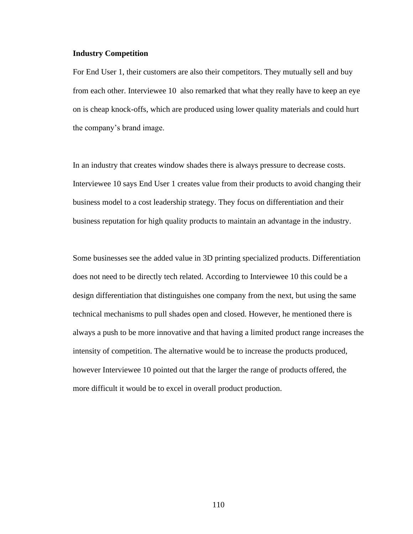## **Industry Competition**

For End User 1, their customers are also their competitors. They mutually sell and buy from each other. Interviewee 10 also remarked that what they really have to keep an eye on is cheap knock-offs, which are produced using lower quality materials and could hurt the company's brand image.

In an industry that creates window shades there is always pressure to decrease costs. Interviewee 10 says End User 1 creates value from their products to avoid changing their business model to a cost leadership strategy. They focus on differentiation and their business reputation for high quality products to maintain an advantage in the industry.

Some businesses see the added value in 3D printing specialized products. Differentiation does not need to be directly tech related. According to Interviewee 10 this could be a design differentiation that distinguishes one company from the next, but using the same technical mechanisms to pull shades open and closed. However, he mentioned there is always a push to be more innovative and that having a limited product range increases the intensity of competition. The alternative would be to increase the products produced, however Interviewee 10 pointed out that the larger the range of products offered, the more difficult it would be to excel in overall product production.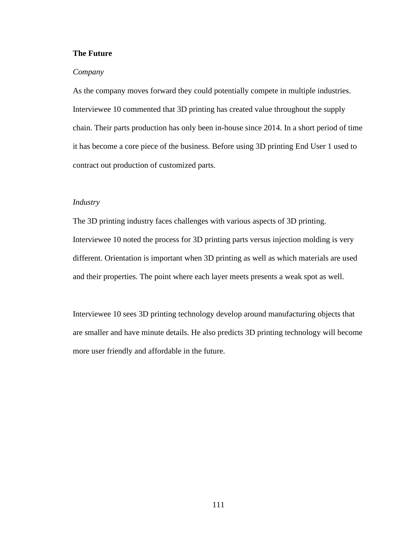# **The Future**

## *Company*

As the company moves forward they could potentially compete in multiple industries. Interviewee 10 commented that 3D printing has created value throughout the supply chain. Their parts production has only been in-house since 2014. In a short period of time it has become a core piece of the business. Before using 3D printing End User 1 used to contract out production of customized parts.

# *Industry*

The 3D printing industry faces challenges with various aspects of 3D printing. Interviewee 10 noted the process for 3D printing parts versus injection molding is very different. Orientation is important when 3D printing as well as which materials are used and their properties. The point where each layer meets presents a weak spot as well.

Interviewee 10 sees 3D printing technology develop around manufacturing objects that are smaller and have minute details. He also predicts 3D printing technology will become more user friendly and affordable in the future.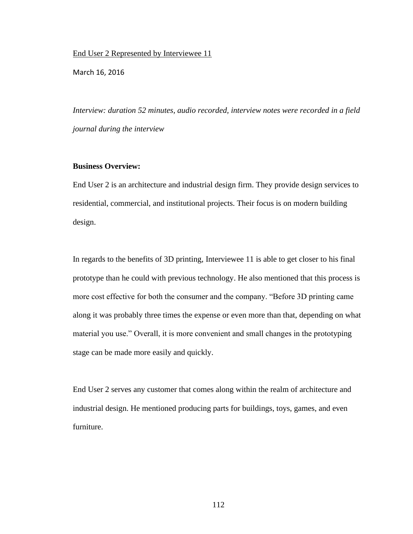End User 2 Represented by Interviewee 11

March 16, 2016

*Interview: duration 52 minutes, audio recorded, interview notes were recorded in a field journal during the interview*

## **Business Overview:**

End User 2 is an architecture and industrial design firm. They provide design services to residential, commercial, and institutional projects. Their focus is on modern building design.

In regards to the benefits of 3D printing, Interviewee 11 is able to get closer to his final prototype than he could with previous technology. He also mentioned that this process is more cost effective for both the consumer and the company. "Before 3D printing came along it was probably three times the expense or even more than that, depending on what material you use." Overall, it is more convenient and small changes in the prototyping stage can be made more easily and quickly.

End User 2 serves any customer that comes along within the realm of architecture and industrial design. He mentioned producing parts for buildings, toys, games, and even furniture.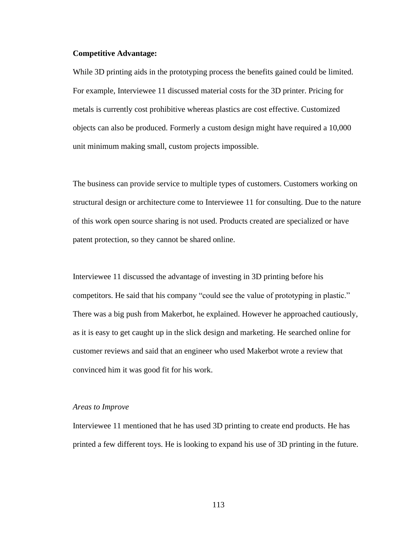#### **Competitive Advantage:**

While 3D printing aids in the prototyping process the benefits gained could be limited. For example, Interviewee 11 discussed material costs for the 3D printer. Pricing for metals is currently cost prohibitive whereas plastics are cost effective. Customized objects can also be produced. Formerly a custom design might have required a 10,000 unit minimum making small, custom projects impossible.

The business can provide service to multiple types of customers. Customers working on structural design or architecture come to Interviewee 11 for consulting. Due to the nature of this work open source sharing is not used. Products created are specialized or have patent protection, so they cannot be shared online.

Interviewee 11 discussed the advantage of investing in 3D printing before his competitors. He said that his company "could see the value of prototyping in plastic." There was a big push from Makerbot, he explained. However he approached cautiously, as it is easy to get caught up in the slick design and marketing. He searched online for customer reviews and said that an engineer who used Makerbot wrote a review that convinced him it was good fit for his work.

#### *Areas to Improve*

Interviewee 11 mentioned that he has used 3D printing to create end products. He has printed a few different toys. He is looking to expand his use of 3D printing in the future.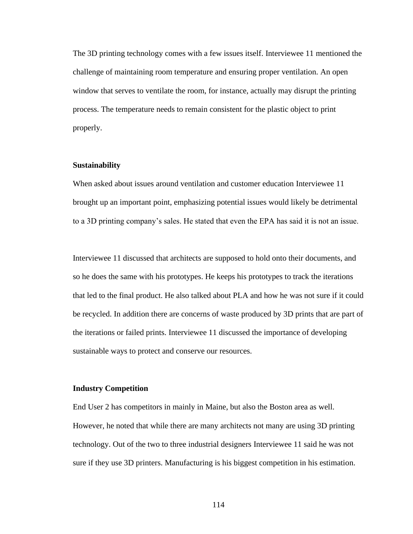The 3D printing technology comes with a few issues itself. Interviewee 11 mentioned the challenge of maintaining room temperature and ensuring proper ventilation. An open window that serves to ventilate the room, for instance, actually may disrupt the printing process. The temperature needs to remain consistent for the plastic object to print properly.

#### **Sustainability**

When asked about issues around ventilation and customer education Interviewee 11 brought up an important point, emphasizing potential issues would likely be detrimental to a 3D printing company's sales. He stated that even the EPA has said it is not an issue.

Interviewee 11 discussed that architects are supposed to hold onto their documents, and so he does the same with his prototypes. He keeps his prototypes to track the iterations that led to the final product. He also talked about PLA and how he was not sure if it could be recycled. In addition there are concerns of waste produced by 3D prints that are part of the iterations or failed prints. Interviewee 11 discussed the importance of developing sustainable ways to protect and conserve our resources.

#### **Industry Competition**

End User 2 has competitors in mainly in Maine, but also the Boston area as well. However, he noted that while there are many architects not many are using 3D printing technology. Out of the two to three industrial designers Interviewee 11 said he was not sure if they use 3D printers. Manufacturing is his biggest competition in his estimation.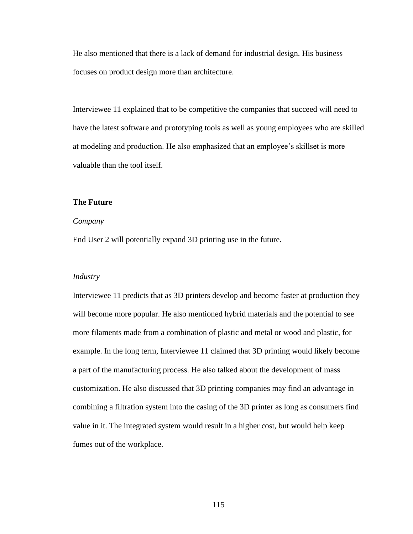He also mentioned that there is a lack of demand for industrial design. His business focuses on product design more than architecture.

Interviewee 11 explained that to be competitive the companies that succeed will need to have the latest software and prototyping tools as well as young employees who are skilled at modeling and production. He also emphasized that an employee's skillset is more valuable than the tool itself.

# **The Future**

#### *Company*

End User 2 will potentially expand 3D printing use in the future.

#### *Industry*

Interviewee 11 predicts that as 3D printers develop and become faster at production they will become more popular. He also mentioned hybrid materials and the potential to see more filaments made from a combination of plastic and metal or wood and plastic, for example. In the long term, Interviewee 11 claimed that 3D printing would likely become a part of the manufacturing process. He also talked about the development of mass customization. He also discussed that 3D printing companies may find an advantage in combining a filtration system into the casing of the 3D printer as long as consumers find value in it. The integrated system would result in a higher cost, but would help keep fumes out of the workplace.